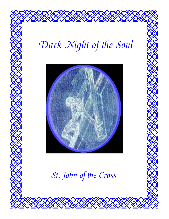# *Dark Night of the Soul*



## *St. John of the Cross*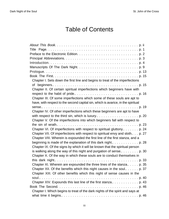## Table of Contents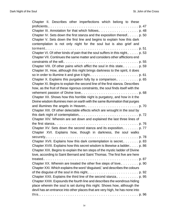| Chapter II. Describes other imperfections which belong to these                 |
|---------------------------------------------------------------------------------|
|                                                                                 |
|                                                                                 |
| Chapter IV. Sets down the first stanza and the exposition thereof p. 50         |
| Chapter V. Sets down the first line and begins to explain how this dark         |
| contemplation is not only night for the soul but is also grief and              |
|                                                                                 |
| Chapter VI. Of other kinds of pain that the soul suffers in this nightp. 53     |
| Chapter VII. Continues the same matter and considers other afflictions end      |
|                                                                                 |
| Chapter VIII. Of other pains which afflict the soul in this state p. 59         |
| Chapter IX. How, although this night brings darkness to the spirit, it does     |
|                                                                                 |
|                                                                                 |
| Chapter XI. Begins to explain the second line of the first stanza. Describes    |
| how, as the fruit of these rigorous constraints, the soul finds itself with the |
|                                                                                 |
| Chapter XII. Shows how this horrible night is purgatory, and how in it the      |
| Divine wisdom illumines men on earth with the same illumination that purges     |
|                                                                                 |
| Chapter XIII. Of other delectable effects which are wrought in the soul by      |
|                                                                                 |
| Chapter XIV. Wherein are set down and explained the last three lines of         |
|                                                                                 |
| Chapter XV. Sets down the second stanza and its exposition p. 77                |
| Chapter XVI. Explains how, though in darkness, the soul walks                   |
|                                                                                 |
| Chapter XVII. Explains how this dark contemplation is secret p. 83              |
| Chapter XVIII. Explains how this secret wisdom is likewise a ladder p. 86       |
| Chapter XIX. Begins to explain the ten steps of the mystic ladder of Divine     |
| love, according to Saint Bernard and Saint Thomas. The first five are here      |
|                                                                                 |
| Chapter XX. Wherein are treated the other five steps of love p. 90              |
| Chapter XXI. Which explains the word 'disguised,' and describes the colours     |
|                                                                                 |
|                                                                                 |
| Chapter XXIII. Expounds the fourth line and describes the wondrous hiding       |
| place wherein the soul is set during this night. Shows how, although the        |
| devil has an entrance into other places that are very high, he has none into    |
|                                                                                 |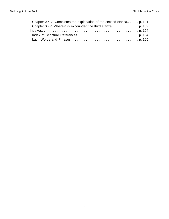| Chapter XXIV. Completes the explanation of the second stanzap. 101 |  |
|--------------------------------------------------------------------|--|
|                                                                    |  |
|                                                                    |  |
|                                                                    |  |
|                                                                    |  |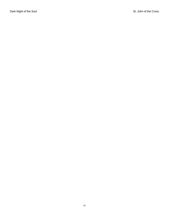Dark Night of the Soul St. John of the Cross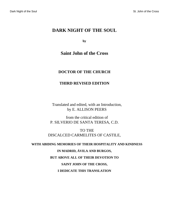## <span id="page-5-0"></span>**DARK NIGHT OF THE SOUL**

**by**

## **Saint John of the Cross**

## **DOCTOR OF THE CHURCH**

## **THIRD REVISED EDITION**

Translated and edited, with an Introduction, by E. ALLISON PEERS

from the critical edition of P. SILVERIO DE SANTA TERESA, C.D.

TO THE DISCALCED CARMELITES OF CASTILE,

**WITH ABIDING MEMORIES OF THEIR HOSPITALITY AND KINDNESS IN MADRID, ÁVILA AND BURGOS, BUT ABOVE ALL OF THEIR DEVOTION TO SAINT JOHN OF THE CROSS, I DEDICATE THIS TRANSLATION**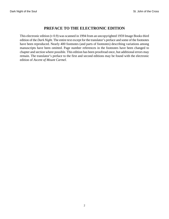#### **PREFACE TO THE ELECTRONIC EDITION**

<span id="page-6-0"></span>This electronic edition (v 0.9) was scanned in 1994 from an uncopyrighted 1959 Image Books third edition of the *Dark Night*. The entire text except for the translator's preface and some of the footnotes have been reproduced. Nearly 400 footnotes (and parts of footnotes) describing variations among manuscripts have been omitted. Page number references in the footnotes have been changed to chapter and section where possible. This edition has been proofread once, but additional errors may remain. The translator's preface to the first and second editions may be found with the electronic edition of *Ascent of Mount Carmel.*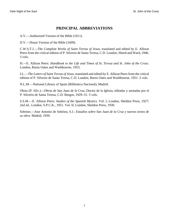#### **PRINCIPAL ABBREVIATIONS**

<span id="page-7-0"></span>A.V.—Authorized Version of the Bible (1611).

D.V.—Douai Version of the Bible (1609).

C.W.S.T.J.—*The Complete Works of Saint Teresa of Jesus*, translated and edited by E. Allison Peers from the critical edition of P. Silverio de Santa Teresa, C.D. London, Sheed and Ward, 1946. 3 vols.

H.—E. Allison Peers: *Handbook to the Life and Times of St. Teresa and St. John of the Cross*. London, Burns Oates and Washbourne, 1953.

LL.—*The Letters of Saint Teresa of Jesus*, translated and edited by E. Allison Peers from the critical edition of P. Silverio de Santa Teresa, C.D. London, Burns Oates and Washbourne, 1951. 2 vols.

N.L.M.—National Library of Spain (Biblioteca Nacional), Madrid.

Obras (P. Silv.)—*Obras de San Juan de la Cruz*, Doctor de la Iglesia, editadas y anotadas por el P. Silverio de Santa Teresa, C.D. Burgos, 1929–31. 5 vols.

S.S.M.—E. Allison Peers: *Studies of the Spanish Mystics*. Vol. I, London, Sheldon Press, 1927; 2nd ed., London, S.P.C.K., 1951. Vol. II, London, Sheldon Press, 1930.

Sobrino.—Jose Antonio de Sobrino, S.J.: *Estudios sobre San Juan de la Cruz y nuevos textos de su obra*. Madrid, 1950.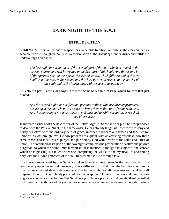## **DARK NIGHT OF THE SOUL**

## **INTRODUCTION**

<span id="page-8-0"></span>SOMEWHAT reluctantly, out of respect for a venerable tradition, we publish the *Dark Night* as a separate treatise, though in reality it is a continuation of the *Ascent of Mount Carmel* and fulfils the undertakings given in it:

*The first night or purgation is of the sensual part of the soul, which is treated in the present stanza, and will be treated in the first part of this book. And the second is of the spiritual part; of this speaks the second stanza, which follows; and of this we shall treat likewise, in the second and the third part, with respect to the activity of the soul; and in the fourth part, with respect to its passivity.*<sup>1</sup>

This 'fourth part' is the *Dark Night*. Of it the Saint writes in a passage which follows that just quoted:

*And the second night, or purification, pertains to those who are already proficient, occurring at the time when God desires to bring them to the state of union with God. And this latter night is a more obscure and dark and terrible purgation, as we shall say afterwards.*<sup>2</sup>

In his three earlier books he has written of the Active Night, of Sense and of Spirit; he now proposes to deal with the Passive Night, in the same order. He has already taught us how we are to deny and purify ourselves with the ordinary help of grace, in order to prepare our senses and faculties for union with God through love. He now proceeds to explain, with an arresting freshness, how these same senses and faculties are purged and purified by God with a view to the same end—that of union. The combined description of the two nights completes the presentation of active and passive purgation, to which the Saint limits himself in these treatises, although the subject of the stanzas which he is glossing is a much wider one, comprising the whole of the mystical life and ending only with the Divine embraces of the soul transformed in God through love.

The stanzas expounded by the Saint are taken from the same poem in the two treatises. The commentary upon the second, however, is very different from that upon the first, for it assumes a much more advanced state of development. The Active Night has left the senses and faculties well prepared, though not completely prepared, for the reception of Divine influences and illuminations in greater abundance than before. The Saint here postulates a principle of dogmatic theology—that by himself, and with the ordinary aid of grace, man cannot attain to that degree of purgation which

<sup>1</sup> *Ascent*, Bk. I, chap. i, sect. 2.

<sup>2</sup> Op. cit., sect. 3.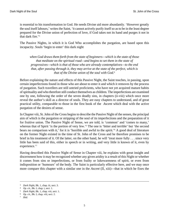is essential to his transformation in God. He needs Divine aid more abundantly. 'However greatly the soul itself labours,' writes the Saint, 'it cannot actively purify itself so as to be in the least degree prepared for the Divine union of perfection of love, if God takes not its hand and purges it not in that dark fire.'<sup>3</sup>

The Passive Nights, in which it is God Who accomplishes the purgation, are based upon this incapacity. Souls 'begin to enter' this dark night

*when God draws them forth from the state of beginners—which is the state of those that meditate on the spiritual road—and begins to set them in the state of progressives—which is that of those who are already contemplatives—to the end that, after passing through it, they may arrive at the state of the perfect, which is that of the Divine union of the soul with God.*<sup>4</sup>

Before explaining the nature and effects of this Passive Night, the Saint touches, in passing, upon certain imperfections found in those who are about to enter it and which it removes by the process of purgation. Such travellers are still untried proficients, who have not yet acquired mature habits of spirituality and who therefore still conduct themselves as children. The imperfections are examined one by one, following the order of the seven deadly sins, in chapters (ii-viii) which once more reveal the author's skill as a director of souls. They are easy chapters to understand, and of great practical utility, comparable to those in the first book of the *Ascent* which deal with the active purgation of the desires of sense.

In Chapter viii, St. John of the Cross begins to describe the Passive Night of the senses, the principal aim of which is the purgation or stripping of the soul of its imperfections and the preparation of it for fruitive union. The Passive Night of Sense, we are told, is 'common' and 'comes to many,' whereas that of Spirit 'is the portion of very few.'<sup>5</sup> The one is 'bitter and terrible' but 'the second bears no comparison with it,' for it is 'horrible and awful to the spirit.'<sup>6</sup> A good deal of literature on the former Night existed in the time of St. John of the Cross and he therefore promises to be brief in his treatment of it. Of the latter, on the other hand, he will 'treat more fully . . . since very little has been said of this, either in speech or in writing, and very little is known of it, even by experience.'<sup>7</sup>

Having described this Passive Night of Sense in Chapter viii, he explains with great insight and discernment how it may be recognized whether any given aridity is a result of this Night or whether it comes from sins or imperfections, or from frailty or lukewarmness of spirit, or even from indisposition or 'humours' of the body. The Saint is particularly effective here, and we may once more compare this chapter with a similar one in the *Ascent* (II, xiii)—that in which he fixes the

<sup>3</sup> *Dark Night*, Bk. 1, chap. iii, sect. 3.

<sup>4</sup> *Op. cit.,* Bk. I, chap. i, sect. 1.

<sup>5</sup> *Dark Night*, Bk. 1, chap. viii, sect. 1.

<sup>6</sup> *Op. cit*., Bk. I, chap. viii, sect. 2.

<sup>7</sup> *Ibid.*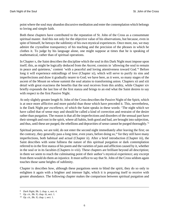point where the soul may abandon discursive meditation and enter the contemplation which belongs to loving and simple faith.

Both these chapters have contributed to the reputation of St. John of the Cross as a consummate spiritual master. And this not only for the objective value of his observations, but because, even in spite of himself, he betrays the sublimity of his own mystical experiences. Once more, too, we may admire the crystalline transparency of his teaching and the precision of the phrases in which he clothes it. To judge by his language alone, one might suppose at times that he is speaking of mathematical, rather than of spiritual operations.

In Chapter x, the Saint describes the discipline which the soul in this Dark Night must impose upon itself; this, as might be logically deduced from the *Ascent*, consists in 'allowing the soul to remain in peace and quietness,' content 'with a peaceful and loving attentiveness toward God.'<sup>8</sup> Before long it will experience enkindlings of love (Chapter xi), which will serve to purify its sins and imperfections and draw it gradually nearer to God; we have here, as it were, so many stages of the ascent of the Mount on whose summit the soul attains to transforming union. Chapters xii and xiii detail with great exactness the benefits that the soul receives from this aridity, while Chapter xiv briefly expounds the last line of the first stanza and brings to an end what the Saint desires to say with respect to the first Passive Night.

At only slightly greater length St. John of the Cross describes the Passive Night of the Spirit, which is at once more afflictive and more painful than those which have preceded it. This, nevertheless, is the Dark Night *par excellence*, of which the Saint speaks in these words: 'The night which we have called that of sense may and should be called a kind of correction and restraint of the desire rather than purgation. The reason is that all the imperfections and disorders of the sensual part have their strength and root in the spirit, where all habits, both good and bad, are brought into subjection, and thus, until these are purged, the rebellions and depravities of sense cannot be purged thoroughly.'<sup>9</sup>

Spiritual persons, we are told, do not enter the second night immediately after leaving the first; on the contrary, they generally pass a long time, even years, before doing so,<sup>10</sup> for they still have many imperfections, both habitual and actual (Chapter ii). After a brief introduction (Chapter iii), the Saint describes with some fullness the nature of this spiritual purgation or dark contemplation referred to in the first stanza of his poem and the varieties of pain and affliction caused by it, whether in the soul or in its faculties (Chapters iv-viii). These chapters are brilliant beyond all description; in them we seem to reach the culminating point of their author's mystical experience; any excerpt from them would do them an injustice. It must suffice to say that St. John of the Cross seldom again touches those same heights of sublimity.

Chapter ix describes how, although these purgations seem to blind the spirit, they do so only to enlighten it again with a brighter and intenser light, which it is preparing itself to receive with greater abundance. The following chapter makes the comparison between spiritual purgation and

<sup>8</sup> *Dark Night*, Bk. I, chap. x, sect. 4.

<sup>9</sup> *Op. cit*., Bk. II, chap. iii, sect. 1.

<sup>10</sup> *Op. cit*., Bk. II, chap. i, sect. 1.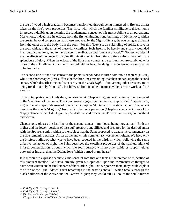the log of wood which gradually becomes transformed through being immersed in fire and at last takes on the fire's own properties. The force with which the familiar similitude is driven home impresses indelibly upon the mind the fundamental concept of this most sublime of all purgations. Marvellous, indeed, are its effects, from the first enkindlings and burnings of Divine love, which are greater beyond comparison than those produced by the Night of Sense, the one being as different from the other as is the body from the soul. 'For this (latter) is an enkindling of spiritual love in the soul, which, in the midst of these dark confines, feels itself to be keenly and sharply wounded in strong Divine love, and to have a certain realization and foretaste of God.'11 No less wonderful are the effects of the powerful Divine illumination which from time to time enfolds the soul in the splendours of glory. When the effects of the light that wounds and yet illumines are combined with those of the enkindlement that melts the soul with its heat, the delights experienced are so great as to be ineffable.

The second line of the first stanza of the poem is expounded in three admirable chapters (xi-xiii), while one short chapter (xiv) suffices for the three lines remaining. We then embark upon the second stanza, which describes the soul's security in the *Dark Night*—due, among other reasons, to its being freed 'not only from itself, but likewise from its other enemies, which are the world and the devil.'<sup>12</sup>

This contemplation is not only dark, but also secret (Chapter xvii), and in Chapter xviii is compared to the 'staircase' of the poem. This comparison suggests to the Saint an exposition (Chapters xviii, xix) of the ten steps or degrees of love which comprise St. Bernard's mystical ladder. Chapter xxi describes the soul's 'disguise,' from which the book passes on (Chapters xxii, xxiii) to extol the 'happy chance' which led it to journey 'in darkness and concealment' from its enemies, both without and within.

Chapter xxiv glosses the last line of the second stanza—'my house being now at rest.' Both the higher and the lower 'portions of the soul' are now tranquillized and prepared for the desired union with the Spouse, a union which is the subject that the Saint proposed to treat in his commentary on the five remaining stanzas. As far as we know, this commentary was never written. We have only the briefest outline of what was to have been covered in the third, in which, following the same effective metaphor of night, the Saint describes the excellent properties of the spiritual night of infused contemplation, through which the soul journeys with no other guide or support, either outward or inward, than the Divine love 'which burned in my heart.'

It is difficult to express adequately the sense of loss that one feels at the premature truncation of this eloquent treatise.<sup>13</sup> We have already given our opinion<sup>14</sup> upon the commentaries thought to have been written on the final stanzas of the 'Dark Night.' Did we possess them, they would explain the birth of the light—'dawn's first breathings in the heav'ns above'—which breaks through the black darkness of the Active and the Passive Nights; they would tell us, too, of the soul's further

<sup>11</sup> *Dark Night*, Bk. II, chap. xi, sect. 1.

<sup>12</sup> *Dark Night*, Bk. II, chap. xvi, sect. 2.

<sup>13</sup> [On this, see Sobrino, pp. 159–66.]

<sup>14</sup> Cf. pp. lviii–lxiii, *Ascent of Mount Carmel* (Image Books edition).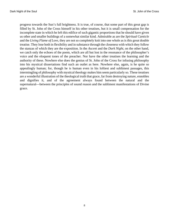progress towards the Sun's full brightness. It is true, of course, that some part of this great gap is filled by St. John of the Cross himself in his other treatises, but it is small compensation for the incomplete state in which he left this edifice of such gigantic proportions that he should have given us other and smaller buildings of a somewhat similar kind. Admirable as are the *Spiritual Canticle* and the *Living Flame of Love*, they are not so completely knit into one whole as is this great double treatise. They lose both in flexibility and in substance through the closeness with which they follow the stanzas of which they are the exposition. In the *Ascent* and the *Dark Night*, on the other hand, we catch only the echoes of the poem, which are all but lost in the resonance of the philosopher's voice and the eloquent tones of the preacher. Nor have the other treatises the learning and the authority of these. Nowhere else does the genius of St. John of the Cross for infusing philosophy into his mystical dissertations find such an outlet as here. Nowhere else, again, is he quite so appealingly human; for, though he is human even in his loftiest and sublimest passages, this intermingling of philosophy with mystical theology makes him seem particularly so. These treatises are a wonderful illustration of the theological truth that grace, far from destroying nature, ennobles and dignifies it, and of the agreement always found between the natural and the supernatural—between the principles of sound reason and the sublimest manifestations of Divine grace.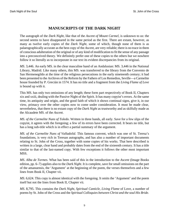#### **MANUSCRIPTS OF THE DARK NIGHT**

<span id="page-13-0"></span>The autograph of the *Dark Night*, like that of the *Ascent of Mount Carmel*, is unknown to us: the second seems to have disappeared in the same period as the first. There are extant, however, as many as twelve early copies of the *Dark Night*, some of which, though none of them is as palaeographically accurate as the best copy of the *Ascent*, are very reliable; there is no trace in them of conscious adulteration of the original or of any kind of modification to fit the sense of any passage into a preconceived theory. We definitely prefer one of these copies to the others but we nowhere follow it so literally as to incorporate in our text its evident discrepancies from its original.

*MS*. 3,446. An early MS. in the clear masculine hand of an Andalusian: MS. 3,446 in the National Library, Madrid. Like many others, this MS. was transferred to the library from the Convento de San Hermenegildo at the time of the religious persecutions in the early nineteenth century; it had been presented to the Archives of the Reform by the Fathers of Los Remedios, Seville—a Carmelite house founded by P. Grecián in 1574. It has no title and a fragment from the *Living Flame of Love* is bound up with it.

This MS. has only two omissions of any length; these form part respectively of Book II, Chapters xix and xxiii, dealing with the Passive Night of the Spirit. It has many copyist's errors. At the same time, its antiquity and origin, and the good faith of which it shows continual signs, give it, in our view, primacy over the other copies now to come under consideration. It must be made clear, nevertheless, that there is no extant copy of the *Dark Night* as trustworthy and as skilfully made as the Alcaudete MS. of the *Ascent*.

*MS. of the Carmelite Nuns of Toledo*. Written in three hands, all early. Save for a few slips of the copyist, it agrees with the foregoing; a few of its errors have been corrected. It bears no title, but has a long sub-title which is in effect a partial summary of the argument.

*MS. of the Carmelite Nuns of Valladolid*. This famous convent, which was one of St. Teresa's foundations, is very rich in Teresan autographs, and has also a number of important documents relating to St. John of the Cross, together with some copies of his works. That here described is written in a large, clear hand and probably dates from the end of the sixteenth century. It has a title similar to that of the last-named copy. With few exceptions it follows the other most important MSS.

*MS. Alba de Tormes*. What has been said of this in the introduction to the *Ascent* (Image Books edition, pp. 6–7) applies also to the *Dark Night*. It is complete, save for small omissions on the part of the amanuensis, the 'Argument' at the beginning of the poem, the verses themselves and a few lines from Book II, Chapter vii.

*MS*. 6,624. This copy is almost identical with the foregoing. It omits the 'Argument' and the poem itself but not the lines from Book II, Chapter vii.

*MS*. 8,795. This contains the *Dark Night*, *Spiritual Canticle*, *Living Flame* of Love, a number of poems by St. John of the Cross and the *Spiritual Colloquies between Christ and the soul His Bride.*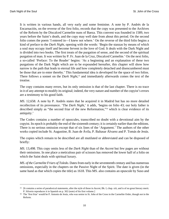It is written in various hands, all very early and some feminine. A note by P. Andrés de la Encarnación, on the reverse of the first folio, records that the copy was presented to the Archives of the Reform by the Discalced Carmelite nuns of Baeza. This convent was founded in 1589, two years before the Saint's death, and the copy may well date from about this period. On the second folio comes the poem 'I entered in—I knew not where.' On the reverse of the third folio begins a kind of preface to the *Dark Night*, opening with the words: 'Begin the stanzas by means of which a soul may occupy itself and become fervent in the love of God. It deals with the Dark Night and is divided into two books. The first treats of the purgation of sense, and the second of the spiritual purgation of man. It was written by P. Fr. Juan de la Cruz, Discalced Carmelite.' On the next folio, a so-called 'Preface: To the Reader' begins: 'As a beginning and an explanation of these two purgations of the Dark Night which are to be expounded hereafter, this chapter will show how narrow is the path that leads to eternal life and how completely detached and disencumbered must be those that are to enter thereby.' This fundamental idea is developed for the space of two folios. There follows a sonnet on the *Dark Night*, <sup>15</sup> and immediately afterwards comes the text of the treatise.

The copy contains many errors, but its only omission is that of the last chapter. There is no trace in it of any attempt to modify its original; indeed, the very nature and number of the copyist's errors are a testimony to his good faith.

*MS*. 12,658. A note by P. Andrés states that he acquired it in Madrid but has no more detailed recollection of its provenance. 'The *Dark Night*,' it adds, 'begins on folio 43; our holy father is described simply as "the second friar of the new Reformation,"16 which is clear evidence of its antiquity.'

The Codex contains a number of opuscules, transcribed no doubt with a devotional aim by the copyist. Its epoch is probably the end of the sixteenth century; it is certainly earlier than the editions. There is no serious omission except that of six lines of the 'Argument.' The authors of the other works copied include St. Augustine, B. Juan de Ávila, P. Baltasar Álvarez and P. Tomás de Jesús.

The copies which remain to be described are all mutilated or abbreviated and can be disposed of briefly:

*MS*. 13,498. This copy omits less of the *Dark Night* than of the *Ascent* but few pages are without their omissions. In one place a meticulous pair of scissors has removed the lower half of a folio on which the Saint deals with spiritual luxury.

*MS. of the Carmelite Friars of Toledo*. Dates from early in the seventeenth century and has numerous omissions, especially in the chapters on the Passive Night of the Spirit. The date is given (in the same hand as that which copies the title) as 1618. This MS. also contains an opuscule by Suso and

<sup>15</sup> [It contains a series of paradoxical statements, after the style of those in *Ascent*, Bk. I, chap. xiii, and is of no great literary merit. P. Silverio reproduces it in Spanish on p. 302 (note) of his first volume.]

<sup>&</sup>lt;sup>16</sup> The 'first friar' would be P. Antonio de Jesús, who was senior to St. John of the Cross in the Carmelite Order, though not in the Reform.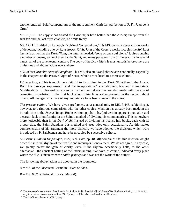another entitled 'Brief compendium of the most eminent Christian perfection of P. Fr. Juan de la Cruz.'

*MS*. 18,160. The copyist has treated the *Dark Night* little better than the *Ascent*; except from the first ten and the last three chapters, he omits freely.

*MS*. 12,411. Entitled by its copyist 'spiritual Compendium,' this MS. contains several short works of devotion, including one by Ruysbroeck. Of St. John of the Cross's works it copies the *Spiritual Canticle* as well as the *Dark Night*; the latter is headed: 'song of one soul alone.' It also contains a number of poems, some of them by the Saint, and many passages from St. Teresa. It is in several hands, all of the seventeenth century. The copy of the *Dark Night* is most unsatisfactory; there are omissions and abbreviations everywhere.

*M.S. of the Carmelite Nuns of Pamplona*. This MS. also omits and abbreviates continually, especially in the chapters on the Passive Night of Sense, which are reduced to a mere skeleton.

*Editio princeps*. This is much more faithful to its original in the *Dark Night* than in the *Ascent*. Both the passages suppressed<sup>17</sup> and the interpolations<sup>18</sup> are relatively few and unimportant. Modifications of phraseology are more frequent and alterations are also made with the aim of correcting hyperbaton. In the first book about thirty lines are suppressed; in the second, about ninety. All changes which are of any importance have been shown in the notes.

*The present edition*. We have given preference, as a general rule, to MS. 3,446, subjecting it, however, to a rigorous comparison with the other copies. Mention has already been made in the introduction to the *Ascent* (Image Books edition, pp. lxiii–lxvi) of certain apparent anomalies and a certain lack of uniformity in the Saint's method of dividing his commentaries. This is nowhere more noticeable than in the *Dark Night*. Instead of dividing his treatise into books, each with its proper title, the Saint abandons this method and uses titles only occasionally. As this makes comprehension of his argument the more difficult, we have adopted the divisions which were introduced by P. Salablanca and have been copied by successive editors.

M. Baruzi (*Bulletin Hispanique*, 1922, Vol. xxiv, pp. 18–40) complains that this division weighs down the spiritual rhythm of the treatise and interrupts its movement. We do not agree. In any case, we greatly prefer the gain of clarity, even if the rhythm occasionally halts, to the other alternative—the constant halting of the understanding. We have, of course, indicated every place where the title is taken from the *editio princeps* and was not the work of the author.

The following abbreviations are adopted in the footnotes:

 $A = MS$ . of the Discalced Carmelite Friars of Alba.

 $B = MS. 6,624$  (National Library, Madrid).

<sup>&</sup>lt;sup>17</sup> The longest of these are one of ten lines in Bk. I, chap. iv, [in the original] and those of Bk. II, chaps. vii, viii, xii, xiii, which vary from eleven to twenty-three lines. Bk. II, chap. xxiii, has also considerable modifications.

<sup>18</sup> The chief interpolation is in Bk. I, chap. x.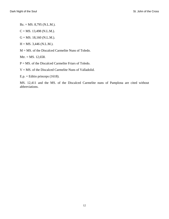Bz. = MS. 8,795 (N.L.M.).

- $C = MS. 13,498 (N.L.M.).$
- $G = MS. 18,160 (N.L.M.).$
- $H = MS. 3,446 (N.L.M.).$
- M = MS. of the Discalced Carmelite Nuns of Toledo.
- Mtr. = MS. 12,658.
- $P = MS$ . of the Discalced Carmelite Friars of Toledo.
- $V = MS$ . of the Discalced Carmelite Nuns of Valladolid.

 $E.p. =$  Editio princeps (1618).

MS. 12,411 and the MS. of the Discalced Carmelite nuns of Pamplona are cited without abbreviations.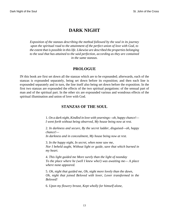## **DARK NIGHT**

<span id="page-17-0"></span>*Exposition of the stanzas describing the method followed by the soul in its journey upon the spiritual road to the attainment of the perfect union of love with God, to the extent that is possible in this life. Likewise are described the properties belonging to the soul that has attained to the said perfection, according as they are contained in the same stanzas.*

#### **PROLOGUE**

IN this book are first set down all the stanzas which are to be expounded; afterwards, each of the stanzas is expounded separately, being set down before its exposition; and then each line is expounded separately and in turn, the line itself also being set down before the exposition. In the first two stanzas are expounded the effects of the two spiritual purgations: of the sensual part of man and of the spiritual part. In the other six are expounded various and wondrous effects of the spiritual illumination and union of love with God.

#### **STANZAS OF THE SOUL**

1. *On a dark night, Kindled in love with yearnings—oh, happy chance!— I went forth without being observed, My house being now at rest.*

2. *In darkness and secure, By the secret ladder, disguised—oh, happy chance!—*

*In darkness and in concealment, My house being now at rest.*

3. *In the happy night, In secret, when none saw me, Nor I beheld aught, Without light or guide, save that which burned in my heart.*

4. *This light guided me More surely than the light of noonday To the place where he (well I knew who!) was awaiting me— A place where none appeared.*

5. *Oh, night that guided me, Oh, night more lovely than the dawn, Oh, night that joined Beloved with lover, Lover transformed in the Beloved!*

6. *Upon my flowery breast, Kept wholly for himself alone,*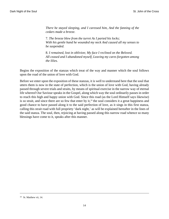*There he stayed sleeping, and I caressed him, And the fanning of the cedars made a breeze.*

7. *The breeze blew from the turret As I parted his locks; With his gentle hand he wounded my neck And caused all my senses to be suspended.*

8. *I remained, lost in oblivion; My face I reclined on the Beloved. All ceased and I abandoned myself, Leaving my cares forgotten among the lilies.*

Begins the exposition of the stanzas which treat of the way and manner which the soul follows upon the road of the union of love with God.

Before we enter upon the exposition of these stanzas, it is well to understand here that the soul that utters them is now in the state of perfection, which is the union of love with God, having already passed through severe trials and straits, by means of spiritual exercise in the narrow way of eternal life whereof Our Saviour speaks in the Gospel, along which way the soul ordinarily passes in order to reach this high and happy union with God. Since this road (as the Lord Himself says likewise) is so strait, and since there are so few that enter by it,<sup>19</sup> the soul considers it a great happiness and good chance to have passed along it to the said perfection of love, as it sings in this first stanza, calling this strait road with full propriety 'dark night,' as will be explained hereafter in the lines of the said stanza. The soul, then, rejoicing at having passed along this narrow road whence so many blessings have come to it, speaks after this manner.

<sup>19</sup> [St. Matthew vii, 14.](http://www.ccel.org/b/bible/asv/xml/asv.Matt.7.xml#Matt.7.14)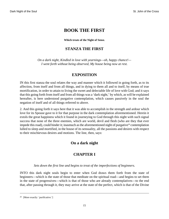## **BOOK THE FIRST**

**Which treats of the Night of Sense.**

#### **STANZA THE FIRST**

<span id="page-19-0"></span>*On a dark night, Kindled in love with yearnings—oh, happy chance!— I went forth without being observed, My house being now at rest.*

#### **EXPOSITION**

IN this first stanza the soul relates the way and manner which it followed in going forth, as to its affection, from itself and from all things, and in dying to them all and to itself, by means of true mortification, in order to attain to living the sweet and delectable life of love with God; and it says that this going forth from itself and from all things was a 'dark night,' by which, as will be explained hereafter, is here understood purgative contemplation, which causes passively in the soul the negation of itself and of all things referred to above.

<span id="page-19-1"></span>2. And this going forth it says here that it was able to accomplish in the strength and ardour which love for its Spouse gave to it for that purpose in the dark contemplation aforementioned. Herein it extols the great happiness which it found in journeying to God through this night with such signal success that none of the three enemies, which are world, devil and flesh (who are they that ever impede this road), could hinder it; inasmuch as the aforementioned night of purgative<sup>20</sup> contemplation lulled to sleep and mortified, in the house of its sensuality, all the passions and desires with respect to their mischievous desires and motions. The line, then, says:

## **On a dark night**

## **CHAPTER I**

#### *Sets down the first line and begins to treat of the imperfections of beginners.*

INTO this dark night souls begin to enter when God draws them forth from the state of beginners—which is the state of those that meditate on the spiritual road—and begins to set them in the state of progressives—which is that of those who are already contemplatives—to the end that, after passing through it, they may arrive at the state of the perfect, which is that of the Divine

<sup>20</sup> [More exactly: 'purificative.']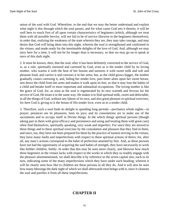union of the soul with God. Wherefore, to the end that we may the better understand and explain what night is this through which the soul passes, and for what cause God sets it therein, it will be well here to touch first of all upon certain characteristics of beginners (which, although we treat them with all possible brevity, will not fail to be of service likewise to the beginners themselves), in order that, realizing the weakness of the state wherein they are, they may take courage, and may desire that God will bring them into this night, wherein the soul is strengthened and confirmed in the virtues, and made ready for the inestimable delights of the love of God. And, although we may tarry here for a time, it will not be for longer than is necessary, so that we may go on to speak at once of this dark night.

2. It must be known, then, that the soul, after it has been definitely converted to the service of God, is, as a rule, spiritually nurtured and caressed by God, even as is the tender child by its loving mother, who warms it with the heat of her bosom and nurtures it with sweet milk and soft and pleasant food, and carries it and caresses it in her arms; but, as the child grows bigger, the mother gradually ceases caressing it, and, hiding her tender love, puts bitter aloes upon her sweet breast, sets down the child from her arms and makes it walk upon its feet, so that it may lose the habits of a child and betake itself to more important and substantial occupations. The loving mother is like the grace of God, for, as soon as the soul is regenerated by its new warmth and fervour for the service of God, He treats it in the same way; He makes it to find spiritual milk, sweet and delectable, in all the things of God, without any labour of its own, and also great pleasure in spiritual exercises, for here God is giving to it the breast of His tender love, even as to a tender child.

3. Therefore, such a soul finds its delight in spending long periods—perchance whole nights—in prayer; penances are its pleasures; fasts its joys; and its consolations are to make use of the sacraments and to occupy itself in Divine things. In the which things spiritual persons (though taking part in them with great efficacy and persistence and using and treating them with great care) often find themselves, spiritually speaking, very weak and imperfect. For since they are moved to these things and to these spiritual exercises by the consolation and pleasure that they find in them, and since, too, they have not been prepared for them by the practice of earnest striving in the virtues, they have many faults and imperfections with respect to these spiritual actions of theirs; for, after all, any man's actions correspond to the habit of perfection attained by him. And, as these persons have not had the opportunity of acquiring the said habits of strength, they have necessarily to work like feebler children, feebly. In order that this may be seen more clearly, and likewise how much these beginners in the virtues lacks with respect to the works in which they so readily engage with the pleasure aforementioned, we shall describe it by reference to the seven capital sins, each in its turn, indicating some of the many imperfections which they have under each heading; wherein it will be clearly seen how like to children are these persons in all they do. And it will also be seen how many blessings the dark night of which we shall afterwards treat brings with it, since it cleanses the soul and purifies it from all these imperfections.

#### <span id="page-20-0"></span>**CHAPTER II**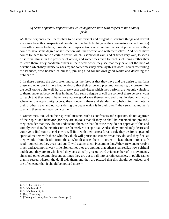#### *Of certain spiritual imperfections which beginners have with respect to the habit of pride.*

AS these beginners feel themselves to be very fervent and diligent in spiritual things and devout exercises, from this prosperity (although it is true that holy things of their own nature cause humility) there often comes to them, through their imperfections, a certain kind of secret pride, whence they come to have some degree of satisfaction with their works and with themselves. And hence there comes to them likewise a certain desire, which is somewhat vain, and at times very vain, to speak of spiritual things in the presence of others, and sometimes even to teach such things rather than to learn them. They condemn others in their heart when they see that they have not the kind of devotion which they themselves desire; and sometimes they even say this in words, herein resembling the Pharisee, who boasted of himself, praising God for his own good works and despising the publican.<sup>21</sup>

2. In these persons the devil often increases the fervour that they have and the desire to perform these and other works more frequently, so that their pride and presumption may grow greater. For the devil knows quite well that all these works and virtues which they perform are not only valueless to them, but even become vices in them. And such a degree of evil are some of these persons wont to reach that they would have none appear good save themselves; and thus, in deed and word, whenever the opportunity occurs, they condemn them and slander them, beholding the mote in their brother's eye and not considering the beam which is in their own;<sup>22</sup> they strain at another's gnat and themselves swallow a camel.<sup>23</sup>

3. Sometimes, too, when their spiritual masters, such as confessors and superiors, do not approve of their spirit and behavior (for they are anxious that all they do shall be esteemed and praised), they consider that they do not understand them, or that, because they do not approve of this and comply with that, their confessors are themselves not spiritual. And so they immediately desire and contrive to find some one else who will fit in with their tastes; for as a rule they desire to speak of spiritual matters with those who they think will praise and esteem what they do, and they flee, as they would from death, from those who disabuse them in order to lead them into a safe road—sometimes they even harbour ill-will against them. Presuming thus,<sup>24</sup> they are wont to resolve much and accomplish very little. Sometimes they are anxious that others shall realize how spiritual and devout they are, to which end they occasionally give outward evidence thereof in movements, sighs and other ceremonies; and at times they are apt to fall into certain ecstasies, in public rather than in secret, wherein the devil aids them, and they are pleased that this should be noticed, and are often eager that it should be noticed more.<sup>25</sup>

<sup>21</sup> [St. Luke xviii, 11-12.](http://www.ccel.org/b/bible/asv/xml/asv.Luke.18.xml#Luke.18.11)

<sup>22</sup> [St. Matthew vii, 3.](http://www.ccel.org/b/bible/asv/xml/asv.Matt.7.xml#Matt.7.3)

<sup>23</sup> [St. Matthew xxiii, 24.](http://www.ccel.org/b/bible/asv/xml/asv.Matt.23.xml#Matt.23.24)

<sup>24</sup> [*Lit.*, 'Presuming.']

<sup>25</sup> [The original merely has: 'and are often eager.']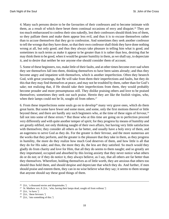4. Many such persons desire to be the favourites of their confessors and to become intimate with them, as a result of which there beset them continual occasions of envy and disquiet.26 They are too much embarrassed to confess their sins nakedly, lest their confessors should think less of them, so they palliate them and make them appear less evil, and thus it is to excuse themselves rather than to accuse themselves that they go to confession. And sometimes they seek another confessor to tell the wrongs that they have done, so that their own confessor shall think they have done nothing wrong at all, but only good; and thus they always take pleasure in telling him what is good, and sometimes in such terms as make it appear to be greater than it is rather than less, desiring that he may think them to be good, when it would be greater humility in them, as we shall say, to depreciate it, and to desire that neither he nor anyone else should consider them of account.

5. Some of these beginners, too, make little of their faults, and at other times become over-sad when they see themselves fall into them, thinking themselves to have been saints already; and thus they become angry and impatient with themselves, which is another imperfection. Often they beseech God, with great yearnings, that He will take from them their imperfections and faults, but they do this that they may find themselves at peace, and may not be troubled by them, rather than for God's sake; not realizing that, if He should take their imperfections from them, they would probably become prouder and more presumptuous still. They dislike praising others and love to be praised themselves; sometimes they seek out such praise. Herein they are like the foolish virgins, who, when their lamps could not be lit, sought oil from others.<sup>27</sup>

6. From these imperfections some souls go on to develop<sup>28</sup> many very grave ones, which do them great harm. But some have fewer and some more, and some, only the first motions thereof or little beyond these; and there are hardly any such beginners who, at the time of these signs of fervour,<sup>29</sup> fall not into some of these errors.<sup>30</sup> But those who at this time are going on to perfection proceed very differently and with quite another temper of spirit; for they progress by means of humility and are greatly edified, not only thinking naught of their own affairs, but having very little satisfaction with themselves; they consider all others as far better, and usually have a holy envy of them, and an eagerness to serve God as they do. For the greater is their fervour, and the more numerous are the works that they perform, and the greater is the pleasure that they take in them, as they progress in humility, the more do they realize how much God deserves of them, and how little is all that they do for His sake; and thus, the more they do, the less are they satisfied. So much would they gladly do from charity and love for Him, that all they do seems to them naught; and so greatly are they importuned, occupied and absorbed by this loving anxiety that they never notice what others do or do not; or if they do notice it, they always believe, as I say, that all others are far better than they themselves. Wherefore, holding themselves as of little worth, they are anxious that others too should thus hold them, and should despise and depreciate that which they do. And further, if men should praise and esteem them, they can in no wise believe what they say; it seems to them strange that anyone should say these good things of them.

<sup>26</sup> [*Lit.*, 'a thousand envies and disquietudes.']

<sup>27</sup> [St. Matthew xxv, 8.](http://www.ccel.org/b/bible/asv/xml/asv.Matt.25.xml#Matt.25.8) [*Lit.*, 'who, having their lamps dead, sought oil from without.']

<sup>28</sup> [*Lit.*, 'to have.']

<sup>29</sup> [*Lit.*, 'these fervours.']

<sup>30</sup> [*Lit.*, 'into something of this.']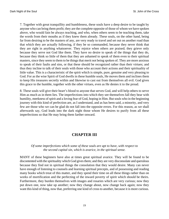7. Together with great tranquillity and humbleness, these souls have a deep desire to be taught by anyone who can bring them profit; they are the complete opposite of those of whom we have spoken above, who would fain be always teaching, and who, when others seem to be teaching them, take the words from their mouths as if they knew them already. These souls, on the other hand, being far from desiring to be the masters of any, are very ready to travel and set out on another road than that which they are actually following, if they be so commanded, because they never think that they are right in anything whatsoever. They rejoice when others are praised; they grieve only because they serve not God like them. They have no desire to speak of the things that they do, because they think so little of them that they are ashamed to speak of them even to their spiritual masters, since they seem to them to be things that merit not being spoken of. They are more anxious to speak of their faults and sins, or that these should be recognized rather than their virtues; and thus they incline to talk of their souls with those who account their actions and their spirituality of little value. This is a characteristic of the spirit which is simple, pure, genuine and very pleasing to God. For as the wise Spirit of God dwells in these humble souls, He moves them and inclines them to keep His treasures secretly within and likewise to cast out from themselves all evil. God gives this grace to the humble, together with the other virtues, even as He denies it to the proud.

<span id="page-23-0"></span>8. These souls will give their heart's blood to anyone that serves God, and will help others to serve Him as much as in them lies. The imperfections into which they see themselves fall they bear with humility, meekness of spirit and a loving fear of God, hoping in Him. But souls who in the beginning journey with this kind of perfection are, as I understand, and as has been said, a minority, and very few are those who we can be glad do not fall into the opposite errors. For this reason, as we shall afterwards say, God leads into the dark night those whom He desires to purify from all these imperfections so that He may bring them farther onward.

#### **CHAPTER III**

#### *Of some imperfections which some of these souls are apt to have, with respect to the second capital sin, which is avarice, in the spiritual sense.*

MANY of these beginners have also at times great spiritual avarice. They will be found to be discontented with the spirituality which God gives them; and they are very disconsolate and querulous because they find not in spiritual things the consolation that they would desire. Many can never have enough of listening to counsels and learning spiritual precepts, and of possessing and reading many books which treat of this matter, and they spend their time on all these things rather than on works of mortification and the perfecting of the inward poverty of spirit which should be theirs. Furthermore, they burden themselves with images and rosaries which are very curious; now they put down one, now take up another; now they change about, now change back again; now they want this kind of thing, now that, preferring one kind of cross to another, because it is more curious.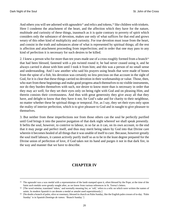And others you will see adorned with agnusdeis<sup>31</sup> and relics and tokens,<sup>32</sup> like children with trinkets. Here I condemn the attachment of the heart, and the affection which they have for the nature, multitude and curiosity of these things, inasmuch as it is quite contrary to poverty of spirit which considers only the substance of devotion, makes use only of what suffices for that end and grows weary of this other kind of multiplicity and curiosity. For true devotion must issue from the heart, and consist in the truth and substances alone of what is represented by spiritual things; all the rest is affection and attachment proceeding from imperfection; and in order that one may pass to any kind of perfection it is necessary for such desires to be killed.

2. I knew a person who for more than ten years made use of a cross roughly formed from a branch<sup>33</sup> that had been blessed, fastened with a pin twisted round it; he had never ceased using it, and he always carried it about with him until I took it from him; and this was a person of no small sense and understanding. And I saw another who said his prayers using beads that were made of bones from the spine of a fish; his devotion was certainly no less precious on that account in the sight of God, for it is clear that these things carried no devotion in their workmanship or value. Those, then, who start from these beginnings and make good progress attach themselves to no visible instruments, nor do they burden themselves with such, nor desire to know more than is necessary in order that they may act well; for they set their eyes only on being right with God and on pleasing Him, and therein consists their covetousness. And thus with great generosity they give away all that they have, and delight to know that they have it not, for God's sake and for charity to their neighbour, no matter whether these be spiritual things or temporal. For, as I say, they set their eyes only upon the reality of interior perfection, which is to give pleasure to God and in naught to give pleasure to themselves.

<span id="page-24-0"></span>3. But neither from these imperfections nor from those others can the soul be perfectly purified until God brings it into the passive purgation of that dark night whereof we shall speak presently. It befits the soul, however, to contrive to labour, in so far as it can, on its own account, to the end that it may purge and perfect itself, and thus may merit being taken by God into that Divine care wherein it becomes healed of all things that it was unable of itself to cure. Because, however greatly the soul itself labours, it cannot actively purify itself so as to be in the least degree prepared for the Divine union of perfection of love, if God takes not its hand and purges it not in that dark fire, in the way and manner that we have to describe.

## **CHAPTER IV**

<sup>&</sup>lt;sup>31</sup> The *agnusdei* was a wax medal with a representation of the lamb stamped upon it, often blessed by the Pope; at the time of the Saint such medals were greatly sought after, as we know from various references in St. Teresa's letters.

<sup>&</sup>lt;sup>32</sup> [The word *nómina*, translated 'token,' and normally meaning list, or 'roll,' refers to a relic on which were written the names of saints. In modern Spanish it can denote a medal or amulet used superstitiously.]

<sup>33</sup> [No doubt a branch of palm, olive or rosemary, blessed in church on Palm Sunday, like the English palm crosses of to-day. 'Palm Sunday' is in Spanish *Domingo de ramos:* 'Branch Sunday.']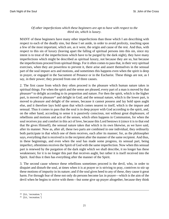#### *Of other imperfections which these beginners are apt to have with respect to the third sin, which is luxury.*

MANY of these beginners have many other imperfections than those which I am describing with respect to each of the deadly sins, but these I set aside, in order to avoid prolixity, touching upon a few of the most important, which are, as it were, the origin and cause of the rest. And thus, with respect to this sin of luxury (leaving apart the falling of spiritual persons into this sin, since my intent is to treat of the imperfections which have to be purged by the dark night), they have many imperfections which might be described as spiritual luxury, not because they are so, but because the imperfections proceed from spiritual things. For it often comes to pass that, in their very spiritual exercises, when they are powerless to prevent it, there arise and assert themselves in the sensual part of the soul impure acts and motions, and sometimes this happens even when the spirit is deep in prayer, or engaged in the Sacrament of Penance or in the Eucharist. These things are not, as I say, in their power; they proceed from one of three causes.

2. The first cause from which they often proceed is the pleasure which human nature takes in spiritual things. For when the spirit and the sense are pleased, every part of a man is moved by that pleasure34 to delight according to its proportion and nature. For then the spirit, which is the higher part, is moved to pleasure<sup>35</sup> and delight in God; and the sensual nature, which is the lower part, is moved to pleasure and delight of the senses, because it cannot possess and lay hold upon aught else, and it therefore lays hold upon that which comes nearest to itself, which is the impure and sensual. Thus it comes to pass that the soul is in deep prayer with God according to the spirit, and, on the other hand, according to sense it is passively conscious, not without great displeasure, of rebellions and motions and acts of the senses, which often happens in Communion, for when the soul receives joy and comfort in this act of love, because this Lord bestows it (since it is to that end that He gives Himself), the sensual nature takes that which is its own likewise, as we have said, after its manner. Now as, after all, these two parts are combined in one individual, they ordinarily both participate in that which one of them receives, each after its manner; for, as the philosopher says, everything that is received is in the recipient after the manner of the same recipient. And thus, in these beginnings, and even when the soul has made some progress, its sensual part, being imperfect, oftentimes receives the Spirit of God with the same imperfection. Now when this sensual part is renewed by the purgation of the dark night which we shall describe, it no longer has these weaknesses; for it is no longer this part that receives aught, but rather it is itself received into the Spirit. And thus it then has everything after the manner of the Spirit.

3. The second cause whence these rebellions sometimes proceed is the devil, who, in order to disquiet and disturb the soul, at times when it is at prayer or is striving to pray, contrives to stir up these motions of impurity in its nature; and if the soul gives heed to any of these, they cause it great harm. For through fear of these not only do persons become lax in prayer—which is the aim of the devil when he begins to strive with them—but some give up prayer altogether, because they think

<sup>34</sup> [*Lit.*, 'recreation.']

<sup>35</sup> [*Lit.*, 'recreation.']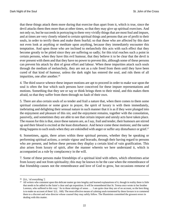that these things attack them more during that exercise than apart from it, which is true, since the devil attacks them then more than at other times, so that they may give up spiritual exercises. And not only so, but he succeeds in portraying to them very vividly things that are most foul and impure, and at times are very closely related to certain spiritual things and persons that are of profit to their souls, in order to terrify them and make them fearful; so that those who are affected by this dare not even look at anything or meditate upon anything, because they immediately encounter this temptation. And upon those who are inclined to melancholy this acts with such effect that they become greatly to be pitied since they are suffering so sadly; for this trial reaches such a point in certain persons, when they have this evil humour, that they believe it to be clear that the devil is ever present with them and that they have no power to prevent this, although some of these persons can prevent his attack by dint of great effort and labour. When these impurities attack such souls through the medium of melancholy, they are not as a rule freed from them until they have been cured of that kind of humour, unless the dark night has entered the soul, and rids them of all impurities, one after another.<sup>36</sup>

4. The third source whence these impure motions are apt to proceed in order to make war upon the soul is often the fear which such persons have conceived for these impure representations and motions. Something that they see or say or think brings them to their mind, and this makes them afraid, so that they suffer from them through no fault of their own.

5. There are also certain souls of so tender and frail a nature that, when there comes to them some spiritual consolation or some grace in prayer, the spirit of luxury is with them immediately, inebriating and delighting their sensual nature in such manner that it is as if they were plunged into the enjoyment and pleasure of this sin; and the enjoyment remains, together with the consolation, passively, and sometimes they are able to see that certain impure and unruly acts have taken place. The reason for this is that, since these natures are, as I say, frail and tender, their humours are stirred up and their blood is excited at the least disturbance. And hence come these motions; and the same thing happens to such souls when they are enkindled with anger or suffer any disturbance or grief.<sup>37</sup>

6. Sometimes, again, there arises within these spiritual persons, whether they be speaking or performing spiritual actions, a certain vigour and bravado, through their having regard to persons who are present, and before these persons they display a certain kind of vain gratification. This also arises from luxury of spirit, after the manner wherein we here understand it, which is accompanied as a rule by complacency in the will.

7. Some of these persons make friendships of a spiritual kind with others, which oftentimes arise from luxury and not from spirituality; this may be known to be the case when the remembrance of that friendship causes not the remembrance and love of God to grow, but occasions remorse of

<sup>36</sup> [*Lit.*, 'of everything.']

<sup>&</sup>lt;sup>37</sup> All writers who comment upon this delicate matter go into lengthy and learned explanations of it, though in reality there is little that needs to be added to the Saint's clear and apt exposition. It will be remembered that St. Teresa once wrote to her brother Lorenzo, who suffered in this way: 'As to those stirrings of sense. . . . I am quite clear they are of no account, so the best thing is to make no account of them' (LL. 168). The most effective means of calming souls tormented by these favours is to commend them to a discreet and wise director whose counsel they may safely follow. The Illuminists committed the grossest errors in dealing with this matter.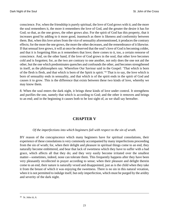conscience. For, when the friendship is purely spiritual, the love of God grows with it; and the more the soul remembers it, the more it remembers the love of God, and the greater the desire it has for God; so that, as the one grows, the other grows also. For the spirit of God has this property, that it increases good by adding to it more good, inasmuch as there is likeness and conformity between them. But, when this love arises from the vice of sensuality aforementioned, it produces the contrary effects; for the more the one grows, the more the other decreases, and the remembrance of it likewise. If that sensual love grows, it will at once be observed that the soul's love of God is becoming colder, and that it is forgetting Him as it remembers that love; there comes to it, too, a certain remorse of conscience. And, on the other hand, if the love of God grows in the soul, that other love becomes cold and is forgotten; for, as the two are contrary to one another, not only does the one not aid the other, but the one which predominates quenches and confounds the other, and becomes strengthened in itself, as the philosophers say. Wherefore Our Saviour said in the Gospel: 'That which is born of the flesh is flesh, and that which is born of the Spirit is spirit.'38 That is to say, the love which is born of sensuality ends in sensuality, and that which is of the spirit ends in the spirit of God and causes it to grow. This is the difference that exists between these two kinds of love, whereby we may know them.

<span id="page-27-0"></span>8. When the soul enters the dark night, it brings these kinds of love under control. It strengthens and purifies the one, namely that which is according to God; and the other it removes and brings to an end; and in the beginning it causes both to be lost sight of, as we shall say hereafter.

## **CHAPTER V**

#### *Of the imperfections into which beginners fall with respect to the sin of wrath.*

BY reason of the concupiscence which many beginners have for spiritual consolations, their experience of these consolations is very commonly accompanied by many imperfections proceeding from the sin of wrath; for, when their delight and pleasure in spiritual things come to an end, they naturally become embittered, and bear that lack of sweetness which they have to suffer with a bad grace, which affects all that they do; and they very easily become irritated over the smallest matter—sometimes, indeed, none can tolerate them. This frequently happens after they have been very pleasantly recollected in prayer according to sense; when their pleasure and delight therein come to an end, their nature is naturally vexed and disappointed, just as is the child when they take it from the breast of which it was enjoying the sweetness. There is no sin in this natural vexation, when it is not permitted to indulge itself, but only imperfection, which must be purged by the aridity and severity of the dark night.

<sup>38</sup> [St. John iii, 6.](http://www.ccel.org/b/bible/asv/xml/asv.John.3.xml#John.3.6)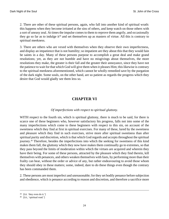2. There are other of these spiritual persons, again, who fall into another kind of spiritual wrath: this happens when they become irritated at the sins of others, and keep watch on those others with a sort of uneasy zeal. At times the impulse comes to them to reprove them angrily, and occasionally they go so far as to indulge it<sup>39</sup> and set themselves up as masters of virtue. All this is contrary to spiritual meekness.

3. There are others who are vexed with themselves when they observe their own imperfectness, and display an impatience that is not humility; so impatient are they about this that they would fain be saints in a day. Many of these persons purpose to accomplish a great deal and make grand resolutions; yet, as they are not humble and have no misgivings about themselves, the more resolutions they make, the greater is their fall and the greater their annoyance, since they have not the patience to wait for that which God will give them when it pleases Him; this likewise is contrary to the spiritual meekness aforementioned, which cannot be wholly remedied save by the purgation of the dark night. Some souls, on the other hand, are so patient as regards the progress which they desire that God would gladly see them less so.

## **CHAPTER VI**

#### *Of imperfections with respect to spiritual gluttony.*

<span id="page-28-0"></span>WITH respect to the fourth sin, which is spiritual gluttony, there is much to be said, for there is scarce one of these beginners who, however satisfactory his progress, falls not into some of the many imperfections which come to these beginners with respect to this sin, on account of the sweetness which they find at first in spiritual exercises. For many of these, lured by the sweetness and pleasure which they find in such exercises, strive more after spiritual sweetness than after spiritual purity and discretion, which is that which God regards and accepts throughout the spiritual journey.40 Therefore, besides the imperfections into which the seeking for sweetness of this kind makes them fall, the gluttony which they now have makes them continually go to extremes, so that they pass beyond the limits of moderation within which the virtues are acquired and wherein they have their being. For some of these persons, attracted by the pleasure which they find therein, kill themselves with penances, and others weaken themselves with fasts, by performing more than their frailty can bear, without the order or advice of any, but rather endeavouring to avoid those whom they should obey in these matters; some, indeed, dare to do these things even though the contrary has been commanded them.

2. These persons are most imperfect and unreasonable; for they set bodily penance before subjection and obedience, which is penance according to reason and discretion, and therefore a sacrifice more

<sup>39</sup> [*Lit.* 'they even do it.']

<sup>40</sup> [*Lit.*, 'spiritual road.']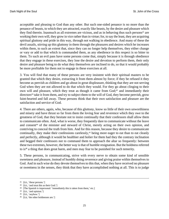acceptable and pleasing to God than any other. But such one-sided penance is no more than the penance of beasts, to which they are attracted, exactly like beasts, by the desire and pleasure which they find therein. Inasmuch as all extremes are vicious, and as in behaving thus such persons41 are working their own will, they grow in vice rather than in virtue; for, to say the least, they are acquiring spiritual gluttony and pride in this way, through not walking in obedience. And many of these the devil assails, stirring up this gluttony in them through the pleasures and desires which he increases within them, to such an extent that, since they can no longer help themselves, they either change or vary or add to that which is commanded them, as any obedience in this respect is so bitter to them. To such an evil pass have some persons come that, simply because it is through obedience that they engage in these exercises, they lose the desire and devotion to perform them, their only desire and pleasure being to do what they themselves are inclined to do, so that it would probably be more profitable for them not to engage in these exercises at all.

3. You will find that many of these persons are very insistent with their spiritual masters to be granted that which they desire, extracting it from them almost by force; if they be refused it they become as peevish as children and go about in great displeasure, thinking that they are not serving God when they are not allowed to do that which they would. For they go about clinging to their own will and pleasure, which they treat as though it came from  $God;42$  and immediately their directors<sup>43</sup> take it from them, and try to subject them to the will of God, they become peevish, grow faint-hearted and fall away. These persons think that their own satisfaction and pleasure are the satisfaction and service of God.

4. There are others, again, who, because of this gluttony, know so little of their own unworthiness and misery and have thrust so far from them the loving fear and reverence which they owe to the greatness of God, that they hesitate not to insist continually that their confessors shall allow them to communicate often. And, what is worse, they frequently dare to communicate without the leave and consent<sup>44</sup> of the minister and steward of Christ, merely acting on their own opinion, and contriving to conceal the truth from him. And for this reason, because they desire to communicate continually, they make their confessions carelessly,<sup>45</sup> being more eager to eat than to eat cleanly and perfectly, although it would be healthier and holier for them had they the contrary inclination and begged their confessors not to command them to approach the altar so frequently: between these two extremes, however, the better way is that of humble resignation. But the boldness referred to is<sup>46</sup> a thing that does great harm, and men may fear to be punished for such temerity.

5. These persons, in communicating, strive with every nerve to obtain some kind of sensible sweetness and pleasure, instead of humbly doing reverence and giving praise within themselves to God. And in such wise do they devote themselves to this that, when they have received no pleasure or sweetness in the senses, they think that they have accomplished nothing at all. This is to judge

<sup>41</sup> [*Lit.*, 'these persons.']

<sup>42</sup> [*Lit.*, 'and treat this as their God.']

<sup>43</sup> [The Spanish is impersonal: 'immediately this is taken from them,' etc.]

<sup>44</sup> [*Lit.*, 'and opinion.']

<sup>45</sup> [*Lit.*, 'anyhow.']

<sup>46</sup> [Lit, 'the other boldnesses are.']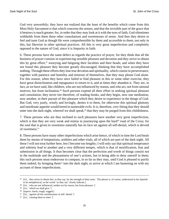God very unworthily; they have not realized that the least of the benefits which come from this Most Holy Sacrament is that which concerns the senses; and that the invisible part of the grace that it bestows is much greater; for, in order that they may look at it with the eyes of faith, God oftentimes withholds from them these other consolations and sweetnesses of sense. And thus they desire to feel and taste God as though He were comprehensible by them and accessible to them, not only in this, but likewise in other spiritual practices. All this is very great imperfection and completely opposed to the nature of God, since it is Impurity in faith.

6. These persons have the same defect as regards the practice of prayer, for they think that all the business of prayer consists in experiencing sensible pleasure and devotion and they strive to obtain this by great effort, $47$  wearying and fatiguing their faculties and their heads; and when they have not found this pleasure they become greatly discouraged, thinking that they have accomplished nothing. Through these efforts they lose true devotion and spirituality, which consist in perseverance, together with patience and humility and mistrust of themselves, that they may please God alone. For this reason, when they have once failed to find pleasure in this or some other exercise, they have great disinclination and repugnance to return to it, and at times they abandon it. They are, in fact, as we have said, like children, who are not influenced by reason, and who act, not from rational motives, but from inclination.48 Such persons expend all their effort in seeking spiritual pleasure and consolation; they never tire therefore, of reading books; and they begin, now one meditation, now another, in their pursuit of this pleasure which they desire to experience in the things of God. But God, very justly, wisely and lovingly, denies it to them, for otherwise this spiritual gluttony and inordinate appetite would breed in numerable evils. It is, therefore, very fitting that they should enter into the dark night, whereof we shall speak,<sup>49</sup> that they may be purged from this childishness.

7. These persons who are thus inclined to such pleasures have another very great imperfection, which is that they are very weak and remiss in journeying upon the hard<sup>50</sup> road of the Cross; for the soul that is given to sweetness naturally has its face set against all self-denial, which is devoid of sweetness.<sup>51</sup>

8. These persons have many other imperfections which arise hence, of which in time the Lord heals them by means of temptations, aridities and other trials, all of which are part of the dark night. All these I will not treat further here, lest I become too lengthy; I will only say that spiritual temperance and sobriety lead to another and a very different temper, which is that of mortification, fear and submission in all things. It thus becomes clear that the perfection and worth of things consist not in the multitude and the pleasantness of one's actions, but in being able to deny oneself in them; this such persons must endeavour to compass, in so far as they may, until God is pleased to purify them indeed, by bringing them<sup>52</sup> into the dark night, to arrive at which I am hastening on with my account of these imperfections.

<sup>&</sup>lt;sup>47</sup> [*Lit.*, 'they strive to obtain this, as they say, by the strength of their arms.' The phrase is, of course, understood in the Spanish to be metaphorical, as the words 'as they say' clearly indicate.]

<sup>&</sup>lt;sup>48</sup> [*Lit.*, 'who are not influenced, neither act by reason, but from pleasure.']

<sup>49</sup> [*Lit.*, 'which we shall give.']

<sup>50</sup> [*áspero:* harsh, rough, rugged.]

<sup>51</sup> [*Lit.*, 'against all the sweetlessness of self- denial.']

<sup>52</sup> [*Lit.*, 'causing them to enter.']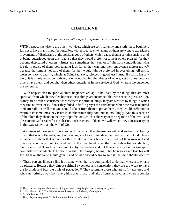#### **CHAPTER VII**

#### *Of imperfections with respect to spiritual envy and sloth.*

<span id="page-31-0"></span>WITH respect likewise to the other two vices, which are spiritual envy and sloth, these beginners fail not to have many imperfections. For, with respect to envy, many of them are wont to experience movements of displeasure at the spiritual good of others, which cause them a certain sensible grief at being outstripped upon this road, so that they would prefer not to hear others praised; for they become displeased at others' virtues and sometimes they cannot refrain from contradicting what is said in praise of them, depreciating it as far as they can; and their annoyance thereat grows<sup>53</sup> because the same is not said of them, for they would fain be preferred in everything. All this is clean contrary to charity, which, as Saint Paul says, rejoices in goodness.54 And, if charity has any envy, it is a holy envy, comprising grief at not having the virtues of others, yet also joy because others have them, and delight when others outstrip us in the service of God, wherein we ourselves are so remiss.

2. With respect also to spiritual sloth, beginners are apt to be irked by the things that are most spiritual, from which they flee because these things are incompatible with sensible pleasure. For, as they are so much accustomed to sweetness in spiritual things, they are wearied by things in which they find no sweetness. If once they failed to find in prayer the satisfaction which their taste required (and after all it is well that God should take it from them to prove them), they would prefer not to return to it: sometimes they leave it; at other times they continue it unwillingly. And thus because of this sloth they abandon the way of perfection (which is the way of the negation of their will and pleasure for God's sake) for the pleasure and sweetness of their own will, which they aim at satisfying in this way rather than the will of God.

3. And many of these would have God will that which they themselves will, and are fretful at having to will that which He wills, and find it repugnant to accommodate their will to that of God. Hence it happens to them that oftentimes they think that that wherein they find not their own will and pleasure is not the will of God; and that, on the other hand, when they themselves find satisfaction, God is satisfied. Thus they measure God by themselves and not themselves by God, acting quite contrarily to that which He Himself taught in the Gospel, saying: That he who should lose his will for His sake, the same should gain it; and he who should desire to gain it, the same should lose it.<sup>55</sup>

4. These persons likewise find it irksome when they are commanded to do that wherein they take no pleasure. Because they aim at spiritual sweetness and consolation, they are too weak to have the fortitude and bear the trials of perfection.<sup>56</sup> They resemble those who are softly nurtured and who run fretfully away from everything that is hard, and take offense at the Cross, wherein consist

<sup>53</sup> [*Lit.*, 'and, as they say, their eye (*el ojo*) grows'—a colloquial phrase expressing annoyance.]

<sup>54</sup> [1 Corinthians xiii, 6](http://www.ccel.org/b/bible/asv/xml/asv.iCor.13.xml#iCor.13.6). The Saint here cites the sense, not the letter, of the epistle.

<sup>55</sup> [St. Matthew xvi, 25](http://www.ccel.org/b/bible/asv/xml/asv.Matt.16.xml#Matt.16.25).

<sup>56</sup> [*Lit.*, 'they are very weak for the fortitude and trial of perfection.']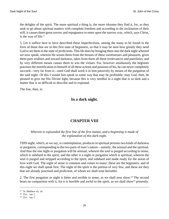the delights of the spirit. The more spiritual a thing is, the more irksome they find it, for, as they seek to go about spiritual matters with complete freedom and according to the inclination of their will, it causes them great sorrow and repugnance to enter upon the narrow way, which, says Christ, is the way of life.<sup>57</sup>

5. Let it suffice here to have described these imperfections, among the many to be found in the lives of those that are in this first state of beginners, so that it may be seen how greatly they need God to set them in the state of proficients. This He does by bringing them into the dark night whereof we now speak; wherein He weans them from the breasts of these sweetnesses and pleasures, gives them pure aridities and inward darkness, takes from them all these irrelevances and puerilities, and by very different means causes them to win the virtues. For, however assiduously the beginner practises the mortification in himself of all these actions and passions of his, he can never completely succeed—very far from it—until God shall work it in him passively by means of the purgation of the said night. Of this I would fain speak in some way that may be profitable; may God, then, be pleased to give me His Divine light, because this is very needful in a night that is so dark and a matter that is so difficult to describe and to expound.

<span id="page-32-0"></span>The line, then, is:

## **In a dark night.**

## **CHAPTER VIII**

#### *Wherein is expounded the first line of the first stanza, and a beginning is made of the explanation of this dark night.*

THIS night, which, as we say, is contemplation, produces in spiritual persons two kinds of darkness or purgation, corresponding to the two parts of man's nature—namely, the sensual and the spiritual. And thus the one night or purgation will be sensual, wherein the soul is purged according to sense, which is subdued to the spirit; and the other is a night or purgation which is spiritual, wherein the soul is purged and stripped according to the spirit, and subdued and made ready for the union of love with God. The night of sense is common and comes to many: these are the beginners; and of this night we shall speak first. The night of the spirit is the portion of very few, and these are they that are already practised and proficient, of whom we shall treat hereafter.

2. The first purgation or night is bitter and terrible to sense, as we shall now show.58 The second bears no comparison with it, for it is horrible and awful to the spirit, as we shall show<sup>59</sup> presently.

<sup>57</sup> [St. Matthew vii, 14](http://www.ccel.org/b/bible/asv/xml/asv.Matt.7.xml#Matt.7.14).

<sup>58</sup> [*Lit.*, 'say.']

<sup>59</sup> [*Lit.*, 'say.']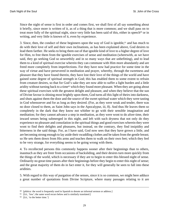Since the night of sense is first in order and comes first, we shall first of all say something about it briefly, since more is written of it, as of a thing that is more common; and we shall pass on to treat more fully of the spiritual night, since very little has been said of this, either in speech $\omega$  or in writing, and very little is known of it, even by experience.

3. Since, then, the conduct of these beginners upon the way of God is ignoble,<sup> $61$ </sup> and has much to do with their love of self and their own inclinations, as has been explained above, God desires to lead them farther. He seeks to bring them out of that ignoble kind of love to a higher degree of love for Him, to free them from the ignoble exercises of sense and meditation (wherewith, as we have said, they go seeking God so unworthily and in so many ways that are unbefitting), and to lead them to a kind of spiritual exercise wherein they can commune with Him more abundantly and are freed more completely from imperfections. For they have now had practice for some time in the way of virtue and have persevered in meditation and prayer, whereby, through the sweetness and pleasure that they have found therein, they have lost their love of the things of the world and have gained some degree of spiritual strength in God; this has enabled them to some extent to refrain from creature desires, so that for God's sake they are now able to suffer a light burden and a little aridity without turning back to a time<sup>62</sup> which they found more pleasant. When they are going about these spiritual exercises with the greatest delight and pleasure, and when they believe that the sun of Divine favour is shining most brightly upon them, God turns all this light of theirs into darkness, and shuts against them the door and the source of the sweet spiritual water which they were tasting in God whensoever and for as long as they desired. (For, as they were weak and tender, there was no door closed to them, as Saint John says in the [Apocalypse, iii, 8\)](http://www.ccel.org/b/bible/asv/xml/asv.Rev.3.xml#Rev.3.8). And thus He leaves them so completely in the dark that they know not whither to go with their sensible imagination and meditation; for they cannot advance a step in meditation, as they were wont to do afore time, their inward senses being submerged in this night, and left with such dryness that not only do they experience no pleasure and consolation in the spiritual things and good exercises wherein they were wont to find their delights and pleasures, but instead, on the contrary, they find insipidity and bitterness in the said things. For, as I have said, God now sees that they have grown a little, and are becoming strong enough to lay aside their swaddling clothes and be taken from the gentle breast; so He sets them down from His arms and teaches them to walk on their own feet; which they feel to be very strange, for everything seems to be going wrong with them.

4. To recollected persons this commonly happens sooner after their beginnings than to others, inasmuch as they are freer from occasions of backsliding, and their desires turn more quickly from the things of the world, which is necessary if they are to begin to enter this blessed night of sense. Ordinarily no great time passes after their beginnings before they begin to enter this night of sense; and the great majority of them do in fact enter it, for they will generally be seen to fall into these aridities.

5. With regard to this way of purgation of the senses, since it is so common, we might here adduce a great number of quotations from Divine Scripture, where many passages relating to it are

<sup>60</sup> [*plática:* the word is frequently used in Spanish to denote an informal sermon or address.]

<sup>&</sup>lt;sup>61</sup> [*Lit.*, 'low'; the same word recurs below and is similarly translated.]

<sup>62</sup> [*Lit.*, 'to the better time.']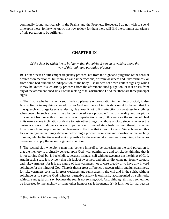<span id="page-34-0"></span>continually found, particularly in the Psalms and the Prophets. However, I do not wish to spend time upon these, for he who knows not how to look for them there will find the common experience of this purgation to be sufficient.

## **CHAPTER IX**

#### *Of the signs by which it will be known that the spiritual person is walking along the way of this night and purgation of sense.*

BUT since these aridities might frequently proceed, not from the night and purgation of the sensual desires aforementioned, but from sins and imperfections, or from weakness and lukewarmness, or from some bad humour or indisposition of the body, I shall here set down certain signs by which it may be known if such aridity proceeds from the aforementioned purgation, or if it arises from any of the aforementioned sins. For the making of this distinction I find that there are three principal signs.

2. The first is whether, when a soul finds no pleasure or consolation in the things of God, it also fails to find it in any thing created; for, as God sets the soul in this dark night to the end that He may quench and purge its sensual desire, He allows it not to find attraction or sweetness in anything whatsoever. In such a case it may be considered very probable<sup>63</sup> that this aridity and insipidity proceed not from recently committed sins or imperfections. For, if this were so, the soul would feel in its nature some inclination or desire to taste other things than those of God; since, whenever the desire is allowed indulgence in any imperfection, it immediately feels inclined thereto, whether little or much, in proportion to the pleasure and the love that it has put into it. Since, however, this lack of enjoyment in things above or below might proceed from some indisposition or melancholy humour, which oftentimes makes it impossible for the soul to take pleasure in anything, it becomes necessary to apply the second sign and condition.

3. The second sign whereby a man may believe himself to be experiencing the said purgation is that the memory is ordinarily centred upon God, with painful care and solicitude, thinking that it is not serving God, but is backsliding, because it finds itself without sweetness in the things of God. And in such a case it is evident that this lack of sweetness and this aridity come not from weakness and lukewarmness; for it is the nature of lukewarmness not to care greatly or to have any inward solicitude for the things of God. There is thus a great difference between aridity and lukewarmness, for lukewarmness consists in great weakness and remissness in the will and in the spirit, without solicitude as to serving God; whereas purgative aridity is ordinarily accompanied by solicitude, with care and grief as I say, because the soul is not serving God. And, although this may sometimes be increased by melancholy or some other humour (as it frequently is), it fails not for that reason

<sup>63</sup> [*Lit.*, 'And in this it is known very probably.']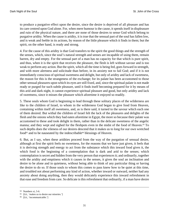to produce a purgative effect upon the desire, since the desire is deprived of all pleasure and has its care centred upon God alone. For, when mere humour is the cause, it spends itself in displeasure and ruin of the physical nature, and there are none of those desires to sense God which belong to purgative aridity. When the cause is aridity, it is true that the sensual part of the soul has fallen low, and is weak and feeble in its actions, by reason of the little pleasure which it finds in them; but the spirit, on the other hand, is ready and strong.

4. For the cause of this aridity is that God transfers to the spirit the good things and the strength of the senses, which, since the soul's natural strength and senses are incapable of using them, remain barren, dry and empty. For the sensual part of a man has no capacity for that which is pure spirit, and thus, when it is the spirit that receives the pleasure, the flesh is left without savour and is too weak to perform any action. But the spirit, which all the time is being fed, goes forward in strength, and with more alertness and solicitude than before, in its anxiety not to fail God; and if it is not immediately conscious of spiritual sweetness and delight, but only of aridity and lack of sweetness, the reason for this is the strangeness of the exchange; for its palate has been accustomed to those other sensual pleasures upon which its eyes are still fixed, and, since the spiritual palate is not made ready or purged for such subtle pleasure, until it finds itself becoming prepared for it by means of this arid and dark night, it cannot experience spiritual pleasure and good, but only aridity and lack of sweetness, since it misses the pleasure which aforetime it enjoyed so readily.

5. These souls whom God is beginning to lead through these solitary places of the wilderness are like to the children of Israel, to whom in the wilderness God began to give food from Heaven, containing within itself all sweetness, and, as is there said, it turned to the savour which each one of them desired. But withal the children of Israel felt the lack of the pleasures and delights of the flesh and the onions which they had eaten aforetime in Egypt, the more so because their palate was accustomed to these and took delight in them, rather than in the delicate sweetness of the angelic manna; and they wept and sighed for the fleshpots even in the midst of the food of Heaven.64 To such depths does the vileness of our desires descend that it makes us to long for our own wretched food<sup>65</sup> and to be nauseated by the indescribable<sup>66</sup> blessings of Heaven.

6. But, as I say, when these aridities proceed from the way of the purgation of sensual desire, although at first the spirit feels no sweetness, for the reasons that we have just given, it feels that it is deriving strength and energy to act from the substance which this inward food gives it, the which food is the beginning of a contemplation that is dark and arid to the senses; which contemplation is secret and hidden from the very person that experiences it; and ordinarily, together with the aridity and emptiness which it causes in the senses, it gives the soul an inclination and desire to be alone and in quietness, without being able to think of any particular thing or having the desire to do so. If those souls to whom this comes to pass knew how to be quiet at this time, and troubled not about performing any kind of action, whether inward or outward, neither had any anxiety about doing anything, then they would delicately experience this inward refreshment in that ease and freedom from care. So delicate is this refreshment that ordinarily, if a man have desire

<sup>64</sup> [Numbers xi, 5-6.](http://www.ccel.org/b/bible/asv/xml/asv.Num.11.xml#Num.11.5)

<sup>65</sup> [*Lit.*, 'makes us to desire our miseries.']

<sup>66</sup> [*Lit.*, 'incommunicable.']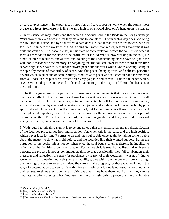or care to experience it, he experiences it not; for, as I say, it does its work when the soul is most at ease and freest from care; it is like the air which, if one would close one's hand upon it, escapes.

7. In this sense we may understand that which the Spouse said to the Bride in the Songs, namely: 'Withdraw thine eyes from me, for they make me to soar aloft.'67 For in such a way does God bring the soul into this state, and by so different a path does He lead it that, if it desires to work with its faculties, it hinders the work which God is doing in it rather than aids it; whereas aforetime it was quite the contrary. The reason is that, in this state of contemplation, which the soul enters when it forsakes meditation for the state of the proficient, it is God Who is now working in the soul; He binds its interior faculties, and allows it not to cling to the understanding, nor to have delight in the will, nor to reason with the memory. For anything that the soul can do of its own accord at this time serves only, as we have said, to hinder inward peace and the work which God is accomplishing in the spirit by means of that aridity of sense. And this peace, being spiritual and delicate, performs a work which is quiet and delicate, solitary, productive of peace and satisfaction<sup>68</sup> and far removed from all those earlier pleasures, which were very palpable and sensual. This is the peace which, says David, God speaks in the soul to the end that He may make it spiritual.<sup>69</sup> And this leads us to the third point.

8. The third sign whereby this purgation of sense may be recognized is that the soul can no longer meditate or reflect in the imaginative sphere of sense as it was wont, however much it may of itself endeavour to do so. For God now begins to communicate Himself to it, no longer through sense, as He did aforetime, by means of reflections which joined and sundered its knowledge, but by pure spirit, into which consecutive reflections enter not; but He communicates Himself to it by an act of simple contemplation, to which neither the exterior nor the interior senses of the lower part of the soul can attain. From this time forward, therefore, imagination and fancy can find no support in any meditation, and can gain no foothold by means thereof.

9. With regard to this third sign, it is to be understood that this embarrassment and dissatisfaction of the faculties proceed not from indisposition, for, when this is the case, and the indisposition, which never lasts for long,<sup>70</sup> comes to an end, the soul is able once again, by taking some trouble about the matter, to do what it did before, and the faculties find their wonted support. But in the purgation of the desire this is not so: when once the soul begins to enter therein, its inability to reflect with the faculties grows ever greater. For, although it is true that at first, and with some persons, the process is not as continuous as this, so that occasionally they fail to abandon their pleasures and reflections of sense (for perchance by reason of their weakness it was not fitting to wean them from these immediately), yet this inability grows within them more and more and brings the workings of sense to an end, if indeed they are to make progress, for those who walk not in the way of contemplation act very differently. For this night of aridities is not usually continuous in their senses. At times they have these aridities; at others they have them not. At times they cannot meditate; at others they can. For God sets them in this night only to prove them and to humble

<sup>67</sup> [Canticles vi, 4](http://www.ccel.org/b/bible/asv/xml/asv.Song.6.xml#Song.6.4) [A.V., vi, 5].

<sup>68</sup> [*Lit.*, 'satisfactory and pacific.']

<sup>69</sup> [Psalm lxxxiv, 9](http://www.ccel.org/b/bible/asv/xml/asv.Ps.84.xml#Ps.84.9) [A.V., [lxxxv, 8](http://www.ccel.org/b/bible/asv/xml/asv.Ps.85.xml#Ps.85.8)].

<sup>&</sup>lt;sup>70</sup> [The stress here is evidently on the transience of the distempers whether they be moral or physical.]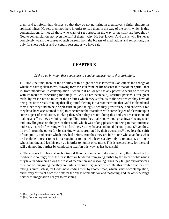them, and to reform their desires, so that they go not nurturing in themselves a sinful gluttony in spiritual things. He sets them not there in order to lead them in the way of the spirit, which is this contemplation; for not all those who walk of set purpose in the way of the spirit are brought by God to contemplation, nor even the half of them—why, He best knows. And this is why He never completely weans the senses of such persons from the breasts of meditations and reflections, but only for short periods and at certain seasons, as we have said.

## **CHAPTER X**

#### *Of the way in which these souls are to conduct themselves in this dark night.*

DURING the time, then, of the aridities of this night of sense (wherein God effects the change of which we have spoken above, drawing forth the soul from the life of sense into that of the spirit—that is, from meditation to contemplation—wherein it no longer has any power to work or to reason with its faculties concerning the things of God, as has been said), spiritual persons suffer great trials, by reason not so much of the aridities which they suffer, as of the fear which they have of being lost on the road, thinking that all spiritual blessing is over for them and that God has abandoned them since they find no help or pleasure in good things. Then they grow weary, and endeavour (as they have been accustomed to do) to concentrate their faculties with some degree of pleasure upon some object of meditation, thinking that, when they are not doing this and yet are conscious of making an effort, they are doing nothing. This effort they make not without great inward repugnance and unwillingness on the part of their soul, which was taking pleasure in being in that quietness and ease, instead of working with its faculties. So they have abandoned the one pursuit, $71$  yet draw no profit from the other; for, by seeking what is prompted by their own spirit,<sup>72</sup> they lose the spirit of tranquillity and peace which they had before. And thus they are like to one who abandons what he has done in order to do it over again, or to one who leaves a city only to re-enter it, or to one who is hunting and lets his prey go in order to hunt it once more. This is useless here, for the soul will gain nothing further by conducting itself in this way, as has been said.

2. These souls turn back at such a time if there is none who understands them; they abandon the road or lose courage; or, at the least, they are hindered from going farther by the great trouble which they take in advancing along the road of meditation and reasoning. Thus they fatigue and overwork their nature, imagining that they are failing through negligence or sin. But this trouble that they are taking is quite useless, for God is now leading them by another road, which is that of contemplation, and is very different from the first; for the one is of meditation and reasoning, and the other belongs neither to imagination nor yet to reasoning.

<sup>71</sup> [*Lit.*, 'spoiling themselves in the one.']

<sup>72</sup> [*Lit.*, 'because they seek their spirit.']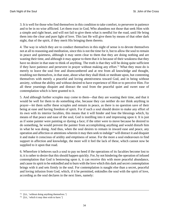3. It is well for those who find themselves in this condition to take comfort, to persevere in patience and to be in no wise afflicted. Let them trust in God, Who abandons not those that seek Him with a simple and right heart, and will not fail to give them what is needful for the road, until He bring them into the clear and pure light of love. This last He will give them by means of that other dark night, that of the spirit, if they merit His bringing them thereto.

4. The way in which they are to conduct themselves in this night of sense is to devote themselves not at all to reasoning and meditation, since this is not the time for it, but to allow the soul to remain in peace and quietness, although it may seem clear to them that they are doing nothing and are wasting their time, and although it may appear to them that it is because of their weakness that they have no desire in that state to think of anything. The truth is that they will be doing quite sufficient if they have patience and persevere in prayer without making any effort.73 What they must do is merely to leave the soul free and disencumbered and at rest from all knowledge and thought, troubling not themselves, in that state, about what they shall think or meditate upon, but contenting themselves with merely a peaceful and loving attentiveness toward God, and in being without anxiety, without the ability and without desired to have experience of Him or to perceive Him. For all these yearnings disquiet and distract the soul from the peaceful quiet and sweet ease of contemplation which is here granted to it.

5. And although further scruples may come to them—that they are wasting their time, and that it would be well for them to do something else, because they can neither do nor think anything in prayer—let them suffer these scruples and remain in peace, as there is no question save of their being at ease and having freedom of spirit. For if such a soul should desire to make any effort of its own with its interior faculties, this means that it will hinder and lose the blessings which, by means of that peace and ease of the soul, God is instilling into it and impressing upon it. It is just as if some painter were painting or dyeing a face; if the sitter were to move because he desired to do something, he would prevent the painter from accomplishing anything and would disturb him in what he was doing. And thus, when the soul desires to remain in inward ease and peace, any operation and affection or attentions wherein it may then seek to indulge<sup> $74$ </sup> will distract it and disquiet it and make it conscious of aridity and emptiness of sense. For the more a soul endeavours to find support in affection and knowledge, the more will it feel the lack of these, which cannot now be supplied to it upon that road.

6. Wherefore it behoves such a soul to pay no heed if the operations of its faculties become lost to it; it is rather to desire that this should happen quickly. For, by not hindering the operation of infused contemplation that God is bestowing upon it, it can receive this with more peaceful abundance, and cause its spirit to be enkindled and to burn with the love which this dark and secret contemplation brings with it and sets firmly in the soul. For contemplation is naught else than a secret, peaceful and loving infusion from God, which, if it be permitted, enkindles the soul with the spirit of love, according as the soul declares in the next lines, namely:

<sup>73</sup> [*Lit.*, 'without doing anything themselves.']

<sup>74</sup> [*Lit.*, 'which it may then wish to have.']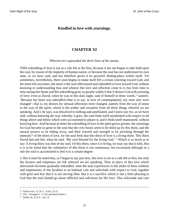### **Kindled in love with yearnings.**

### **CHAPTER XI**

*Wherein are expounded the three lines of the stanza.*

THIS enkindling of love is not as a rule felt at the first, because it has not begun to take hold upon the soul, by reason of the impurity of human nature, or because the soul has not understood its own state, as we have said, and has therefore given it no peaceful abiding-place within itself. Yet sometimes, nevertheless, there soon begins to make itself felt a certain yearning toward God; and the more this increases, the more is the soul affectioned and enkindled in love toward God, without knowing or understanding how and whence this love and affection come to it, but from time to time seeing this flame and this enkindling grow so greatly within it that it desires God with yearning of love; even as David, when he was in this dark night, said of himself in these words,<sup>75</sup> namely: 'Because my heart was enkindled (that is to say, in love of contemplation), my reins also were changed': that is, my desires for sensual affections were changed, namely from the way of sense to the way of the spirit, which is the aridity and cessation from all these things whereof we are speaking. And I, he says, was dissolved in nothing and annihilated, and I knew not; for, as we have said, without knowing the way whereby it goes, the soul finds itself annihilated with respect to all things above and below which were accustomed to please it; and it finds itself enamoured, without knowing how. And because at times the enkindling of love in the spirit grows greater, the yearnings for God become so great in the soul that the very bones seem to be dried up by this thirst, and the natural powers to be fading away, and their warmth and strength to be perishing through the intensity76 of the thirst of love, for the soul feels that this thirst of love is a living thirst. This thirst David had and felt, when he said: 'My soul thirsted for the living God.'77 Which is as much as to say: A living thirst was that of my soul. Of this thirst, since it is living, we may say that it kills. But it is to be noted that the vehemence of this thirst is not continuous, but occasional although as a rule the soul is accustomed to feel it to a certain degree.

2. But it must be noted that, as I began to say just now, this love is not as a rule felt at first, but only the dryness and emptiness are felt whereof we are speaking. Then in place of this love which afterwards becomes gradually enkindled, what the soul experiences in the midst of these aridities and emptinesses of the faculties is an habitual care and solicitude with respect to God, together with grief and fear that it is not serving Him. But it is a sacrifice which is not a little pleasing to God that the soul should go about afflicted and solicitous for His love. This solicitude and care

<sup>75</sup> [Psalm lxxii, 21](http://www.ccel.org/b/bible/asv/xml/asv.Ps.72.xml#Ps.72.21) [A.V., [lxxiii, 21-2\]](http://www.ccel.org/b/bible/asv/xml/asv.Ps.73.xml#Ps.73.21).

<sup>76</sup> [*Lit.*, 'livingness': cf. the quotation below.]

<sup>77</sup> [Psalm xli, 3](http://www.ccel.org/b/bible/asv/xml/asv.Ps.41.xml#Ps.41.3) [A.V., [xlii, 2](http://www.ccel.org/b/bible/asv/xml/asv.Ps.42.xml#Ps.42.2)].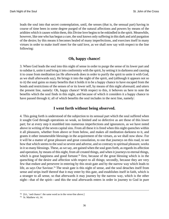leads the soul into that secret contemplation, until, the senses (that is, the sensual part) having in course of time been in some degree purged of the natural affections and powers by means of the aridities which it causes within them, this Divine love begins to be enkindled in the spirit. Meanwhile, however, like one who has begun a cure, the soul knows only suffering in this dark and arid purgation of the desire; by this means it becomes healed of many imperfections, and exercises itself in many virtues in order to make itself meet for the said love, as we shall now say with respect to the line following:

### **Oh, happy chance!**

3. When God leads the soul into this night of sense in order to purge the sense of its lower part and to subdue it, unite it and bring it into conformity with the spirit, by setting it in darkness and causing it to cease from meditation (as He afterwards does in order to purify the spirit to unite it with God, as we shall afterwards say), He brings it into the night of the spirit, and (although it appears not so to it) the soul gains so many benefits that it holds it to be a happy chance to have escaped from the bonds and restrictions of the senses of or its lower self, by means of this night aforesaid; and utters the present line, namely: Oh, happy chance! With respect to this, it behoves us here to note the benefits which the soul finds in this night, and because of which it considers it a happy chance to have passed through it; all of which benefits the soul includes in the next line, namely:

### **I went forth without being observed.**

4. This going forth is understood of the subjection to its sensual part which the soul suffered when it sought God through operations so weak, so limited and so defective as are those of this lower part; for at every step it stumbled into numerous imperfections and ignorances, as we have noted above in writing of the seven capital sins. From all these it is freed when this night quenches within it all pleasures, whether from above or from below, and makes all meditation darkness to it, and grants it other innumerable blessings in the acquirement of the virtues, as we shall now show. For it will be a matter of great pleasure and great consolation, to one that journeys on this road, to see how that which seems to the soul so severe and adverse, and so contrary to spiritual pleasure, works in it so many blessings. These, as we say, are gained when the soul goes forth, as regards its affection and operation, by means of this night, from all created things, and when it journeys to eternal things, which is great happiness and good fortune:<sup>78</sup> first, because of the great blessing which is in the quenching of the desire and affection with respect to all things; secondly, because they are very few that endure and persevere in entering by this strait gate and by the narrow way which leads to life, as says Our Saviour.79 The strait gate is this night of sense, and the soul detaches itself from sense and strips itself thereof that it may enter by this gate, and establishes itself in faith, which is a stranger to all sense, so that afterwards it may journey by the narrow way, which is the other night—that of the spirit—and this the soul afterwards enters in order in journey to God in pure

<sup>78</sup> [*Lit.*, 'and chance': the same word as in the verse-line above.]

<sup>79</sup> [St. Matthew vii, 14](http://www.ccel.org/b/bible/asv/xml/asv.Matt.7.xml#Matt.7.14).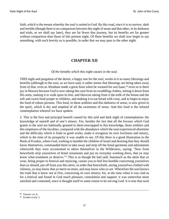faith, which is the means whereby the soul is united to God. By this road, since it is so narrow, dark and terrible (though there is no comparison between this night of sense and that other, in its darkness and trials, as we shall say later), they are far fewer that journey, but its benefits are far greater without comparison than those of this present night. Of these benefits we shall now begin to say something, with such brevity as is possible, in order that we may pass to the other night.

# **CHAPTER XII**

#### *Of the benefits which this night causes in the soul.*

THIS night and purgation of the desire, a happy one for the soul, works in it so many blessings and benefits (although to the soul, as we have said, it rather seems that blessings are being taken away from it) that, even as Abraham made a great feast when he weaned his son Isaac,<sup>80</sup> even so is there joy in Heaven because God is now taking this soul from its swaddling clothes, setting it down from His arms, making it to walk upon its feet, and likewise taking from it the milk of the breast and the soft and sweet food proper to children, and making it to eat bread with crust, and to begin to enjoy the food of robust persons. This food, in these aridities and this darkness of sense, is now given to the spirit, which is dry and emptied of all the sweetness of sense. And this food is the infused contemplation whereof we have spoken.

2. This is the first and principal benefit caused by this arid and dark night of contemplation: the knowledge of oneself and of one's misery. For, besides the fact that all the favours which God grants to the soul are habitually granted to them enwrapped in this knowledge, these aridities and this emptiness of the faculties, compared with the abundance which the soul experienced aforetime and the difficulty which it finds in good works, make it recognize its own lowliness and misery, which in the time of its prosperity it was unable to see. Of this there is a good illustration in the Book of Exodus, where God, wishing to humble the children of Israel and desiring that they should know themselves, commanded them to take away and strip off the festal garments and adornments wherewith they were accustomed to adorn themselves in the Wilderness, saying: 'Now from henceforth strip yourselves of festal ornaments and put on everyday working dress, that ye may know what treatment ye deserve.'81 This is as though He had said: Inasmuch as the attire that ye wear, being proper to festival and rejoicing, causes you to feel less humble concerning yourselves than ye should, put off from you this attire, in order that henceforth, seeing yourselves clothed with vileness, ye may know that ye merit no more, and may know who ye are. Wherefore the soul knows the truth that it knew not at first, concerning its own misery; for, at the time when it was clad as for a festival and found in God much pleasure, consolation and support, it was somewhat more satisfied and contented, since it thought itself to some extent to be serving God. It is true that such

<sup>80</sup> [Genesis xxi, 8](http://www.ccel.org/b/bible/asv/xml/asv.Gen.21.xml#Gen.21.8).

<sup>81</sup> [Exodus xxxiii, 5](http://www.ccel.org/b/bible/asv/xml/asv.Exod.33.xml#Exod.33.5).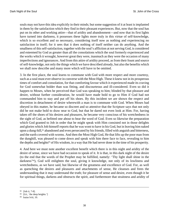souls may not have this idea explicitly in their minds; but some suggestion of it at least is implanted in them by the satisfaction which they find in their pleasant experiences. But, now that the soul has put on its other and working attire—that of aridity and abandonment—and now that its first lights have turned into darkness, it possesses these lights more truly in this virtue of self-knowledge, which is so excellent and so necessary, considering itself now as nothing and experiencing no satisfaction in itself; for it sees that it does nothing of itself neither can do anything. And the smallness of this self-satisfaction, together with the soul's affliction at not serving God, is considered and esteemed by God as greater than all the consolations which the soul formerly experienced and the works which it wrought, however great they were, inasmuch as they were the occasion of many imperfections and ignorances. And from this attire of aridity proceed, as from their fount and source of self-knowledge, not only the things which we have described already, but also the benefits which we shall now describe and many more which will have to be omitted.

3. In the first place, the soul learns to commune with God with more respect and more courtesy, such as a soul must ever observe in converse with the Most High. These it knew not in its prosperous times of comfort and consolation, for that comforting favour which it experienced made its craving for God somewhat bolder than was fitting, and discourteous and ill-considered. Even so did it happen to Moses, when he perceived that God was speaking to him; blinded by that pleasure and desire, without further consideration, he would have made bold to go to Him if God had not commanded him to stay and put off his shoes. By this incident we are shown the respect and discretion in detachment of desire wherewith a man is to commune with God. When Moses had obeyed in this matter, he became so discreet and so attentive that the Scripture says that not only did he not make bold to draw near to God, but that he dared not even look at Him. For, having taken off the shoes of his desires and pleasures, he became very conscious of his wretchedness in the sight of God, as befitted one about to hear the word of God. Even so likewise the preparation which God granted to Job in order that he might speak with Him consisted not in those delights and glories which Job himself reports that he was wont to have in his God, but in leaving him naked upon a dung-hill,<sup>82</sup> abandoned and even persecuted by his friends, filled with anguish and bitterness, and the earth covered with worms. And then the Most High God, He that lifts up the poor man from the dunghill, was pleased to come down and speak with him there face to face, revealing to him the depths and heights<sup>83</sup> of His wisdom, in a way that He had never done in the time of his prosperity.

4. And here we must note another excellent benefit which there is in this night and aridity of the desire of sense, since we have had occasion to speak of it. It is that, in this dark night of the desire (to the end that the words of the Prophet may be fulfilled, namely: 'Thy light shall shine in the darkness'84), God will enlighten the soul, giving it knowledge, not only of its lowliness and wretchedness, as we have said, but likewise of the greatness and excellence of God. For, as well as quenching the desires and pleasures and attachments of sense, He cleanses and frees the understanding that it may understand the truth; for pleasure of sense and desire, even though it be for spiritual things, darkens and obstructs the spirit, and furthermore that straitness and aridity of

<sup>82</sup> [[Job ii, 7-8](http://www.ccel.org/b/bible/asv/xml/asv.Job.2.xml#Job.2.7)].

<sup>83</sup> [*Lit.*, 'the deep heights.']

<sup>84</sup> [Isaias lviii, 10.](http://www.ccel.org/b/bible/asv/xml/asv.Isa.58.xml#Isa.58.10)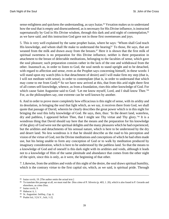sense enlightens and quickens the understanding, as says Isaias.<sup>85</sup> Vexation makes us to understand how the soul that is empty and disencumbered, as is necessary for His Divine influence, is instructed supernaturally by God in His Divine wisdom, through this dark and arid night of contemplation,<sup>86</sup> as we have said; and this instruction God gave not in those first sweetnesses and joys.

5. This is very well explained by the same prophet Isaias, where he says: 'Whom shall God teach His knowledge, and whom shall He make to understand the hearing?' To those, He says, that are weaned from the milk and drawn away from the breasts.<sup>87</sup> Here it is shown that the first milk of spiritual sweetness is no preparation for this Divine influence, neither is there preparation in attachment to the breast of delectable meditations, belonging to the faculties of sense, which gave the soul pleasure; such preparation consists rather in the lack of the one and withdrawal from the other. Inasmuch as, in order to listen to God, the soul needs to stand upright and to be detached, with regard to affection and sense, even as the Prophet says concerning himself, in these words: I will stand upon my watch (this is that detachment of desire) and I will make firm my step (that is, I will not meditate with sense), in order to contemplate (that is, in order to understand that which may come to me from God).88 So we have now arrived at this, that from this arid night there first of all comes self-knowledge, whence, as from a foundation, rises this other knowledge of God. For which cause Saint Augustine said to God: 'Let me know myself, Lord, and I shall know Thee.'<sup>89</sup> For, as the philosophers say, one extreme can be well known by another.

6. And in order to prove more completely how efficacious is this night of sense, with its aridity and its desolation, in bringing the soul that light which, as we say, it receives there from God, we shall quote that passage of David, wherein he clearly describes the great power which is in this night for bringing the soul this lofty knowledge of God. He says, then, thus: 'In the desert land, waterless, dry and pathless, I appeared before Thee, that I might see Thy virtue and Thy glory.'90 It is a wondrous thing that David should say here that the means and the preparation for his knowledge of the glory of God were not the spiritual delights and the many pleasures which he had experienced, but the aridities and detachments of his sensual nature, which is here to be understood by the dry and desert land. No less wondrous is it that he should describe as the road to his perception and vision of the virtue of God, not the Divine meditations and conceptions of which he had often made use, but his being unable to form any conception of God or to walk by meditation produced by imaginary consideration, which is here to be understood by the pathless land. So that the means to a knowledge of God and of oneself is this dark night with its aridities and voids, although it leads not to a knowledge of Him of the same plenitude and abundance that comes from the other night of the spirit, since this is only, as it were, the beginning of that other.

7. Likewise, from the aridities and voids of this night of the desire, the soul draws spiritual humility, which is the contrary virtue to the first capital sin, which, as we said, is spiritual pride. Through

<sup>85</sup> [Isaias xxviii, 19](http://www.ccel.org/b/bible/asv/xml/asv.Isa.28.xml#Isa.28.19). [The author omits the actual text.]

<sup>86</sup> To translate this passage at all, we must read the *Dios cómo* of P. Silverio (p. 403, 1. 20), which is also found in P. Gerardo and elsewhere, as *cómo Dios*.

<sup>87</sup> [Isaias xxviii, 9.](http://www.ccel.org/b/bible/asv/xml/asv.Isa.28.xml#Isa.28.9)

<sup>88</sup> [Habacuc ii, 1.](http://www.ccel.org/b/bible/asv/xml/asv.Hab.2.xml#Hab.2.1)

<sup>89</sup> St. Augustine: *Soliloq.,* Cap. ii.

<sup>90</sup> [Psalm lxii, 3](http://www.ccel.org/b/bible/asv/xml/asv.Ps.62.xml#Ps.62.3) [A.V., [lxiii, 1-2\]](http://www.ccel.org/b/bible/asv/xml/asv.Ps.63.xml#Ps.63.1).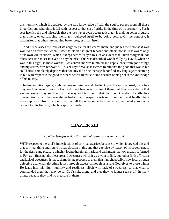this humility, which is acquired by the said knowledge of self, the soul is purged from all those imperfections whereinto it fell with respect to that sin of pride, in the time of its prosperity. For it sees itself so dry and miserable that the idea never even occurs to it that it is making better progress than others, or outstripping them, as it believed itself to be doing before. On the contrary, it recognizes that others are making better progress than itself.

8. And hence arises the love of its neighbours, for it esteems them, and judges them not as it was wont to do aforetime, when it saw that itself had great fervour and others not so. It is aware only of its own wretchedness, which it keeps before its eyes to such an extent that it never forgets it, nor takes occasion to set its eyes on anyone else. This was described wonderfully by David, when he was in this night, in these words: 'I was dumb and was humbled and kept silence from good things and my sorrow was renewed.'91 This he says because it seemed to him that the good that was in his soul had so completely departed that not only did he neither speak nor find any language concerning it, but with respect to the good of others he was likewise dumb because of his grief at the knowledge of his misery.

9. In this condition, again, souls become submissive and obedient upon the spiritual road, for, when they see their own misery, not only do they hear what is taught them, but they even desire that anyone soever may set them on the way and tell them what they ought to do. The affective presumption which they sometimes had in their prosperity is taken from them; and finally, there are swept away from them on this road all the other imperfections which we noted above with respect to this first sin, which is spiritual pride.

# **CHAPTER XIII**

#### *Of other benefits which this night of sense causes in the soul.*

WITH respect to the soul's imperfections of spiritual avarice, because of which it coveted this and that spiritual thing and found no satisfaction in this and that exercise by reason of its covetousness for the desire and pleasure which it found therein, this arid and dark night has now greatly reformed it. For, as it finds not the pleasure and sweetness which it was wont to find, but rather finds affliction and lack of sweetness, it has such moderate recourse to them that it might possibly now lose, through defective use, what aforetime it lost through excess; although as a rule God gives to those whom He leads into this night humility and readiness, albeit with lack of sweetness, so that what is commanded them they may do for God's sake alone; and thus they no longer seek profit in many things because they find no pleasure in them.

<sup>91</sup> [Psalm xxxviii, 3](http://www.ccel.org/b/bible/asv/xml/asv.Ps.38.xml#Ps.38.3) [A.V., [xxxix, 2\]](http://www.ccel.org/b/bible/asv/xml/asv.Ps.39.xml#Ps.39.2).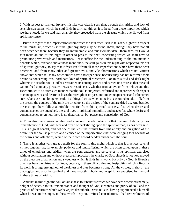2. With respect to spiritual luxury, it is likewise clearly seen that, through this aridity and lack of sensible sweetness which the soul finds in spiritual things, it is freed from those impurities which we there noted; for we said that, as a rule, they proceeded from the pleasure which overflowed from spirit into sense.

3. But with regard to the imperfections from which the soul frees itself in this dark night with respect to the fourth sin, which is spiritual gluttony, they may be found above, though they have not all been described there, because they are innumerable; and thus I will not detail them here, for I would fain make an end of this night in order to pass to the next, concerning which we shall have to pronounce grave words and instructions. Let it suffice for the understanding of the innumerable benefits which, over and above those mentioned, the soul gains in this night with respect to this sin of spiritual gluttony, to say that it frees itself from all those imperfections which have there been described, and from many other and greater evils, and vile abominations which are not written above, into which fell many of whom we have had experience, because they had not reformed their desire as concerning this inordinate love of spiritual sweetness. For in this arid and dark night wherein He sets the soul, God has restrained its concupiscence and curbed its desire so that the soul cannot feed upon any pleasure or sweetness of sense, whether from above or from below; and this He continues to do after such manner that the soul is subjected, reformed and repressed with respect to concupiscence and desire. It loses the strength of its passions and concupiscence and it becomes sterile, because it no longer consults its likings. Just as, when none is accustomed to take milk from the breast, the courses of the milk are dried up, so the desires of the soul are dried up. And besides these things there follow admirable benefits from this spiritual sobriety, for, when desire and concupiscence are quenched, the soul lives in spiritual tranquillity and peace; for, where desire and concupiscence reign not, there is no disturbance, but peace and consolation of God.

4. From this there arises another and a second benefit, which is that the soul habitually has remembrance of God, with fear and dread of backsliding upon the spiritual road, as has been said. This is a great benefit, and not one of the least that results from this aridity and purgation of the desire, for the soul is purified and cleansed of the imperfections that were clinging to it because of the desires and affections, which of their own accord deaden and darken the soul.

5. There is another very great benefit for the soul in this night, which is that it practices several virtues together, as, for example, patience and longsuffering, which are often called upon in these times of emptiness and aridity, when the soul endures and perseveres in its spiritual exercises without consolation and without pleasure. It practises the charity of God, since it is not now moved by the pleasure of attraction and sweetness which it finds in its work, but only by God. It likewise practises here the virtue of fortitude, because, in these difficulties and insipidities which it finds in its work, it brings strength out of weakness and thus becomes strong. All the virtues, in short—the theological and also the cardinal and moral—both in body and in spirit, are practised by the soul in these times of aridity.

6. And that in this night the soul obtains these four benefits which we have here described (namely, delight of peace, habitual remembrance and thought of God, cleanness and purity of soul and the practice of the virtues which we have just described), David tells us, having experienced it himself when he was in this night, in these words: 'My soul refused consolations, I had remembrance of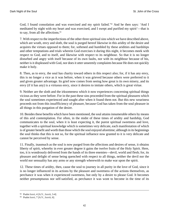God, I found consolation and was exercised and my spirit failed.'92 And he then says: 'And I meditated by night with my heart and was exercised, and I swept and purified my spirit'—that is to say, from all the affections.<sup>93</sup>

7. With respect to the imperfections of the other three spiritual sins which we have described above, which are wrath, envy and sloth, the soul is purged hereof likewise in this aridity of the desire and acquires the virtues opposed to them; for, softened and humbled by these aridities and hardships and other temptations and trials wherein God exercises it during this night, it becomes meek with respect to God, and to itself, and likewise with respect to its neighbour. So that it is no longer disturbed and angry with itself because of its own faults, nor with its neighbour because of his, neither is it displeased with God, nor does it utter unseemly complaints because He does not quickly make it holy.

8. Then, as to envy, the soul has charity toward others in this respect also; for, if it has any envy, this is no longer a vice as it was before, when it was grieved because others were preferred to it and given greater advantage. Its grief now comes from seeing how great is its own misery, and its envy (if it has any) is a virtuous envy, since it desires to imitate others, which is great virtue.

9. Neither are the sloth and the irksomeness which it now experiences concerning spiritual things vicious as they were before. For in the past these sins proceeded from the spiritual pleasures which the soul sometimes experienced and sought after when it found them not. But this new weariness proceeds not from this insuffficiency of pleasure, because God has taken from the soul pleasure in all things in this purgation of the desire.

10. Besides these benefits which have been mentioned, the soul attains innumerable others by means of this arid contemplation. For often, in the midst of these times of aridity and hardship, God communicates to the soul, when it is least expecting it, the purest spiritual sweetness and love, together with a spiritual knowledge which is sometimes very delicate, each manifestation of which is of greater benefit and worth than those which the soul enjoyed aforetime; although in its beginnings the soul thinks that this is not so, for the spiritual influence now granted to it is very delicate and cannot be perceived by sense.

11. Finally, inasmuch as the soul is now purged from the affections and desires of sense, it obtains liberty of spirit, whereby in ever greater degree it gains the twelve fruits of the Holy Spirit. Here, too, it is wondrously delivered from the hands of its three enemies—devil, world and flesh; for, its pleasure and delight of sense being quenched with respect to all things, neither the devil nor the world nor sensuality has any arms or any strength wherewith to make war upon the spirit.

12. These times of aridity, then, cause the soul to journey in all purity in the love of God, since it is no longer influenced in its actions by the pleasure and sweetness of the actions themselves, as perchance it was when it experienced sweetness, but only by a desire to please God. It becomes neither presumptuous nor self-satisfied, as perchance it was wont to become in the time of its

<sup>92</sup> [Psalm lxxvi, 4](http://www.ccel.org/b/bible/asv/xml/asv.Ps.76.xml#Ps.76.4) [A.V., [lxxvii, 3-4](http://www.ccel.org/b/bible/asv/xml/asv.Ps.77.xml#Ps.77.3)].

<sup>93</sup> [Psalm lxxvi, 7](http://www.ccel.org/b/bible/asv/xml/asv.Ps.76.xml#Ps.76.7) [A.V., [lxxvii, 6](http://www.ccel.org/b/bible/asv/xml/asv.Ps.77.xml#Ps.77.6)].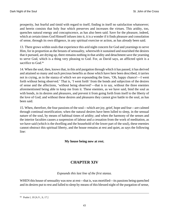prosperity, but fearful and timid with regard to itself, finding in itself no satisfaction whatsoever; and herein consists that holy fear which preserves and increases the virtues. This aridity, too, quenches natural energy and concupiscence, as has also been said. Save for the pleasure, indeed, which at certain times God Himself infuses into it, it is a wonder if it finds pleasure and consolation of sense, through its own diligence, in any spiritual exercise or action, as has already been said.

13. There grows within souls that experience this arid night concern for God and yearnings to serve Him, for in proportion as the breasts of sensuality, wherewith it sustained and nourished the desires that it pursued, are drying up, there remains nothing in that aridity and detachment save the yearning to serve God, which is a thing very pleasing to God. For, as David says, an afflicted spirit is a sacrifice to God.<sup>94</sup>

14. When the soul, then, knows that, in this arid purgation through which it has passed, it has derived and attained so many and such precious benefits as those which have here been described, it tarries not in crying, as in the stanza of which we are expounding the lines, 'Oh, happy chance!—I went forth without being observed.' That is, 'I went forth' from the bonds and subjection of the desires of sense and the affections, 'without being observed'—that is to say, without the three enemies aforementioned being able to keep me from it. These enemies, as we have said, bind the soul as with bonds, in its desires and pleasures, and prevent it from going forth from itself to the liberty of the love of God; and without these desires and pleasures they cannot give battle to the soul, as has been said.

15. When, therefore, the four passions of the soul—which are joy, grief, hope and fear—are calmed through continual mortification; when the natural desires have been lulled to sleep, in the sensual nature of the soul, by means of habitual times of aridity; and when the harmony of the senses and the interior faculties causes a suspension of labour and a cessation from the work of meditation, as we have said (which is the dwelling and the household of the lower part of the soul), these enemies cannot obstruct this spiritual liberty, and the house remains at rest and quiet, as says the following line:

**My house being now at rest.**

# **CHAPTER XIV**

### *Expounds this last line of the first stanza.*

WHEN this house of sensuality was now at rest—that is, was mortified—its passions being quenched and its desires put to rest and lulled to sleep by means of this blessed night of the purgation of sense,

<sup>94</sup> [Psalm l, 19](http://www.ccel.org/b/bible/asv/xml/asv.Ps.50.xml#Ps.50.19) [A.V., [li, 17](http://www.ccel.org/b/bible/asv/xml/asv.Ps.51.xml#Ps.51.17).]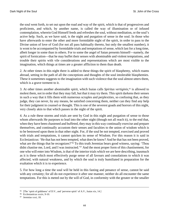the soul went forth, to set out upon the road and way of the spirit, which is that of progressives and proficients, and which, by another name, is called the way of illumination or of infused contemplation, wherein God Himself feeds and refreshes the soul, without meditation, or the soul's active help. Such, as we have said, is the night and purgation of sense in the soul. In those who have afterwards to enter the other and more formidable night of the spirit, in order to pass to the Divine union of love of God (for not all pass habitually thereto, but only the smallest number), it is wont to be accompanied by formidable trials and temptations of sense, which last for a long time, albeit longer in some than in others. For to some the angel of Satan presents himself—namely, the spirit of fornication—that he may buffet their senses with abominable and violent temptations, and trouble their spirits with vile considerations and representations which are most visible to the imagination, which things at times are a greater affliction to them than death.

2. At other times in this night there is added to these things the spirit of blasphemy, which roams abroad, setting in the path of all the conceptions and thoughts of the soul intolerable blasphemies. These it sometimes suggests to the imagination with such violence that the soul almost utters them, which is a grave torment to it.

3. At other times another abominable spirit, which Isaias calls *Spiritus vertiginis*, <sup>95</sup> is allowed to molest them, not in order that they may fall, but that it may try them. This spirit darkens their senses in such a way that it fills them with numerous scruples and perplexities, so confusing that, as they judge, they can never, by any means, be satisfied concerning them, neither can they find any help for their judgment in counsel or thought. This is one of the severest goads and horrors of this night, very closely akin to that which passes in the night of the spirit.

4. As a rule these storms and trials are sent by God in this night and purgation of sense to those whom afterwards He purposes to lead into the other night (though not all reach it), to the end that, when they have been chastened and buffeted, they may in this way continually exercise and prepare themselves, and continually accustom their senses and faculties to the union of wisdom which is to be bestowed upon them in that other night. For, if the soul be not tempted, exercised and proved with trials and temptations, it cannot quicken its sense of Wisdom. For this reason it is said in Ecclesiasticus: 'He that has not been tempted, what does he know? And he that has not been proved, what are the things that he recognizes?<sup>'96</sup> To this truth Jeremias bears good witness, saying: 'Thou didst chastise me, Lord, and I was instructed.'97 And the most proper form of this chastisement, for one who will enter into Wisdom, is that of the interior trials which we are here describing, inasmuch as it is these which most effectively purge sense of all favours and consolations to which it was affected, with natural weakness, and by which the soul is truly humiliated in preparation for the exaltation which it is to experience.

5. For how long a time the soul will be held in this fasting and penance of sense, cannot be said with any certainty; for all do not experience it after one manner, neither do all encounter the same temptations. For this is meted out by the will of God, in conformity with the greater or the smaller

<sup>95</sup> [The 'spirit of giddiness' of D.V., and 'perverse spirit' of A.V., [Isaias xix, 14.](http://www.ccel.org/b/bible/asv/xml/asv.Isa.19.xml#Isa.19.14)]

<sup>96</sup> [Ecclesiasticus xxxiv, 9-10](http://www.ccel.org/b/bible/asv/xml/asv.Sir.34.xml#Sir.34.9).

<sup>97</sup> [Jeremias xxxi, 18](http://www.ccel.org/b/bible/asv/xml/asv.Jer.31.xml#Jer.31.18).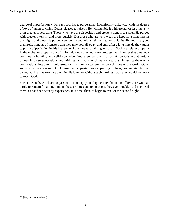degree of imperfection which each soul has to purge away. In conformity, likewise, with the degree of love of union to which God is pleased to raise it, He will humble it with greater or less intensity or in greater or less time. Those who have the disposition and greater strength to suffer, He purges with greater intensity and more quickly. But those who are very weak are kept for a long time in this night, and these He purges very gently and with slight temptations. Habitually, too, He gives them refreshments of sense so that they may not fall away, and only after a long time do they attain to purity of perfection in this life, some of them never attaining to it at all. Such are neither properly in the night nor properly out of it; for, although they make no progress, yet, in order that they may continue in humility and self-knowledge, God exercises them for certain periods and at certain times<sup>98</sup> in those temptations and aridities; and at other times and seasons He assists them with consolations, lest they should grow faint and return to seek the consolations of the world. Other souls, which are weaker, God Himself accompanies, now appearing to them, now moving farther away, that He may exercise them in His love; for without such turnings away they would not learn to reach God.

6. But the souls which are to pass on to that happy and high estate, the union of love, are wont as a rule to remain for a long time in these aridities and temptations, however quickly God may lead them, as has been seen by experience. It is time, then, to begin to treat of the second night.

<sup>98</sup> [*Lit.*, 'for certain days.']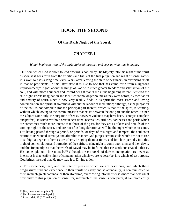# **BOOK THE SECOND**

## **Of the Dark Night of the Spirit.**

# **CHAPTER I**

*Which begins to treat of the dark nights of the spirit and says at what time it begins.*

THE soul which God is about to lead onward is not led by His Majesty into this night of the spirit as soon as it goes forth from the aridities and trials of the first purgation and night of sense; rather it is wont to pass a long time, even years, after leaving the state of beginners, in exercising itself in that of proficients. In this latter state it is like to one that has come forth from a rigorous imprisonment;<sup>99</sup> it goes about the things of God with much greater freedom and satisfaction of the soul, and with more abundant and inward delight than it did at the beginning before it entered the said night. For its imagination and faculties are no longer bound, as they were before, by meditation and anxiety of spirit, since it now very readily finds in its spirit the most serene and loving contemplation and spiritual sweetness without the labour of meditation; although, as the purgation of the soul is not complete (for the principal part thereof, which is that of the spirit, is wanting, without which, owing to the communication that exists between the one part and the other, $100$  since the subject is one only, the purgation of sense, however violent it may have been, is not yet complete and perfect), it is never without certain occasional necessities, aridities, darknesses and perils which are sometimes much more intense than those of the past, for they are as tokens and heralds of the coming night of the spirit, and are not of as long duration as will be the night which is to come. For, having passed through a period, or periods, or days of this night and tempest, the soul soon returns to its wonted serenity; and after this manner God purges certain souls which are not to rise to so high a degree of love as are others, bringing them at times, and for short periods, into this night of contemplation and purgation of the spirit, causing night to come upon them and then dawn, and this frequently, so that the words of David may be fulfilled, that He sends His crystal—that is, His contemplation—like morsels,<sup>101</sup> although these morsels of dark contemplation are never as intense as is that terrible night of contemplation which we are to describe, into which, of set purpose, God brings the soul that He may lead it to Divine union.

2. This sweetness, then, and this interior pleasure which we are describing, and which these progressives find and experience in their spirits so easily and so abundantly, is communicated to them in much greater abundance than aforetime, overflowing into their senses more than was usual previously to this purgation of sense; for, inasmuch as the sense is now purer, it can more easily

<sup>99</sup> [*Lit.*, 'from a narrow prison.']

<sup>100</sup> [i.e., between sense and spirit.]

<sup>101</sup> [Psalm cxlvii, 17](http://www.ccel.org/b/bible/asv/xml/asv.Ps.147.xml#Ps.147.17) [D.V. and A.V.].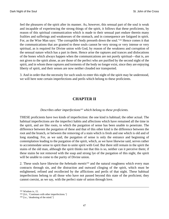feel the pleasures of the spirit after its manner. As, however, this sensual part of the soul is weak and incapable of experiencing the strong things of the spirit, it follows that these proficients, by reason of this spiritual communication which is made to their sensual part endure therein many frailties and sufferings and weaknesses of the stomach, and in consequence are fatigued in spirit. For, as the Wise Man says: 'The corruptible body presseth down the soul.'<sup>102</sup> Hence comes it that the communications that are granted to these souls cannot be very strong or very intense or very spiritual, as is required for Divine union with God, by reason of the weakness and corruption of the sensual nature which has a part in them. Hence arise the raptures and trances and dislocations of the bones which always happen when the communications are not purely spiritual—that is, are not given to the spirit alone, as are those of the perfect who are purified by the second night of the spirit, and in whom these raptures and torments of the body no longer exist, since they are enjoying liberty of spirit, and their senses are now neither clouded nor transported.

3. And in order that the necessity for such souls to enter this night of the spirit may be understood, we will here note certain imperfections and perils which belong to these proficients.

## **CHAPTER II**

#### *Describes other imperfections103 which belong to these proficients.*

THESE proficients have two kinds of imperfection: the one kind is habitual; the other actual. The habitual imperfections are the imperfect habits and affections which have remained all the time in the spirit, and are like roots, to which the purgation of sense has been unable to penetrate. The difference between the purgation of these and that of this other kind is the difference between the root and the branch, or between the removing of a stain which is fresh and one which is old and of long standing. For, as we said, the purgation of sense is only the entrance and beginning of contemplation leading to the purgation of the spirit, which, as we have likewise said, serves rather to accommodate sense to spirit than to unite spirit with God. But there still remain in the spirit the stains of the old man, although the spirit thinks not that this is so, neither can it perceive them; if these stains be not removed with the soap and strong lye of the purgation of this night, the spirit will be unable to come to the purity of Divine union.

2. These souls have likewise the *hebetudo mentis*104 and the natural roughness which every man contracts through sin, and the distraction and outward clinging of the spirit, which must be enlightened, refined and recollected by the afflictions and perils of that night. These habitual imperfections belong to all those who have not passed beyond this state of the proficient; they cannot coexist, as we say, with the perfect state of union through love.

<sup>102</sup> [Wisdom ix, 15](http://www.ccel.org/b/bible/asv/xml/asv.Wis.9.xml#Wis.9.15).

<sup>103</sup> [*Lit.*, 'Continues with other imperfections.']

<sup>104</sup> [i.e., 'deadening of the mind.']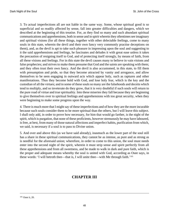3. To actual imperfections all are not liable in the same way. Some, whose spiritual good is so superficial and so readily affected by sense, fall into greater difficulties and dangers, which we described at the beginning of this treatise. For, as they find so many and such abundant spiritual communications and apprehensions, both in sense and in spirit wherein they oftentimes see imaginary and spiritual visions (for all these things, together with other delectable feelings, come to many souls in this state, wherein the devil and their own fancy very commonly practise deceptions on them), and, as the devil is apt to take such pleasure in impressing upon the soul and suggesting to it the said apprehensions and feelings, he fascinates and deludes it with great ease unless it takes the precaution of resigning itself to God, and of protecting itself strongly, by means of faith, from all these visions and feelings. For in this state the devil causes many to believe in vain visions and false prophecies; and strives to make them presume that God and the saints are speaking with them; and they often trust their own fancy. And the devil is also accustomed, in this state, to fill them with presumption and pride, so that they become attracted by vanity and arrogance, and allow themselves to be seen engaging in outward acts which appear holy, such as raptures and other manifestations. Thus they become bold with God, and lose holy fear, which is the key and the custodian of all the virtues; and in some of these souls so many are the falsehoods and deceits which tend to multiply, and so inveterate do they grow, that it is very doubtful if such souls will return to the pure road of virtue and true spirituality. Into these miseries they fall because they are beginning to give themselves over to spiritual feelings and apprehensions with too great security, when they were beginning to make some progress upon the way.

4. There is much more that I might say of these imperfections and of how they are the more incurable because such souls consider them to be more spiritual than the others, but I will leave this subject. I shall only add, in order to prove how necessary, for him that would go farther, is the night of the spirit, which is purgation, that none of these proficients, however strenuously he may have laboured, is free, at best, from many of those natural affections and imperfect habits, purification from which, we said, is necessary if a soul is to pass to Divine union.

5. And over and above this (as we have said already), inasmuch as the lower part of the soul still has a share in these spiritual communications, they cannot be as intense, as pure and as strong as is needful for the aforesaid union; wherefore, in order to come to this union, the soul must needs enter into the second night of the spirit, wherein it must strip sense and spirit perfectly from all these apprehensions and from all sweetness, and be made to walk in dark and pure faith, which is the proper and adequate means whereby the soul is united with God, according as Osee says, in these words: 'I will betroth thee—that is, I will unite thee—with Me through faith.'<sup>105</sup>

# **CHAPTER III**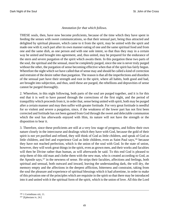#### *Annotation for that which follows.*

THESE souls, then, have now become proficients, because of the time which they have spent in feeding the senses with sweet communications, so that their sensual part, being thus attracted and delighted by spiritual pleasure, which came to it from the spirit, may be united with the spirit and made one with it; each part after its own manner eating of one and the same spiritual food and from one and the same dish, as one person and with one sole intent, so that thus they may in a certain way be united and brought into agreement, and, thus united, may be prepared for the endurance of the stern and severe purgation of the spirit which awaits them. In this purgation these two parts of the soul, the spiritual and the sensual, must be completely purged, since the one is never truly purged without the other, the purgation of sense becoming effective when that of the spirit has fairly begun. Wherefore the night which we have called that of sense may and should be called a kind of correction and restraint of the desire rather than purgation. The reason is that all the imperfections and disorders of the sensual part have their strength and root in the spirit, where all habits, both good and bad, are brought into subjection, and thus, until these are purged, the rebellions and depravities of sense cannot be purged thoroughly.

2. Wherefore, in this night following, both parts of the soul are purged together, and it is for this end that it is well to have passed through the corrections of the first night, and the period of tranquillity which proceeds from it, in order that, sense being united with spirit, both may be purged after a certain manner and may then suffer with greater fortitude. For very great fortitude is needful for so violent and severe a purgation, since, if the weakness of the lower part has not first been corrected and fortitude has not been gained from God through the sweet and delectable communion which the soul has afterwards enjoyed with Him, its nature will not have the strength or the disposition to bear it.

3. Therefore, since these proficients are still at a very low stage of progress, and follow their own nature closely in the intercourse and dealings which they have with God, because the gold of their spirit is not yet purified and refined, they still think of God as little children, and speak of God as little children, and feel and experience God as little children, even as Saint Paul says,<sup>106</sup> because they have not reached perfection, which is the union of the soul with God. In the state of union, however, they will work great things in the spirit, even as grown men, and their works and faculties will then be Divine rather than human, as will afterwards be said. To this end God is pleased to strip them of this old man and clothe them with the new man, who is created according to God, as the Apostle says,107 in the newness of sense. He strips their faculties, affections and feelings, both spiritual and sensual, both outward and inward, leaving the understanding dark, the will dry, the memory empty and the affections in the deepest affliction, bitterness and constraint, taking from the soul the pleasure and experience of spiritual blessings which it had aforetime, in order to make of this privation one of the principles which are requisite in the spirit so that there may be introduced into it and united with it the spiritual form of the spirit, which is the union of love. All this the Lord

<sup>106</sup> [1 Corinthians xiii, 11](http://www.ccel.org/b/bible/asv/xml/asv.iCor.13.xml#iCor.13.11).

<sup>107</sup> [[Ephesians iv, 24](http://www.ccel.org/b/bible/asv/xml/asv.Eph.4.xml#Eph.4.24).]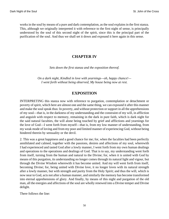works in the soul by means of a pure and dark contemplation, as the soul explains in the first stanza. This, although we originally interpreted it with reference to the first night of sense, is principally understood by the soul of this second night of the spirit, since this is the principal part of the purification of the soul. And thus we shall set it down and expound it here again in this sense.

# **CHAPTER IV**

*Sets down the first stanza and the exposition thereof.*

*On a dark night, Kindled in love with yearnings—oh, happy chance!— I went forth without being observed, My house being now at rest.*

## **EXPOSITION**

INTERPRETING this stanza now with reference to purgation, contemplation or detachment or poverty of spirit, which here are almost one and the same thing, we can expound it after this manner and make the soul speak thus: In poverty, and without protection or support in all the apprehensions of my soul—that is, in the darkness of my understanding and the constraint of my will, in affliction and anguish with respect to memory, remaining in the dark in pure faith, which is dark night for the said natural faculties, the will alone being touched by grief and afflictions and yearnings for the love of God—I went forth from myself—that is, from my low manner of understanding, from my weak mode of loving and from my poor and limited manner of experiencing God, without being hindered therein by sensuality or the devil.

2. This was a great happiness and a good chance for me; for, when the faculties had been perfectly annihilated and calmed, together with the passions, desires and affections of my soul, wherewith I had experienced and tasted God after a lowly manner, I went forth from my own human dealings and operations to the operations and dealings of God. That is to say, my understanding went forth from itself, turning from the human and natural to the Divine; for, when it is united with God by means of this purgation, its understanding no longer comes through its natural light and vigour, but through the Divine Wisdom wherewith it has become united. And my will went forth from itself, becoming Divine; for, being united with Divine love, it no longer loves with its natural strength after a lowly manner, but with strength and purity from the Holy Spirit; and thus the will, which is now near to God, acts not after a human manner, and similarly the memory has become transformed into eternal apprehensions of glory. And finally, by means of this night and purgation of the old man, all the energies and affections of the soul are wholly renewed into a Divine temper and Divine delight.

There follows the line: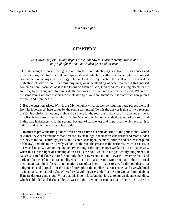*On a dark night.*

## **CHAPTER V**

#### *Sets down the first line and begins to explain how this dark contemplation is not only night for the soul but is also grief and torment.*

THIS dark night is an inflowing of God into the soul, which purges it from its ignorances and imperfections, habitual natural and spiritual, and which is called by contemplatives infused contemplation, or mystical theology. Herein God secretly teaches the soul and instructs it in perfection of love without its doing anything, or understanding of what manner is this infused contemplation. Inasmuch as it is the loving wisdom of God, God produces striking effects in the soul for, by purging and illumining it, He prepares it for the union of love with God. Wherefore the same loving wisdom that purges the blessed spirits and enlightens them is that which here purges the soul and illumines it.

2. But the question arises: Why is the Divine light (which as we say, illumines and purges the soul from its ignorances) here called by the soul a dark night? To this the answer is that for two reasons this Divine wisdom is not only night and darkness for the soul, but is likewise affliction and torment. The first is because of the height of Divine Wisdom, which transcends the talent of the soul, and in this way is darkness to it; the second, because of its vileness and impurity, in which respect it is painful and afflictive to it, and is also dark.

3. In order to prove the first point, we must here assume a certain doctrine of the philosopher, which says that, the clearer and more manifest are Divine things in themselves the darker and more hidden are they to the soul naturally; just as, the clearer is the light, the more it blinds and darkens the pupil of the owl, and, the more directly we look at the sun, the greater is the darkness which it causes in our visual faculty, overcoming and overwhelming it through its own weakness. In the same way, when this Divine light of contemplation assails the soul which is not yet wholly enlightened, it causes spiritual darkness in it; for not only does it overcome it, but likewise it overwhelms it and darkens the act of its natural intelligence. For this reason Saint Dionysius and other mystical theologians call this infused contemplation a ray of darkness—that is to say, for the soul that is not enlightened and purged—for the natural strength of the intellect is transcended and overwhelmed by its great supernatural light. Wherefore David likewise said: That near to God and round about Him are darkness and cloud;<sup>108</sup> not that this is so in fact, but that it is so to our weak understanding, which is blinded and darkened by so vast a light, to which it cannot attain.<sup>109</sup> For this cause the

<sup>108</sup> [Psalm xcvi, 2](http://www.ccel.org/b/bible/asv/xml/asv.Ps.96.xml#Ps.96.2) [A.V., [xcvii, 2\]](http://www.ccel.org/b/bible/asv/xml/asv.Ps.97.xml#Ps.97.2).

<sup>109</sup> [*Lit.*, 'not attaining.']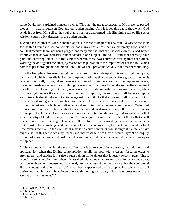same David then explained himself, saying: 'Through the great splendour of His presence passed clouds'110—that is, between God and our understanding. And it is for this cause that, when God sends it out from Himself to the soul that is not yet transformed, this illumining ray of His secret wisdom causes thick darkness in the understanding.

4. And it is clear that this dark contemplation is in these its beginnings painful likewise to the soul; for, as this Divine infused contemplation has many excellences that are extremely good, and the soul that receives them, not being purged, has many miseries that are likewise extremely bad, hence it follows that, as two contraries cannot coexist in one subject—the soul—it must of necessity have pain and suffering, since it is the subject wherein these two contraries war against each other, working the one against the other, by reason of the purgation of the imperfections of the soul which comes to pass through this contemplation. This we shall prove inductively in the manner following.

5. In the first place, because the light and wisdom of this contemplation is most bright and pure, and the soul which it assails is dark and impure, it follows that the soul suffers great pain when it receives it in itself, just as, when the eyes are dimmed by humours, and become impure and weak, the assault made upon them by a bright light causes them pain. And when the soul suffers the direct assault of this Divine light, its pain, which results from its impurity, is immense; because, when this pure light assails the soul, in order to expel its impurity, the soul feels itself to be so impure and miserable that it believes God to be against it, and thinks that it has set itself up against God. This causes it sore grief and pain, because it now believes that God has cast it away: this was one of the greatest trials which Job felt when God sent him this experience, and he said: 'Why hast Thou set me contrary to Thee, so that I am grievous and burdensome to myself?'111 For, by means of this pure light, the soul now sees its impurity clearly (although darkly), and knows clearly that it is unworthy of God or of any creature. And what gives it most pain is that it thinks that it will never be worthy and that its good things are all over for it. This is caused by the profound immersion of its spirit in the knowledge and realization of its evils and miseries; for this Divine and dark light now reveals them all to the eye, that it may see clearly how in its own strength it can never have aught else. In this sense we may understand that passage from David, which says: 'For iniquity Thou hast corrected man and hast made his soul to be undone and consumed: he wastes away as the spider.'<sup>112</sup>

6. The second way in which the soul suffers pain is by reason of its weakness, natural, moral and spiritual; for, when this Divine contemplation assails the soul with a certain force, in order to strengthen it and subdue it, it suffers such pain in its weakness that it nearly swoons away. This is especially so at certain times when it is assailed with somewhat greater force; for sense and spirit, as if beneath some immense and dark load, are in such great pain and agony that the soul would find advantage and relief in death. This had been experienced by the prophet Job, when he said: 'I desire not that He should have intercourse with me in great strength, lest He oppress me with the weight of His greatness.'<sup>113</sup>

<sup>110</sup> [Psalm xvii, 13,](http://www.ccel.org/b/bible/asv/xml/asv.Ps.17.xml#Ps.17.13) [A.V., [xviii, 12](http://www.ccel.org/b/bible/asv/xml/asv.Ps.18.xml#Ps.18.12)].

<sup>111</sup> [Job vii, 20.](http://www.ccel.org/b/bible/asv/xml/asv.Job.7.xml#Job.7.20)

<sup>112</sup> [Psalm xxxviii, 12](http://www.ccel.org/b/bible/asv/xml/asv.Ps.38.xml#Ps.38.12) [A.V., [xxxix, 11](http://www.ccel.org/b/bible/asv/xml/asv.Ps.39.xml#Ps.39.11)].

 $113$  [Job xxiii, 6](http://www.ccel.org/b/bible/asv/xml/asv.Job.23.xml#Job.23.6).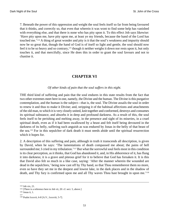7. Beneath the power of this oppression and weight the soul feels itself so far from being favoured that it thinks, and correctly so, that even that wherein it was wont to find some help has vanished with everything else, and that there is none who has pity upon it. To this effect Job says likewise: 'Have pity upon me, have pity upon me, at least ye my friends, because the hand of the Lord has touched me.'114 A thing of great wonder and pity is it that the soul's weakness and impurity should now be so great that, though the hand of God is of itself so light and gentle, the soul should now feel it to be so heavy and so contrary,<sup>115</sup> though it neither weighs it down nor rests upon it, but only touches it, and that mercifully, since He does this in order to grant the soul favours and not to chastise it.

# **CHAPTER VI**

#### *Of other kinds of pain that the soul suffers in this night.*

THE third kind of suffering and pain that the soul endures in this state results from the fact that two other extremes meet here in one, namely, the Divine and the human. The Divine is this purgative contemplation, and the human is the subject—that is, the soul. The Divine assails the soul in order to renew it and thus to make it Divine; and, stripping it of the habitual affections and attachments of the old man, to which it is very closely united, knit together and conformed, destroys and consumes its spiritual substance, and absorbs it in deep and profound darkness. As a result of this, the soul feels itself to be perishing and melting away, in the presence and sight of its miseries, in a cruel spiritual death, even as if it had been swallowed by a beast and felt itself being devoured in the darkness of its belly, suffering such anguish as was endured by Jonas in the belly of that beast of the sea.116 For in this sepulchre of dark death it must needs abide until the spiritual resurrection which it hopes for.

2. A description of this suffering and pain, although in truth it transcends all description, is given by David, when he says: 'The lamentations of death compassed me about; the pains of hell surrounded me; I cried in my tribulation.'<sup>117</sup> But what the sorrowful soul feels most in this condition is its clear perception, as it thinks, that God has abandoned it, and, in His abhorrence of it, has flung it into darkness; it is a grave and piteous grief for it to believe that God has forsaken it. It is this that David also felt so much in a like case, saying: 'After the manner wherein the wounded are dead in the sepulchres,' being now cast off by Thy hand, so that Thou rememberest them no more, even so have they set me in the deepest and lowest lake, in the dark places and in the shadow of death, and Thy fury is confirmed upon me and all Thy waves Thou hast brought in upon me.<sup>'118</sup>

<sup>114</sup> [Job xix, 21.](http://www.ccel.org/b/bible/asv/xml/asv.Job.19.xml#Job.19.21)

<sup>115</sup> [There is a reference here to [Job vii, 20](http://www.ccel.org/b/bible/asv/xml/asv.Job.7.xml#Job.7.20): cf. sect. 5, above.]

<sup>116</sup> [Jonas ii, 1](http://www.ccel.org/b/bible/asv/xml/asv.Jonah.2.xml#Jonah.2.1). 117

<sup>118</sup> [Psalm lxxxvii, 6-8](http://www.ccel.org/b/bible/asv/xml/asv.Ps.87.xml#Ps.87.6) [A.V., [lxxxviii, 5-7](http://www.ccel.org/b/bible/asv/xml/asv.Ps.88.xml#Ps.88.5)].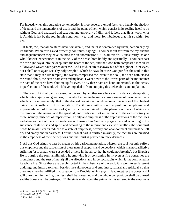For indeed, when this purgative contemplation is most severe, the soul feels very keenly the shadow of death and the lamentations of death and the pains of hell, which consist in its feeling itself to be without God, and chastised and cast out, and unworthy of Him; and it feels that He is wroth with it. All this is felt by the soul in this condition—yea, and more, for it believes that it is so with it for ever.

3. It feels, too, that all creatures have forsaken it, and that it is contemned by them, particularly by its friends. Wherefore David presently continues, saying: ' Thou hast put far from me my friends and acquaintances; they have counted me an abomination.'119 To all this will Jonas testify, as one who likewise experienced it in the belly of the beast, both bodily and spiritually. 'Thou hast cast me forth (he says) into the deep, into the heart of the sea, and the flood hath compassed me; all its billows and waves have passed over me. And I said, "I am cast away out of the sight of Thine eyes, but I shall once again see Thy holy temple" (which he says, because God purifies the soul in this state that it may see His temple); the waters compassed me, even to the soul, the deep hath closed me round about, the ocean hath covered my head, I went down to the lowest parts of the mountains; the bars of the earth have shut me up for ever.'120 By these bars are here understood, in this sense, imperfections of the soul, which have impeded it from enjoying this delectable contemplation.

4. The fourth kind of pain is caused in the soul by another excellence of this dark contemplation, which is its majesty and greatness, from which arises in the soul a consciousness of the other extreme which is in itself—namely, that of the deepest poverty and wretchedness: this is one of the chiefest pains that it suffers in this purgation. For it feels within itself a profound emptiness and impoverishment of three kinds of good, which are ordained for the pleasure of the soul which are the temporal, the natural and the spiritual; and finds itself set in the midst of the evils contrary to these, namely, miseries of imperfection, aridity and emptiness of the apprehensions of the faculties and abandonment of the spirit in darkness. Inasmuch as God here purges the soul according to the substance of its sense and spirit, and according to the interior and exterior faculties, the soul must needs be in all its parts reduced to a state of emptiness, poverty and abandonment and must be left dry and empty and in darkness. For the sensual part is purified in aridity, the faculties are purified in the emptiness of their perceptions and the spirit is purified in thick darkness.

5. All this God brings to pass by means of this dark contemplation; wherein the soul not only suffers this emptiness and the suspension of these natural supports and perceptions, which is a most afflictive suffering (as if a man were suspended or held in the air so that he could not breathe), but likewise He is purging the soul, annihilating it, emptying it or consuming in it (even as fire consumes the mouldiness and the rust of metal) all the affections and imperfect habits which it has contracted in its whole life. Since these are deeply rooted in the substance of the soul, it is wont to suffer great undoings and inward torment, besides the said poverty and emptiness, natural and spiritual, so that there may here be fulfilled that passage from Ezechiel which says: 'Heap together the bones and I will burn them in the fire; the flesh shall be consumed and the whole composition shall be burned and the bones shall be destroyed.'121 Herein is understood the pain which is suffered in the emptiness

<sup>119</sup> [Psalm lxxxvii, 9](http://www.ccel.org/b/bible/asv/xml/asv.Ps.87.xml#Ps.87.9) [A.V., [lxxxviii, 8](http://www.ccel.org/b/bible/asv/xml/asv.Ps.88.xml#Ps.88.8)].

<sup>120</sup> [Jonas ii, 4-7](http://www.ccel.org/b/bible/asv/xml/asv.Jonah.2.xml#Jonah.2.4) [A.V., [ii, 3-6](http://www.ccel.org/b/bible/asv/xml/asv.Jonah.2.xml#Jonah.2.3)].

<sup>121</sup> [Ezechiel xxiv, 10.](http://www.ccel.org/b/bible/asv/xml/asv.Ezek.24.xml#Ezek.24.10)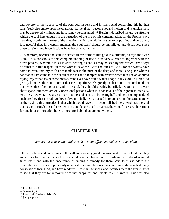and poverty of the substance of the soul both in sense and in spirit. And concerning this he then says: 'set it also empty upon the coals, that its metal may become hot and molten, and its uncleanness may be destroyed within it, and its rust may be consumed.'122 Herein is described the grave suffering which the soul here endures in the purgation of the fire of this contemplation, for the Prophet says here that, in order for the rust of the affections which are within the soul to be purified and destroyed, it is needful that, in a certain manner, the soul itself should be annihilated and destroyed, since these passions and imperfections have become natural to it.

6. Wherefore, because the soul is purified in this furnace like gold in a crucible, as says the Wise Man,<sup>123</sup> it is conscious of this complete undoing of itself in its very substance, together with the direst poverty, wherein it is, as it were, nearing its end, as may be seen by that which David says of himself in this respect, in these words: 'save me, Lord (he cries to God), for the waters have come in even unto my soul; I am made fast in the mire of the deep and there is no place where I can stand; I am come into the depth of the sea and a tempest hath overwhelmed me; I have laboured crying, my throat has become hoarse, mine eyes have failed whilst I hope in my God.'124 Here God greatly humbles the soul in order that He may afterwards greatly exalt it; and if He ordained not that, when these feelings arise within the soul, they should speedily be stilled, it would die in a very short space; but there are only occasional periods when it is conscious of their greatest intensity. At times, however, they are so keen that the soul seems to be seeing hell and perdition opened. Of such are they that in truth go down alive into hell, being purged here on earth in the same manner as there, since this purgation is that which would have to be accomplished there. And thus the soul that passes through this either enters not that place<sup>125</sup> at all, or tarries there but for a very short time; for one hour of purgation here is more profitable than are many there.

## **CHAPTER VII**

#### *Continues the same matter and considers other afflictions end constraints of the will.*

THE afflictions and constraints of the will are now very great likewise, and of such a kind that they sometimes transpierce the soul with a sudden remembrance of the evils in the midst of which it finds itself, and with the uncertainty of finding a remedy for them. And to this is added the remembrance of times of prosperity now past; for as a rule souls that enter this night have had many consolations from God, and have rendered Him many services, and it causes them the greater grief to see that they are far removed from that happiness and unable to enter into it. This was also

<sup>122</sup> [Ezechiel xxiv, 11.](http://www.ccel.org/b/bible/asv/xml/asv.Ezek.24.xml#Ezek.24.11)

<sup>123</sup> [Wisdom iii, 6](http://www.ccel.org/b/bible/asv/xml/asv.Wis.3.xml#Wis.3.6).

<sup>124</sup> [Psalm lxviii, 2-4](http://www.ccel.org/b/bible/asv/xml/asv.Ps.68.xml#Ps.68.2) [A.V., [lxix, 1-3\]](http://www.ccel.org/b/bible/asv/xml/asv.Ps.69.xml#Ps.69.1).

<sup>125</sup> [i.e., purgatory.]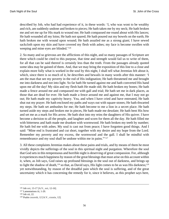described by Job, who had had experience of it, in these words: 'I, who was wont to be wealthy and rich, am suddenly undone and broken to pieces; He hath taken me by my neck; He hath broken me and set me up for His mark to wound me; He hath compassed me round about with His lances; He hath wounded all my loins; He hath not spared; He hath poured out my bowels on the earth; He hath broken me with wound upon wound; He hath assailed me as a strong giant; I have sewed sackcloth upon my skin and have covered my flesh with ashes; my face is become swollen with weeping and mine eyes are blinded.'<sup>126</sup>

2. So many and so grievous are the afflictions of this night, and so many passages of Scripture are there which could be cited to this purpose, that time and strength would fail us to write of them, for all that can be said thereof is certainly less than the truth. From the passages already quoted some idea may be gained of them. And, that we may bring the exposition of this line to a close and explain more fully what is worked in the soul by this night, I shall tell what Jeremias felt about it, which, since there is so much of it, he describes and bewails in many words after this manner: 'I am the man that see my poverty in the rod of His indignation; He hath threatened me and brought me into darkness and not into light. So far hath He turned against me and hath converted His hand upon me all the day! My skin and my flesh hath He made old; He hath broken my bones; He hath made a fence around me and compassed me with gall and trial; He hath set me in dark places, as those that are dead for ever. He hath made a fence around me and against me, that I may not go out; He hath made my captivity heavy. Yea, and when I have cried and have entreated, He hath shut out my prayer. He hath enclosed my paths and ways out with square stones; He hath thwarted my steps. He hath set ambushes for me; He hath become to me a lion in a secret place. He hath turned aside my steps and broken me in pieces, He hath made me desolate; He hath bent His bow and set me as a mark for His arrow. He hath shot into my reins the daughters of His quiver. I have become a derision to all the people, and laughter and scorn for them all the day. He hath filled me with bitterness and hath made me drunken with wormwood. He hath broken my teeth by number; He hath fed me with ashes. My soul is cast out from peace; I have forgotten good things. And I said: "Mine end is frustrated and cut short, together with my desire and my hope from the Lord. Remember my poverty and my excess, the wormwood and the gall. I shall be mindful with remembrance and my soul shall be undone within me in pains."'<sup>127</sup>

3. All these complaints Jeremias makes about these pains and trials, and by means of them he most vividly depicts the sufferings of the soul in this spiritual night and purgation. Wherefore the soul that God sets in this tempestuous and horrible night is deserving of great compassion. For, although it experiences much happiness by reason of the great blessings that must arise on this account within it, when, as Job says, God raises up profound blessings in the soul out of darkness, and brings up to light the shadow of death,<sup>128</sup> so that, as David says, His light comes to be as was His darkness;<sup>129</sup> yet notwithstanding, by reason of the dreadful pain which the soul is suffering, and of the great uncertainty which it has concerning the remedy for it, since it believes, as this prophet says here,

<sup>126</sup> [Job xvi, 13-17](http://www.ccel.org/b/bible/asv/xml/asv.Job.16.xml#Job.16.13) [A.V., [xvi, 12-16\]](http://www.ccel.org/b/bible/asv/xml/asv.Job.16.xml#Job.16.12).

<sup>127</sup> [Lamentations iii, 1-20.](http://www.ccel.org/b/bible/asv/xml/asv.Lam.3.xml#Lam.3.1)

<sup>128</sup> [Job xii, 22.](http://www.ccel.org/b/bible/asv/xml/asv.Job.12.xml#Job.12.22)

<sup>129</sup> [Psalm cxxxviii, 12](http://www.ccel.org/b/bible/asv/xml/asv.Ps.138.xml#Ps.138.12) [A.V., [cxxxix, 12](http://www.ccel.org/b/bible/asv/xml/asv.Ps.139.xml#Ps.139.12)].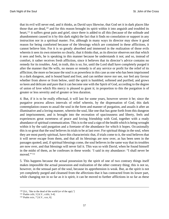that its evil will never end, and it thinks, as David says likewise, that God set it in dark places like those that are dead,<sup>130</sup> and for this reason brought its spirit within it into anguish and troubled its heart,<sup>131</sup> it suffers great pain and grief, since there is added to all this (because of the solitude and abandonment caused in it by this dark night) the fact that it finds no consolation or support in any instruction nor in a spiritual master. For, although in many ways its director may show it good reason for being comforted because of the blessings which are contained in these afflictions, it cannot believe him. For it is so greatly absorbed and immersed in the realization of those evils wherein it sees its own miseries so clearly, that it thinks that, as its director observes not that which it sees and feels, he is speaking in this manner because he understands it not; and so, instead of comfort, it rather receives fresh affliction, since it believes that its director's advice contains no remedy for its troubles. And, in truth, this is so; for, until the Lord shall have completely purged it after the manner that He wills, no means or remedy is of any service or profit for the relief of its affliction; the more so because the soul is as powerless in this case as one who has been imprisoned in a dark dungeon, and is bound hand and foot, and can neither move nor see, nor feel any favour whether from above or from below, until the spirit is humbled, softened and purified, and grows so keen and delicate and pure that it can become one with the Spirit of God, according to the degree of union of love which His mercy is pleased to grant it; in proportion to this the purgation is of greater or less severity and of greater or less duration.

4. But, if it is to be really effectual, it will last for some years, however severe it be; since the purgative process allows intervals of relief wherein, by the dispensation of God, this dark contemplation ceases to assail the soul in the form and manner of purgation, and assails it after an illuminative and a loving manner, wherein the soul, like one that has gone forth from this dungeon and imprisonment, and is brought into the recreation of spaciousness and liberty, feels and experiences great sweetness of peace and loving friendship with God, together with a ready abundance of spiritual communication. This is to the soul a sign of the health which is being wrought within it by the said purgation and a foretaste of the abundance for which it hopes. Occasionally this is so great that the soul believes its trials to be at last over. For spiritual things in the soul, when they are most purely spiritual, have this characteristic that, if trials come to it, the soul believes that it will never escape from them, and that all its blessings are now over, as has been seen in the passages quoted; and, if spiritual blessings come, the soul believes in the same way that its troubles are now over, and that blessings will never fail it. This was so with David, when he found himself in the midst of them, as he confesses in these words: 'I said in my abundance: "I shall never be moved."'<sup>132</sup>

5. This happens because the actual possession by the spirit of one of two contrary things itself makes impossible the actual possession and realization of the other contrary thing; this is not so, however, in the sensual part of the soul, because its apprehension is weak. But, as the spirit is not yet completely purged and cleansed from the affections that it has contracted from its lower part, while changing not in so far as it is spirit, it can be moved to further afflictions in so far as these

<sup>130</sup> [*Lit.*, 'like to the dead of the world (*or* of the age).']

<sup>131</sup> [Psalm cxlii, 3](http://www.ccel.org/b/bible/asv/xml/asv.Ps.142.xml#Ps.142.3) [A.V., [cxliii, 3-4\]](http://www.ccel.org/b/bible/asv/xml/asv.Ps.143.xml#Ps.143.3).

<sup>132</sup> [Psalm xxix, 7](http://www.ccel.org/b/bible/asv/xml/asv.Ps.29.xml#Ps.29.7) [A.V., [xxx, 6](http://www.ccel.org/b/bible/asv/xml/asv.Ps.30.xml#Ps.30.6)].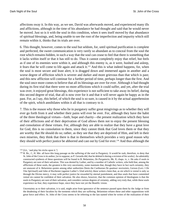affections sway it. In this way, as we see, David was afterwards moved, and experienced many ills and afflictions, although in the time of his abundance he had thought and said that he would never be moved. Just so is it with the soul in this condition, when it sees itself moved by that abundance of spiritual blessings, and, being unable to see the root of the imperfection and impurity which still remain within it, thinks that its trials are over.

6. This thought, however, comes to the soul but seldom, for, until spiritual purification is complete and perfected, the sweet communication is very rarely so abundant as to conceal from the soul the root which remains hidden, in such a way that the soul can cease to feel that there is something that it lacks within itself or that it has still to do. Thus it cannot completely enjoy that relief, but feels as if one of its enemies were within it, and although this enemy is, as it were, hushed and asleep, it fears that he will come to life again and attack it.<sup>133</sup> And this is what indeed happens, for, when the soul is most secure and least alert, it is dragged down and immersed again in another and a worse degree of affliction which is severer and darker and more grievous than that which is past; and this new affliction will continue for a further period of time, perhaps longer than the first. And the soul once more comes to believe that all its blessings are over for ever. Although it had thought during its first trial that there were no more afflictions which it could suffer, and yet, after the trial was over, it enjoyed great blessings, this experience is not sufficient to take away its belief, during this second degree of trial, that all is now over for it and that it will never again be happy as in the past. For, as I say, this belief, of which the soul is so sure, is caused in it by the actual apprehension of the spirit, which annihilates within it all that is contrary to it.

7. This is the reason why those who lie in purgatory suffer great misgivings as to whether they will ever go forth from it and whether their pains will ever be over. For, although they have the habit of the three theological virtues—faith, hope and charity—the present realization which they have of their afflictions and of their deprivation of God allows them not to enjoy the present blessing and consolation of these virtues. For, although they are able to realize that they have a great love for God, this is no consolation to them, since they cannot think that God loves them or that they are worthy that He should do so; rather, as they see that they are deprived of Him, and left in their own miseries, they think that there is that in themselves which provides a very good reason why they should with perfect justice be abhorred and cast out by God for ever.134 And thus although the

Uncertainty as to their salvation, it is said, might arise from ignorance of the sentence passed upon them by the Judge or from the deadening of their faculties by the torments which they are suffering. Belarmino refutes these and other suppositions with great force and effect. St. John of the Cross seems to be referring to the last named when he writes of the realization of their

<sup>133</sup> [*Lit.*, 'and play his tricks upon it.']

<sup>134</sup> B. Bz., C, H. Mtr. all have this long passage on the suffering of the soul in Purgatory. It would be rash, therefore, to deny that St. John of the Cross is its author, [or to suppose, as P. Gerardo did, that he deleted it during a revision of his works]. An admirably constructed synthesis of these questions will be found in B. Belarmino, *De Purgatorio*, Bk. II, chaps. iv, v. He asks if souls in Purgatory are sure of their salvation. This was denied by Luther, and by a number of Catholic writers, who held that, among the afflictions of these souls, the greatest is this very uncertainty, some maintain that, though they have in fact such certainty, they are unaware of it. Belarmino quotes among other authorities Denis the Carthusian *De quattuor novissimis*, Gerson (Lect. I *De Vita Spirituali*) and John of Rochester (against Luther's 32nd article); these writers claim that, as sin which is venial is only so through the Divine mercy, it may with perfect justice be rewarded by eternal punishment, and thus souls that have committed venial sin cannot be confident of their salvation. He also shows, however, that the common opinion of theologians is that the souls in Purgatory are sure of their salvation, and considers various degrees of certainty, adding very truly that, while these souls experience no fear, they experience hope, since they have not yet the Beatific vision.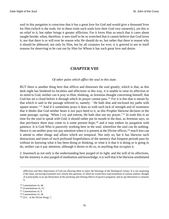soul in this purgation is conscious that it has a great love for God and would give a thousand lives for Him (which is the truth, for in these trials such souls love their God very earnestly), yet this is no relief to it, but rather brings it greater affliction. For it loves Him so much that it cares about naught beside; when, therefore, it sees itself to be so wretched that it cannot believe that God loves it, nor that there is or will ever be reason why He should do so, but rather that there is reason why it should be abhorred, not only by Him, but by all creatures for ever, it is grieved to see in itself reasons for deserving to be cast out by Him for Whom it has such great love and desire.

#### **CHAPTER VIII**

#### *Of other pains which afflict the soul in this state.*

BUT there is another thing here that afflicts and distresses the soul greatly, which is that, as this dark night has hindered its faculties and affections in this way, it is unable to raise its affection or its mind to God, neither can it pray to Him, thinking, as Jeremias thought concerning himself, that God has set a cloud before it through which its prayer cannot pass.<sup>135</sup> For it is this that is meant by that which is said in the passage referred to, namely: ' He hath shut and enclosed my paths with square stones.<sup>'136</sup> And if it sometimes prays it does so with such lack of strength and of sweetness that it thinks that God neither hears it nor pays heed to it, as this Prophet likewise declares in the same passage, saying: 'When I cry and entreat, He hath shut out my prayer.'<sup>137</sup> In truth this is no time for the soul to speak with God; it should rather put its mouth in the dust, as Jeremias says, so that perchance there may come to it some present hope,<sup>138</sup> and it may endure its purgation with patience. It is God Who is passively working here in the soul; wherefore the soul can do nothing. Hence it can neither pray nor pay attention when it is present at the Divine offices,<sup>139</sup> much less can it attend to other things and affairs which are temporal. Not only so, but it has likewise such distractions and times of such profound forgetfulness of the memory that frequent periods pass by without its knowing what it has been doing or thinking, or what it is that it is doing or is going to do, neither can it pay attention, although it desire to do so, to anything that occupies it.

2. Inasmuch as not only is the understanding here purged of its light, and the will of its affections, but the memory is also purged of meditation and knowledge, it is well that it be likewise annihilated

afflictions and their deprivation of God not allowing them to enjoy the blessings of the theological virtues. It is not surprising if the Saint, not having examined very closely this question, of which he would have read treatments in various authors, thought of it principally as an apt illustration of the purifying and refining effects of passive purgation; and an apt illustration it certainly is.

<sup>135</sup> [Lamentations iii, 44](http://www.ccel.org/b/bible/asv/xml/asv.Lam.3.xml#Lam.3.44).

<sup>136</sup> [[Lamentations iii, 9.](http://www.ccel.org/b/bible/asv/xml/asv.Lam.3.xml#Lam.3.9)]

<sup>137</sup> [Lamentations iii, 9.](http://www.ccel.org/b/bible/asv/xml/asv.Lam.3.xml#Lam.3.9)

<sup>138</sup> [Lamentations iii, 28](http://www.ccel.org/b/bible/asv/xml/asv.Lam.3.xml#Lam.3.28).

<sup>139</sup> [*Lit.*, 'at the Divine things.']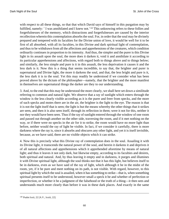with respect to all these things, so that that which David says of himself in this purgation may by fulfilled, namely: 'I was annihilated and I knew not.'<sup>140</sup> This unknowing refers to these follies and forgetfulnesses of the memory, which distractions and forgetfulnesses are caused by the interior recollection wherein this contemplation absorbs the soul. For, in order that the soul may be divinely prepared and tempered with its faculties for the Divine union of love, it would be well for it to be first of all absorbed, with all its faculties, in this Divine and dark spiritual light of contemplation, and thus to be withdrawn from all the affections and apprehensions of the creatures, which condition ordinarily continues in proportion to its intensity. And thus, the simpler and the purer is this Divine light in its assault upon the soul, the more does it darken it, void it and annihilate it according to its particular apprehensions and affections, with regard both to things above and to things below; and similarly, the less simple and pure is it in this assault, the less deprivation it causes it and the less dark is it. Now this is a thing that seems incredible, to say that, the brighter and purer is supernatural and Divine light, the more it darkens the soul, and that, the less bright and pure is it, the less dark it is to the soul. Yet this may readily be understood if we consider what has been proved above by the dictum of the philosopher—namely, that the brighter and the more manifest in themselves are supernatural things the darker are they to our understanding.

3. And, to the end that this may be understood the more clearly, we shall here set down a similitude referring to common and natural light. We observe that a ray of sunlight which enters through the window is the less clearly visible according as it is the purer and freer from specks, and the more of such specks and motes there are in the air, the brighter is the light to the eye. The reason is that it is not the light itself that is seen; the light is but the means whereby the other things that it strikes are seen, and then it is also seen itself, through its reflection in them; were it not for this, neither it nor they would have been seen. Thus if the ray of sunlight entered through the window of one room and passed out through another on the other side, traversing the room, and if it met nothing on the way, or if there were no specks in the air for it to strike, the room would have no more light than before, neither would the ray of light be visible. In fact, if we consider it carefully, there is more darkness where the ray is, since it absorbs and obscures any other light, and yet it is itself invisible, because, as we have said, there are no visible objects which it can strike.

4. Now this is precisely what this Divine ray of contemplation does in the soul. Assailing it with its Divine light, it transcends the natural power of the soul, and herein it darkens it and deprives it of all natural affections and apprehensions which it apprehended aforetime by means of natural light; and thus it leaves it not only dark, but likewise empty, according to its faculties and desires, both spiritual and natural. And, by thus leaving it empty and in darkness, it purges and illumines it with Divine spiritual light, although the soul thinks not that it has this light, but believes itself to be in darkness, even as we have said of the ray of light, which although it be in the midst of the room, yet, if it be pure and meet nothing on its path, is not visible. With regard, however, to this spiritual light by which the soul is assailed, when it has something to strike—that is, when something spiritual presents itself to be understood, however small a speck it be and whether of perfection or imperfection, or whether it be a judgment of the falsehood or the truth of a thing—it then sees and understands much more clearly than before it was in these dark places. And exactly in the same

<sup>140</sup> [Psalm lxxii, 22](http://www.ccel.org/b/bible/asv/xml/asv.Ps.72.xml#Ps.72.22) [A.V., [lxxiii, 22](http://www.ccel.org/b/bible/asv/xml/asv.Ps.73.xml#Ps.73.22)].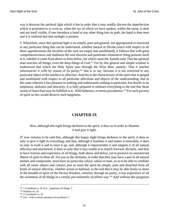way it discerns the spiritual light which it has in order that it may readily discern the imperfection which is presented to it; even as, when the ray of which we have spoken, within the room, is dark and not itself visible, if one introduce a hand or any other thing into its path, the hand is then seen and it is realized that that sunlight is present.

5. Wherefore, since this spiritual light is so simple, pure and general, not appropriated or restricted to any particular thing that can be understood, whether natural or Divine (since with respect to all these apprehensions the faculties of the soul are empty and annihilated), it follows that with great comprehensiveness and readiness the soul discerns and penetrates whatsoever thing presents itself to it, whether it come from above or from below; for which cause the Apostle said: That the spiritual man searches all things, even the deep things of God.141 For by this general and simple wisdom is understood that which the Holy Spirit says through the Wise Man, namely: That it reaches wheresoever it wills by reason of its purity;<sup>142</sup> that is to say, because it is not restricted to any particular object of the intellect or affection. And this is the characteristic of the spirit that is purged and annihilated with respect to all particular affections and objects of the understanding, that in this state wherein it has pleasure in nothing and understands nothing in particular, but dwells in its emptiness, darkness and obscurity, it is fully prepared to embrace everything to the end that those words of Saint Paul may be fulfilled in it: *Nihil habentes, et omnia possidentes*. <sup>143</sup> For such poverty of spirit as this would deserve such happiness.

## **CHAPTER IX**

#### *How, although this night brings darkness to the spirit, it does so in order to illumine it and give it light.*

IT now remains to be said that, although this happy night brings darkness to the spirit, it does so only to give it light in everything; and that, although it humbles it and makes it miserable, it does so only to exalt it and to raise it up; and, although it impoverishes it and empties it of all natural affection and attachment, it does so only that it may enable it to stretch forward, divinely, and thus to have fruition and experience of all things, both above and below, yet to preserve its unrestricted liberty of spirit in them all. For just as the elements, in order that they may have a part in all natural entities and compounds, must have no particular colour, odour or taste, so as to be able to combine with all tastes odours and colours, just so must the spirit be simple, pure and detached from all kinds of natural affection, whether actual or habitual, to the end that it may be able freely to share in the breadth of spirit of the Divine Wisdom, wherein, through its purity, it has experience of all the sweetness of all things in a certain pre-eminently excellent way.144 And without this purgation

<sup>141</sup> [1 Corinthians ii, 10.](http://www.ccel.org/b/bible/asv/xml/asv.iCor.2.xml#iCor.2.10) [*Lit.*, 'penetrates all things.']

<sup>142</sup> [Wisdom vii, 24.](http://www.ccel.org/b/bible/asv/xml/asv.Wis.7.xml#Wis.7.24)

<sup>143</sup> [2 Corinthians vi, 10.](http://www.ccel.org/b/bible/asv/xml/asv.iiCor.6.xml#iiCor.6.10)

<sup>144</sup> [*Lit.*, 'with a certain eminence of excellence.']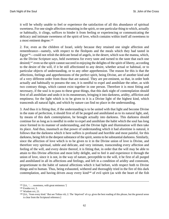it will be wholly unable to feel or experience the satisfaction of all this abundance of spiritual sweetness. For one single affection remaining in the spirit, or one particular thing to which, actually or habitually, it clings, suffices to hinder it from feeling or experiencing or communicating the delicacy and intimate sweetness of the spirit of love, which contains within itself all sweetness to a most eminent degree.<sup>145</sup>

2. For, even as the children of Israel, solely because they retained one single affection and remembrance—namely, with respect to the fleshpots and the meals which they had tasted in Egypt<sup>146</sup>—could not relish the delicate bread of angels, in the desert, which was the manna, which, as the Divine Scripture says, held sweetness for every taste and turned to the taste that each one desired;147 even so the spirit cannot succeed in enjoying the delights of the spirit of liberty, according to the desire of the will, if it be still affectioned to any desire, whether actual or habitual, or to particular objects of understanding, or to any other apprehension. The reason for this is that the affections, feelings and apprehensions of the perfect spirit, being Divine, are of another kind and of a very different order from those that are natural. They are pre-eminent, so that, in order both actually and habitually to possess the one, it is needful to expel and annihilate the other, as with two contrary things, which cannot exist together in one person. Therefore it is most fitting and necessary, if the soul is to pass to these great things, that this dark night of contemplation should first of all annihilate and undo it in its meannesses, bringing it into darkness, aridity, affliction and emptiness; for the light which is to be given to it is a Divine light of the highest kind, which transcends all natural light, and which by nature can find no place in the understanding.

3. And thus it is fitting that, if the understanding is to be united with that light and become Divine in the state of perfection, it should first of all be purged and annihilated as to its natural light, and, by means of this dark contemplation, be brought actually into darkness. This darkness should continue for as long as is needful in order to expel and annihilate the habit which the soul has long since formed in its manner of understanding, and the Divine light and illumination will then take its place. And thus, inasmuch as that power of understanding which it had aforetime is natural, it follows that the darkness which it here suffers is profound and horrible and most painful, for this darkness, being felt in the deepest substance of the spirit, seems to be substantial darkness. Similarly, since the affection of love which is to be given to it in the Divine union of love is Divine, and therefore very spiritual, subtle and delicate, and very intimate, transcending every affection and feeling of the will, and every desire thereof, it is fitting that, in order that the will may be able to attain to this Divine affection and most lofty delight, and to feel it and experience it through the union of love, since it is not, in the way of nature, perceptible to the will, it be first of all purged and annihilated in all its affections and feelings, and left in a condition of aridity and constraint, proportionate to the habit of natural affections which it had before, with respect both to Divine things and to human. Thus, being exhausted, withered and thoroughly tried in the fire of this dark contemplation, and having driven away every kind<sup>148</sup> of evil spirit (as with the heart of the fish

<sup>&</sup>lt;sup>145</sup> [*Lit.*, '... sweetness, with great eminence.']

<sup>146</sup> [Exodus xvi, 3.](http://www.ccel.org/b/bible/asv/xml/asv.Exod.16.xml#Exod.16.3)

<sup>147</sup> [Wisdom xvi, 21.](http://www.ccel.org/b/bible/asv/xml/asv.Wis.16.xml#Wis.16.21)

<sup>&</sup>lt;sup>148</sup> [*Lit.*, 'from every kind.' But see [Tobias viii, 2.](http://www.ccel.org/b/bible/asv/xml/asv.Tob.8.xml#Tob.8.2) The 'deprived' of e.p. gives the best reading of this phrase, but the general sense is clear from the Scriptural reference.]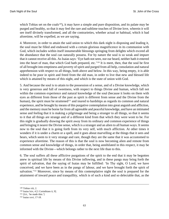which Tobias set on the coals<sup>149</sup>), it may have a simple and pure disposition, and its palate may be purged and healthy, so that it may feel the rare and sublime touches of Divine love, wherein it will see itself divinely transformed, and all the contrarieties, whether actual or habitual, which it had aforetime, will be expelled, as we are saying.

4. Moreover, in order to attain the said union to which this dark night is disposing and leading it, the soul must be filled and endowed with a certain glorious magnificence in its communion with God, which includes within itself innumerable blessings springing from delights which exceed all the abundance that the soul can naturally possess. For by nature the soul is so weak and impure that it cannot receive all this. As Isaias says: 'Eye hath not seen, nor ear heard, neither hath it entered into the heart of man, that which God hath prepared, etc.'150 It is meet, then, that the soul be first of all brought into emptiness and poverty of spirit and purged from all help, consolation and natural apprehension with respect to all things, both above and below. In this way, being empty, it is able indeed to be poor in spirit and freed from the old man, in order to live that new and blessed life which is attained by means of this night, and which is the state of union with God.

5. And because the soul is to attain to the possession of a sense, and of a Divine knowledge, which is very generous and full of sweetness, with respect to things Divine and human, which fall not within the common experience and natural knowledge of the soul (because it looks on them with eyes as different from those of the past as spirit is different from sense and the Divine from the human), the spirit must be straitened<sup>151</sup> and inured to hardships as regards its common and natural experience, and be brought by means of this purgative contemplation into great anguish and affliction, and the memory must be borne far from all agreeable and peaceful knowledge, and have an intimated sense and feeling that it is making a pilgrimage and being a stranger to all things, so that it seems to it that all things are strange and of a different kind from that which they were wont to be. For this night is gradually drawing the spirit away from its ordinary and common experience of things and bringing it nearer the Divine sense, which is a stranger and an alien to all human ways. It seems now to the soul that it is going forth from its very self, with much affliction. At other times it wonders if it is under a charm or a spell, and it goes about marvelling at the things that it sees and hears, which seem to it very strange and rare, though they are the same that it was accustomed to experience aforetime. The reason of this is that the soul is now becoming alien and remote from common sense and knowledge of things, in order that, being annihilated in this respect, it may be informed with the Divine—which belongs rather to the next life than to this.

6. The soul suffers all these afflictive purgations of the spirit to the end that it may be begotten anew in spiritual life by means of this Divine inflowing, and in these pangs may bring forth the spirit of salvation, that the saying of Isaias may be fulfilled: 'In Thy sight, O Lord, we have conceived, and we have been as in the pangs of labour, and we have brought forth the spirit of salvation.'<sup>152</sup> Moreover, since by means of this contemplative night the soul is prepared for the attainment of inward peace and tranquillity, which is of such a kind and so delectable that, as the

<sup>149</sup> [Tobias viii, 2.](http://www.ccel.org/b/bible/asv/xml/asv.Tob.8.xml#Tob.8.2)

<sup>150</sup> [Isaias lxiv, 4](http://www.ccel.org/b/bible/asv/xml/asv.Isa.64.xml#Isa.64.4) [[1 Corinthians ii, 9](http://www.ccel.org/b/bible/asv/xml/asv.iCor.2.xml#iCor.2.9)].

<sup>151</sup> [*Lit.*, 'be made thin.']

<sup>152</sup> [Isaias xxvi, 17-18](http://www.ccel.org/b/bible/asv/xml/asv.Isa.26.xml#Isa.26.17).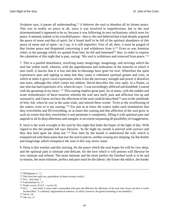Scripture says, it passes all understanding,<sup>153</sup> it behoves the soul to abandon all its former peace. This was in reality no peace at all, since it was involved in imperfections; but to the soul aforementioned it appeared to be so, because it was following its own inclinations, which were for peace. It seemed, indeed, to be a twofold peace—that is, the soul believed that it had already acquired the peace of sense and that of spirit, for it found itself to be full of the spiritual abundance of this peace of sense and of spirit—as I say, it is still imperfect. First of all, then, it must be purged of that former peace and disquieted concerning it and withdrawn from it.154 Even so was Jeremias when, in the passage which we quoted from him, he felt and lamented<sup>155</sup> thus, in order to express the calamities of this night that is past, saying: 'My soul is withdrawn and removed from peace.'<sup>156</sup>

7. This is a painful disturbance, involving many misgivings, imaginings, and strivings which the soul has within itself, wherein, with the apprehension and realization of the miseries in which it sees itself, it fancies that it is lost and that its blessings have gone for ever. Wherefore the spirit experiences pain and sighing so deep that they cause it vehement spiritual groans and cries, to which at times it gives vocal expression; when it has the necessary strength and power it dissolves into tears, although this relief comes but seldom. David describes this very aptly, in a Psalm, as one who has had experience of it, where he says: 'I was exceedingly afflicted and humbled; I roared with the groaning of my heart.'<sup>157</sup> This roaring implies great pain; for at times, with the sudden and acute remembrance of these miseries wherein the soul sees itself, pain and affliction rise up and surround it, and I know not how the affections of the soul could be described<sup>158</sup> save in the similitude of holy Job, when he was in the same trials, and uttered these words: 'Even as the overflowing of the waters, even so is my roaring.'159 For just as at times the waters make such inundations that they overwhelm and fill everything, so at times this roaring and this affliction of the soul grow to such an extent that they overwhelm it and penetrate it completely, filling it with spiritual pain and anguish in all its deep affections and energies, to an extent surpassing all possibility of exaggeration.

8. Such is the work wrought in the soul by this night that hides the hopes of the light of day. With regard to this the prophet Job says likewise: 'In the night my mouth is pierced with sorrows and they that feed upon me sleep not.'160 Now here by the mouth is understood the will, which is transpierced with these pains that tear the soul to pieces, neither ceasing nor sleeping, for the doubts and misgivings which transpierce the soul in this way never cease.

9. Deep is this warfare and this striving, for the peace which the soul hopes for will be very deep; and the spiritual pain is intimate and delicate, for the love which it will possess will likewise be very intimate and refined. The more intimate and the more perfect the finished work is to be and to remain, the more intimate, perfect and pure must be the labour; the firmer the edifice, the harder

<sup>153</sup> [[Philippians iv, 7.](http://www.ccel.org/b/bible/asv/xml/asv.Phil.4.xml#Phil.4.7)]

<sup>154</sup> [We have here split up a parenthesis of about seventy words.]

<sup>155</sup> [*Lit.*, 'and wept.']

<sup>156</sup> [Lamentations iii, 17](http://www.ccel.org/b/bible/asv/xml/asv.Lam.3.xml#Lam.3.17).

<sup>157</sup> [Psalm xxxvii, 9](http://www.ccel.org/b/bible/asv/xml/asv.Ps.37.xml#Ps.37.9) [A.V., [xxxviii, 8](http://www.ccel.org/b/bible/asv/xml/asv.Ps.38.xml#Ps.38.8)].

<sup>&</sup>lt;sup>158</sup> [*Lit., '...* sees itself, it arises and is surrounded with pain and affliction the affections of the soul, that I know not how it could be described.' A confused, ungrammatical sentence, of which, however, the general meaning is not doubtful.]

<sup>159</sup> [Job iii, 24.](http://www.ccel.org/b/bible/asv/xml/asv.Job.3.xml#Job.3.24)

<sup>160</sup> [Job xxx, 17.](http://www.ccel.org/b/bible/asv/xml/asv.Job.30.xml#Job.30.17)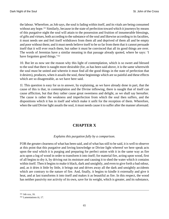the labour. Wherefore, as Job says, the soul is fading within itself, and its vitals are being consumed without any hope.<sup>161</sup> Similarly, because in the state of perfection toward which it journeys by means of this purgative night the soul will attain to the possession and fruition of innumerable blessings, of gifts and virtues, both according to the substance of the soul and likewise according to its faculties, it must needs see and feel itself withdrawn from them all and deprived of them all and be empty and poor without them; and it must needs believe itself to be so far from them that it cannot persuade itself that it will ever reach them, but rather it must be convinced that all its good things are over. The words of Jeremias have a similar meaning in that passage already quoted, where he says: 'I have forgotten good things.'<sup>162</sup>

10. But let us now see the reason why this light of contemplation, which is so sweet and blessed to the soul that there is naught more desirable (for, as has been said above, it is the same wherewith the soul must be united and wherein it must find all the good things in the state of perfection that it desires), produces, when it assails the soul, these beginnings which are so painful and these effects which are so disagreeable, as we have here said.

1l. This question is easy for us to answer, by explaining, as we have already done in part, that the cause of this is that, in contemplation and the Divine inflowing, there is naught that of itself can cause affliction, but that they rather cause great sweetness and delight, as we shall say hereafter. The cause is rather the weakness and imperfection from which the soul then suffers, and the dispositions which it has in itself and which make it unfit for the reception of them. Wherefore, when the said Divine light assails the soul, it must needs cause it to suffer after the manner aforesaid.

# **CHAPTER X**

#### *Explains this purgation fully by a comparison.*

FOR the greater clearness of what has been said, and of what has still to be said, it is well to observe at this point that this purgative and loving knowledge or Divine light whereof we here speak acts upon the soul which it is purging and preparing for perfect union with it in the same way as fire acts upon a log of wood in order to transform it into itself; for material fire, acting upon wood, first of all begins to dry it, by driving out its moisture and causing it to shed the water which it contains within itself. Then it begins to make it black, dark and unsightly, and even to give forth a bad odour, and, as it dries it little by little, it brings out and drives away all the dark and unsightly accidents which are contrary to the nature of fire. And, finally, it begins to kindle it externally and give it heat, and at last transforms it into itself and makes it as beautiful as fire. In this respect, the wood has neither passivity nor activity of its own, save for its weight, which is greater, and its substance,

<sup>161</sup> [Job xxx, 16.](http://www.ccel.org/b/bible/asv/xml/asv.Job.30.xml#Job.30.16)

<sup>162</sup> [Lamentations iii, 17](http://www.ccel.org/b/bible/asv/xml/asv.Lam.3.xml#Lam.3.17).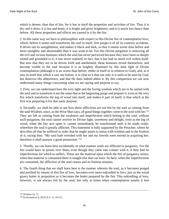which is denser, than that of fire, for it has in itself the properties and activities of fire. Thus it is dry and it dries; it is hot and heats; it is bright and gives brightness; and it is much less heavy than before. All these properties and effects are caused in it by the fire.

2. In this same way we have to philosophize with respect to this Divine fire of contemplative love, which, before it unites and transforms the soul in itself, first purges it of all its contrary accidents. It drives out its unsightliness, and makes it black and dark, so that it seems worse than before and more unsightly and abominable than it was wont to be. For this Divine purgation is removing all the evil and vicious humours which the soul has never perceived because they have been so deeply rooted and grounded in it; it has never realized, in fact, that it has had so much evil within itself. But now that they are to be driven forth and annihilated, these humours reveal themselves, and become visible to the soul because it is so brightly illumined by this dark light of Divine contemplation (although it is no worse than before, either in itself or in relation to God); and, as it sees in itself that which it saw not before, it is clear to it that not only is it unfit to be seen by God, but deserves His abhorrence, and that He does indeed abhor it. By this comparison we can now understand many things concerning what we are saying and purpose to say.

3. First, we can understand how the very light and the loving wisdom which are to be united with the soul and to transform it are the same that at the beginning purge and prepare it: even as the very fire which transforms the log of wood into itself, and makes it part of itself, is that which at the first was preparing it for that same purpose.

4. Secondly, we shall be able to see how these afflictions are not felt by the soul as coming from the said Wisdom, since, as the Wise Man says, all good things together come to the soul with her.<sup>163</sup> They are felt as coming from the weakness and imperfection which belong to the soul; without such purgation, the soul cannot receive its Divine light, sweetness and delight, even as the log of wood, when the fire acts upon it, cannot immediately be transformed until it be made ready; wherefore the soul is greatly afflicted. This statement is fully supported by the Preacher, where he describes all that he suffered in order that he might attain to union with wisdom and to the fruition of it, saying thus: 'My soul hath wrestled with her and my bowels were moved in acquiring her; therefore it shall possess a good possession.'<sup>164</sup>

5. Thirdly, we can learn here incidentally in what manner souls are afflicted in purgatory. For the fire would have no power over them, even though they came into contact with it, if they had no imperfections for which to suffers. These are the material upon which the fire of purgatory seizes; when that material is consumed there is naught else that can burn. So here, when the imperfections are consumed, the affliction of the soul ceases and its fruition remains.

6. The fourth thing that we shall learn here is the manner wherein the soul, as it becomes purged and purified by means of this fire of love, becomes ever more enkindled in love, just as the wood grows hotter in proportion as it becomes the better prepared by the fire. This enkindling of love, however, is not always felt by the soul, but only at times when contemplation assails it less

<sup>163</sup> [Wisdom vii, 11.](http://www.ccel.org/b/bible/asv/xml/asv.Wis.7.xml#Wis.7.11)

<sup>164</sup> [Ecclesiasticus li, 28-9](http://www.ccel.org/b/bible/asv/xml/asv.Sir.51.xml#Sir.51.28) [A.V., [li, 19-21](http://www.ccel.org/b/bible/asv/xml/asv.Sir.51.xml#Sir.51.19)].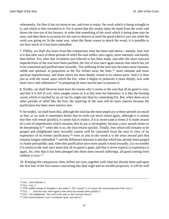vehemently, for then it has occasion to see, and even to enjoy, the work which is being wrought in it, and which is then revealed to it. For it seems that the worker takes his hand from the work, and draws the iron out of the furnace, in order that something of the work which is being done may be seen; and then there is occasion for the soul to observe in itself the good which it saw not while the work was going on. In the same way, when the flame ceases to attack the wood, it is possible to see how much of it has been enkindled.

7. Fifthly, we shall also learn from this comparison what has been said above—namely, how true it is that after each of these periods of relief the soul suffers once again, more intensely and keenly than before. For, after that revelation just referred to has been made, and after the more outward imperfections of the soul have been purified, the fire of love once again attacks that which has yet to be consumed and purified more inwardly. The suffering of the soul now becomes more intimate, subtle and spiritual, in proportion as the fire refines away the finer,<sup>165</sup> more intimate and more spiritual imperfections, and those which are most deeply rooted in its inmost parts. And it is here just as with the wood, upon which the fire, when it begins to penetrate it more deeply, acts with more force and vehemence<sup>166</sup> in preparing its most inward part to possess it.

8. Sixthly, we shall likewise learn here the reason why it seems to the soul that all its good is over, and that it is full of evil, since naught comes to it at this time but bitterness; it is like the burning wood, which is touched by no air nor by aught else than by consuming fire. But, when there occur other periods of relief like the first, the rejoicing of the soul will be more interior because the purification has been more interior also.

9. Seventhly, we shall learn that, although the soul has the most ample joy at these periods (so much so that, as we said, it sometimes thinks that its trials can never return again, although it is certain that they will return quickly), it cannot fail to realize, if it is aware (and at times it is made aware) of a root of imperfection which remains, that its joy is incomplete, because a new assault seems to be threatening it;<sup>167</sup> when this is so, the trial returns quickly. Finally, that which still remains to be purged and enlightened most inwardly cannot well be concealed from the soul in view of its experience of its former purification;<sup>168</sup> even as also in the wood it is the most inward part that remains longest unkindled,169 and the difference between it and that which has already been purged is clearly perceptible; and, when this purification once more assails it most inwardly, it is no wonder if it seems to the soul once more that all its good is gone, and that it never expects to experience it again, for, now that it has been plunged into these most inward sufferings, all good coming from without is over.<sup>170</sup>

10. Keeping this comparison, then, before our eyes, together with what has already been said upon the first line of the first stanza concerning this dark night and its terrible properties, it will be well

<sup>166</sup> [*Lit.*, 'fury.']

<sup>169</sup> [*Lit.*, 'not enlightened': the word is the same as that used just above.]

<sup>165</sup> [*Lit.*, 'more delicate.']

<sup>&</sup>lt;sup>167</sup> [The sudden change of metaphor is the author's. The 'assault' is, of course, the renewed growth of the 'root.']

<sup>&</sup>lt;sup>168</sup> [*Lit.*, '... from the soul, with regard to that which has already been purified.']

<sup>170</sup> [The word translated 'over' is rendered 'gone' just above.]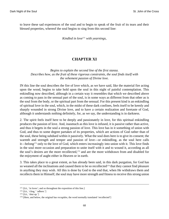to leave these sad experiences of the soul and to begin to speak of the fruit of its tears and their blessed properties, whereof the soul begins to sing from this second line:

*Kindled in love*171 *with yearnings,*

## **CHAPTER XI**

*Begins to explain the second line of the first stanza. Describes how, as the fruit of these rigorous constraints, the soul finds itself with the vehement passion of Divine love.*

IN this line the soul describes the fire of love which, as we have said, like the material fire acting upon the wood, begins to take hold upon the soul in this night of painful contemplation. This enkindling now described, although in a certain way it resembles that which we described above as coming to pass in the sensual part of the soul, is in some ways as different from that other as is the soul from the body, or the spiritual part from the sensual. For this present kind is an enkindling of spiritual love in the soul, which, in the midst of these dark confines, feels itself to be keenly and sharply wounded in strong Divine love, and to have a certain realization and foretaste of God, although it understands nothing definitely, for, as we say, the understanding is in darkness.

2. The spirit feels itself here to be deeply and passionately in love, for this spiritual enkindling produces the passion of love. And, inasmuch as this love is infused, it is passive rather than active, and thus it begets in the soul a strong passion of love. This love has in it something of union with God, and thus to some degree partakes of its properties, which are actions of God rather than of the soul, these being subdued within it passively. What the soul does here is to give its consent; the warmth and strength and temper and passion of love—or enkindling, as the soul here calls it—belong172 only to the love of God, which enters increasingly into union with it. This love finds in the soul more occasion and preparation to unite itself with it and to wound it, according as all the soul's desires are the more recollected,173 and are the more withdrawn from and disabled for the enjoyment of aught either in Heaven or in earth.

3. This takes place to a great extent, as has already been said, in this dark purgation, for God has so weaned all the inclinations and caused them to be so recollected<sup>174</sup> that they cannot find pleasure in anything they may wish. All this is done by God to the end that, when He withdraws them and recollects them in Himself, the soul may have more strength and fitness to receive this strong union

<sup>&</sup>lt;sup>171</sup> [*Lit.*, 'in loves'; and so throughout the exposition of this line.]

<sup>&</sup>lt;sup>172</sup> [*Lit.*, 'cling,' 'adhere.']

<sup>173</sup> [*Lit.*, 'shut up.']

<sup>174</sup> [Here, and below, the original has *recogidos*, the word normally translated 'recollected']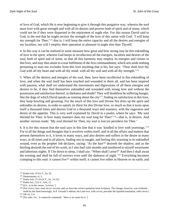of love of God, which He is now beginning to give it through this purgative way, wherein the soul must love with great strength and with all its desires and powers both of spirit and of sense; which could not be if they were dispersed in the enjoyment of aught else. For this reason David said to God, to the end that he might receive the strength of the love of this union with God: 'I will keep my strength for Thee;'175 that is, I will keep the entire capacity and all the desires and energies of my faculties, nor will I employ their operation or pleasure in aught else than Thyself.

4. In this way it can be realized in some measure how great and how strong may be this enkindling of love in the spirit, wherein God keeps in recollection all the energies, faculties and desires of the soul, both of spirit and of sense, so that all this harmony may employ its energies and virtues in this love, and may thus attain to a true fulfilment of the first commandment, which sets aside nothing pertaining to man nor excludes from this love anything that is his, but says: 'Thou shalt love thy God with all thy heart and with all thy mind, with all thy soul and with all thy strength.'<sup>176</sup>

5. When all the desires and energies of the soul, then, have been recollected in this enkindling of love, and when the soul itself has been touched and wounded in them all, and has been inspired with passion, what shall we understand the movements and digressions of all these energies and desires to be, if they find themselves enkindled and wounded with strong love and without the possession and satisfaction thereof, in darkness and doubt? They will doubtless be suffering hunger, like the dogs of which David speaks as running about the city<sup>177</sup>; finding no satisfaction in this love, they keep howling and groaning. For the touch of this love and Divine fire dries up the spirit and enkindles its desires, in order to satisfy its thirst for this Divine love, so much so that it turns upon itself a thousand times and desires God in a thousand ways and manners, with the eagerness and desire of the appetite. This is very well explained by David in a psalm, where he says: 'My soul thirsted for Thee: in how many manners does my soul long for Thee!'178—that is, in desires. And another version reads: 'My soul thirsted for Thee, my soul is lost (or perishes) for Thee.'

6. It is for this reason that the soul says in this line that it was 'kindled in love with yearnings.'<sup>179</sup> For in all the things and thoughts that it revolves within itself, and in all the affairs and matters that present themselves to it, it loves in many ways, and also desires and suffers in the desire in many ways, at all times and in all places, finding rest in naught, and feeling this yearning in its enkindled wound, even as the prophet Job declares, saying: 'As the hart<sup>180</sup> desireth the shadow, and as the hireling desireth the end of his work, so I also had vain months and numbered to myself wearisome and laborious nights. If I lie down to sleep, I shall say: "When shall I arise?" And then I shall await the evening and shall be full of sorrows even until the darkness of night.'181 Everything becomes cramping to this soul: it cannot live<sup>182</sup> within itself; it cannot live either in Heaven or on earth; and

<sup>175</sup> [Psalm lviii, 10](http://www.ccel.org/b/bible/asv/xml/asv.Ps.58.xml#Ps.58.10) [A V., [lix, 9](http://www.ccel.org/b/bible/asv/xml/asv.Ps.59.xml#Ps.59.9)].

<sup>176</sup> [Deuteronomy vi, 5.](http://www.ccel.org/b/bible/asv/xml/asv.Deut.6.xml#Deut.6.5)

<sup>177</sup> [Psalm lviii, 15-16](http://www.ccel.org/b/bible/asv/xml/asv.Ps.58.xml#Ps.58.15) [A.V., [lix, 14-15](http://www.ccel.org/b/bible/asv/xml/asv.Ps.59.xml#Ps.59.14)].

<sup>178</sup> [Psalm lxii, 2](http://www.ccel.org/b/bible/asv/xml/asv.Ps.62.xml#Ps.62.2) [A.V., [lxiii, 1](http://www.ccel.org/b/bible/asv/xml/asv.Ps.63.xml#Ps.63.1)].

 $179$  [*Lit.*, as in the verses, 'in loves.']

<sup>180</sup> [For *cievro*, hart, read *siervo*, servant, and we have the correct quotation from Scripture. The change, however, was evidently made by the Saint knowingly. In P. Gerardo's edition, the Latin text, with *cervus*, precedes the Spanish translation, with *ciervo*.]

<sup>181</sup> [Job vii, 2-4.](http://www.ccel.org/b/bible/asv/xml/asv.Job.7.xml#Job.7.2)

<sup>&</sup>lt;sup>182</sup> [*No cabe: Lit.*, 'it cannot be contained,' 'there is no room for it.']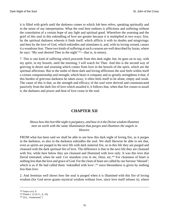it is filled with griefs until the darkness comes to which Job here refers, speaking spiritually and in the sense of our interpretation. What the soul here endures is afflictions and suffering without the consolation of a certain hope of any light and spiritual good. Wherefore the yearning and the grief of this soul in this enkindling of love are greater because it is multiplied in two ways: first, by the spiritual darkness wherein it finds itself, which afflicts it with its doubts and misgivings; and then by the love of God, which enkindles and stimulates it, and, with its loving wound, causes it a wondrous fear. These two kinds of suffering at such a season are well described by Isaias, where he says: 'My soul desired Thee in the night'<sup>183</sup>—that is, in misery.

7. This is one kind of suffering which proceeds from this dark night; but, he goes on to say, with my spirit, in my bowels, until the morning, I will watch for Thee. And this is the second way of grieving in desire and yearning which comes from love in the bowels of the spirit, which are the spiritual affections. But in the midst of these dark and loving afflictions the soul feels within itself a certain companionship and strength, which bears it company and so greatly strengthens it that, if this burden of grievous darkness be taken away, it often feels itself to be alone, empty and weak. The cause of this is that, as the strength and efficacy of the soul were derived and communicated passively from the dark fire of love which assailed it, it follows that, when that fire ceases to assail it, the darkness and power and heat of love cease in the soul.

# **CHAPTER XII**

### *Shows how this horrible night is purgatory, and how in it the Divine wisdom illumines men on earth with the same illumination that purges and illumines the angels in Heaven.*

FROM what has been said we shall be able to see how this dark night of loving fire, as it purges in the darkness, so also in the darkness enkindles the soul. We shall likewise be able to see that, even as spirits are purged in the next life with dark material fire, so in this life they are purged and cleansed with the dark spiritual fire of love. The difference is that in the next life they are cleansed with fire, while here below they are cleansed and illumined with love only. It was this love that David entreated, when he said: *Cor mundum crea in me, Deus*, etc.<sup>184</sup> For cleanness of heart is nothing less than the love and grace of God. For the clean of heart are called by our Saviour 'blessed'; which is as if He had called them 'enkindled with love',<sup>185</sup> since blessedness is given by nothing less than love.

2. And Jeremias well shows how the soul is purged when it is illumined with this fire of loving wisdom (for God never grants mystical wisdom without love, since love itself infuses it), where

<sup>183</sup> [Isaias xxvi, 9.](http://www.ccel.org/b/bible/asv/xml/asv.Isa.26.xml#Isa.26.9)

<sup>184</sup> [Psalm l, 12](http://www.ccel.org/b/bible/asv/xml/asv.Ps.50.xml#Ps.50.12) [A.V., [li, 10](http://www.ccel.org/b/bible/asv/xml/asv.Ps.51.xml#Ps.51.10)].

<sup>185</sup> [*Lit.*, 'enamoured.']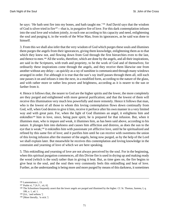he says: 'He hath sent fire into my bones, and hath taught me.'<sup>186</sup> And David says that the wisdom of God is silver tried in fire187—that is, in purgative fire of love. For this dark contemplation infuses into the soul love and wisdom jointly, to each one according to his capacity and need, enlightening the soul and purging it, in the words of the Wise Man, from its ignorances, as he said was done to himself.

3. From this we shall also infer that the very wisdom of God which purges these souls and illumines them purges the angels from their ignorances, giving them knowledge, enlightening them as to that which they knew not, and flowing down from God through the first hierarchies even to the last, and thence to men.188 All the works, therefore, which are done by the angels, and all their inspirations, are said in the Scriptures, with truth and propriety, to be the work of God and of themselves; for ordinarily these inspirations come through the angels, and they receive them likewise one from another without any delay—as quickly as a ray of sunshine is communicated through many windows arranged in order. For although it is true that the sun's ray itself passes through them all, still each one passes it on and infuses it into the next, in a modified form, according to the nature of the glass, and with rather more or rather less power and brightness, according as it is nearer to the sun or farther from it.

4. Hence it follows that, the nearer to God are the higher spirits and the lower, the more completely are they purged and enlightened with more general purification; and that the lowest of them will receive this illumination very much less powerfully and more remotely. Hence it follows that man, who is the lowest of all those to whom this loving contemplation flows down continually from God, will, when God desires to give it him, receive it perforce after his own manner in a very limited way and with great pain. For, when the light of God illumines an angel, it enlightens him and enkindles189 him in love, since, being pure spirit, he is prepared for that infusion. But, when it illumines man, who is impure and weak, it illumines him, as has been said above, according to his nature. It plunges him into darkness and causes him affliction and distress, as does the sun to the eye that is weak;190 it enkindles him with passionate yet afflictive love, until he be spiritualized and refined by this same fire of love; and it purifies him until he can receive with sweetness the union of this loving infusion after the manner of the angels, being now purged, as by the help of the Lord we shall explain later. But meanwhile he receives this contemplation and loving knowledge in the constraint and yearning of love of which we are here speaking.

5. This enkindling and yearning of love are not always perceived by the soul. For in the beginning, when this spiritual purgation commences, all this Divine fire is used in drying up and making ready the wood (which is the soul) rather than in giving it heat. But, as time goes on, the fire begins to give heat to the soul, and the soul then very commonly feels this enkindling and heat of love. Further, as the understanding is being more and more purged by means of this darkness, it sometimes

<sup>186</sup> [Lamentations i, 13](http://www.ccel.org/b/bible/asv/xml/asv.Lam.1.xml#Lam.1.13).

<sup>187</sup> [Psalm xi, 7](http://www.ccel.org/b/bible/asv/xml/asv.Ps.11.xml#Ps.11.7) [A.V., [xii, 6](http://www.ccel.org/b/bible/asv/xml/asv.Ps.12.xml#Ps.12.6)].

<sup>188</sup> The Schoolmen frequently assert that the lower angels are purged and illumined by the higher. Cf. St. Thomas, *Summa*, I, q. 106, a. 1, ad. 1.

<sup>189</sup> [*Lit.*, 'and softens.']

<sup>190</sup> [More literally, 'is sick.']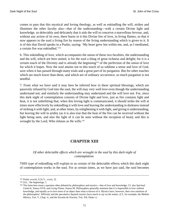comes to pass that this mystical and loving theology, as well as enkindling the will, strikes and illumines the other faculty also—that of the understanding—with a certain Divine light and knowledge, so delectably and delicately that it aids the will to conceive a marvellous fervour, and, without any action of its own, there burns in it this Divine fire of love, in living flames, so that it now appears to the soul a living fire by reason of the living understanding which is given to it. It is of this that David speaks in a Psalm, saying: 'My heart grew hot within me, and, as I meditated, a certain fire was enkindled.'<sup>191</sup>

6. This enkindling of love, which accompanies the union of these two faculties, the understanding and the will, which are here united, is for the soul a thing of great richness and delight; for it is a certain touch of the Divinity and is already the beginning<sup>192</sup> of the perfection of the union of love for which it hopes. Now the soul attains not to this touch of so sublime a sense and love of God, save when it has passed through many trials and a great part of its purgation. But for other touches which are much lower than these, and which are of ordinary occurrence, so much purgation is not needful.

7. From what we have said it may here be inferred how in these spiritual blessings, which are passively infused by God into the soul, the will may very well love even though the understanding understand not; and similarly the understanding may understand and the will love not. For, since this dark night of contemplation consists of Divine light and love, just as fire contains light and heat, it is not unbefitting that, when this loving light is communicated, it should strike the will at times more effectively by enkindling it with love and leaving the understanding in darkness instead of striking it with light; and, at other times, by enlightening it with light, and giving it understanding, but leaving the will in aridity (as it is also true that the heat of the fire can be received without the light being seen, and also the light of it can be seen without the reception of heat); and this is wrought by the Lord, Who infuses as He wills.<sup>193</sup>

# **CHAPTER XIII**

### *Of other delectable effects which are wrought in the soul by this dark night of contemplation.*

THIS type of enkindling will explain to us certain of the delectable effects which this dark night of contemplation works in the soul. For at certain times, as we have just said, the soul becomes

<sup>191</sup> [Psalm xxxviii, 4](http://www.ccel.org/b/bible/asv/xml/asv.Ps.38.xml#Ps.38.4) [A.V., [xxxix, 3\]](http://www.ccel.org/b/bible/asv/xml/asv.Ps.39.xml#Ps.39.3).

<sup>192</sup> [*Lit.*, 'the beginnings.']

<sup>193</sup> The Saint here treats a question often debated by philosophers and mystics—that of love and knowledge. Cf. also *Spiritual Canticle*, Stanza XVII, and *Living Flame*, Stanza III. Philosophers generally maintain that it is impossible to love without knowledge, and equally so to love more of an object than what is known of it. Mystics have, however, their own solutions of the philosophers' difficulty and the speculative Spanish mystics have much to say on the matter. (Cf., for example, the Médula Mistica, Trat. V, Chap. iv, and the Escuela de Oración, Trat. XII, Duda v.)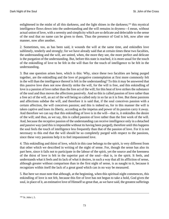enlightened in the midst of all this darkness, and the light shines in the darkness;194 this mystical intelligence flows down into the understanding and the will remains in dryness—I mean, without actual union of love, with a serenity and simplicity which are so delicate and delectable to the sense of the soul that no name can be given to them. Thus the presence of God is felt, now after one manner, now after another.

2. Sometimes, too, as has been said, it wounds the will at the same time, and enkindles love sublimely, tenderly and strongly; for we have already said that at certain times these two faculties, the understanding and the will, are united, when, the more they see, the more perfect and delicate is the purgation of the understanding. But, before this state is reached, it is more usual for the touch of the enkindling of love to be felt in the will than for the touch of intelligence to be felt in the understanding.

3. But one question arises here, which is this: Why, since these two faculties are being purged together, are the enkindling and the love of purgative contemplation at first more commonly felt in the will than the intelligence thereof is felt in the understanding? To this it may be answered that this passive love does not now directly strike the will, for the will is free, and this enkindling of love is a passion of love rather than the free act of the will; for this heat of love strikes the substance of the soul and thus moves the affections passively. And so this is called passion of love rather than a free act of the will, an act of the will being so called only in so far as it is free. But these passions and affections subdue the will, and therefore it is said that, if the soul conceives passion with a certain affection, the will conceives passion; and this is indeed so, for in this manner the will is taken captive and loses its liberty, according as the impetus and power of its passion carry it away. And therefore we can say that this enkindling of love is in the will—that is, it enkindles the desire of the will; and thus, as we say, this is called passion of love rather than the free work of the will. And, because the receptive passion of the understanding can receive intelligence only in a detached and passive way (and this is impossible without its having been purged), therefore until this happens the soul feels the touch of intelligence less frequently than that of the passion of love. For it is not necessary to this end that the will should be so completely purged with respect to the passions, since these very passions help it to feel impassioned love.

4. This enkindling and thirst of love, which in this case belongs to the spirit, is very different from that other which we described in writing of the night of sense. For, though the sense has also its part here, since it fails not to participate in the labour of the spirit, yet the source and the keenness of the thirst of love is felt in the superior part of the soul—that is, in the spirit. It feels, and understands what it feels and its lack of what it desires, in such a way that all its affliction of sense, although greater without comparison than in the first night of sense, is as naught to it, because it recognizes within itself the lack of a great good which can in no way be measured.

5. But here we must note that although, at the beginning, when this spiritual night commences, this enkindling of love is not felt, because this fire of love has not begun to take a hold, God gives the soul, in place of it, an estimative love of Himself so great that, as we have said, the greatest sufferings

<sup>194</sup> [St. John i, 5.](http://www.ccel.org/b/bible/asv/xml/asv.John.1.xml#John.1.5)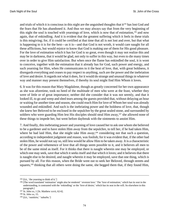and trials of which it is conscious in this night are the anguished thoughts that it<sup>195</sup> has lost God and the fears that He has abandoned it. And thus we may always say that from the very beginning of this night the soul is touched with yearnings of love, which is now that of estimation,196 and now again, that of enkindling. And it is evident that the greatest suffering which it feels in these trials is this misgiving; for, if it could be certified at that time that all is not lost and over, but that what is happening to it is for the best—as it is—and that God is not wroth, it would care naught for all these afflictions, but would rejoice to know that God is making use of them for His good pleasure. For the love of estimation which it has for God is so great, even though it may not realize this and may be in darkness, that it would be glad, not only to suffer in this way, but even to die many times over in order to give Him satisfaction. But when once the flame has enkindled the soul, it is wont to conceive, together with the estimation that it already has for God, such power and energy, and such yearning for Him, when He communicates to it the heat of love, that, with great boldness, it disregards everything and ceases to pay respect to anything, such are the power and the inebriation of love and desire. It regards not what it does, for it would do strange and unusual things in whatever way and manner may present themselves, if thereby its soul might find Him Whom it loves.

6. It was for this reason that Mary Magdalene, though as greatly concerned for her own appearance as she was aforetime, took no heed of the multitude of men who were at the feast, whether they were of little or of great importance; neither did she consider that it was not seemly, and that it looked ill, to go and weep and shed tears among the guests provided that, without delaying an hour or waiting for another time and season, she could reach Him for love of Whom her soul was already wounded and enkindled. And such is the inebriating power and the boldness of love, that, though she knew her Beloved to be enclosed in the sepulchre by the great sealed stone, and surrounded by soldiers who were guarding Him lest His disciples should steal Him away,<sup>197</sup> she allowed none of these things to impede her, but went before daybreak with the ointments to anoint Him.

7. And finally, this inebriating power and yearning of love caused her to ask one whom she believed to be a gardener and to have stolen Him away from the sepulchre, to tell her, if he had taken Him, where he had laid Him, that she might take Him away;<sup>198</sup> considering not that such a question, according to independent judgment and reason, was foolish; for it was evident that, if the other had stolen Him, he would not say so, still less would he allow Him to be taken away. It is a characteristic of the power and vehemence of love that all things seem possible to it, and it believes all men to be of the same mind as itself. For it thinks that there is naught wherein one may be employed, or which one may seek, save that which it seeks itself and that which it loves; and it believes that there is naught else to be desired, and naught wherein it may be employed, save that one thing, which is pursued by all. For this reason, when the Bride went out to seek her Beloved, through streets and squares,<sup>199</sup> thinking that all others were doing the same, she begged them that, if they found Him,

<sup>195</sup> [*Lit.*, 'the yearning to think of it.']

<sup>196</sup> [The word translated 'estimation' might also be rendered ' reverent love.' The 'love of estimation,' which has its seat in the understanding, is contrasted with the 'enkindling' or the 'love of desire,' which has its seat in the will. So elsewhere in this paragraph.]

<sup>197</sup> [St. John xx, 1](http://www.ccel.org/b/bible/asv/xml/asv.John.20.xml#John.20.1) [\[St. Matthew xxvii, 62-6](http://www.ccel.org/b/bible/asv/xml/asv.Matt.27.xml#Matt.27.62)].

<sup>198</sup> [St. John xx, 15.](http://www.ccel.org/b/bible/asv/xml/asv.John.20.xml#John.20.15)

<sup>&</sup>lt;sup>199</sup> [*Lit.*, 'outskirts,' 'suburbs.']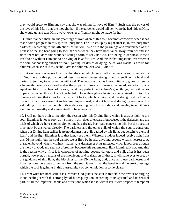they would speak to Him and say that she was pining for love of Him.200 Such was the power of the love of this Mary that she thought that, if the gardener would tell her where he had hidden Him, she would go and take Him away, however difficult it might be made for her.

8. Of this manner, then, are the yearnings of love whereof this soul becomes conscious when it has made some progress in this spiritual purgation. For it rises up by night (that is, in this purgative darkness) according to the affections of the will. And with the yearnings and vehemence of the lioness or the she-bear going to seek her cubs when they have been taken away from her and she finds them not, does this wounded soul go forth to seek its God. For, being in darkness, it feels itself to be without Him and to be dying of love for Him. And this is that impatient love wherein the soul cannot long subsist without gaining its desire or dying. Such was Rachel's desire for children when she said to Jacob: 'Give me children, else shall I die.'<sup>201</sup>

9. But we have now to see how it is that the soul which feels itself so miserable and so unworthy of God, here in this purgative darkness, has nevertheless strength, and is sufficiently bold and daring, to journey towards union with God. The reason is that, as love continually gives it strength wherewith it may love indeed, and as the property of love is to desire to be united, joined and made equal and like to the object of its love, that it may perfect itself in love's good things, hence it comes to pass that, when this soul is not perfected in love, through not having as yet attained to union, the hunger and thirst that it has for that which it lacks (which is union) and the strength set by love in the will which has caused it to become impassioned, make it bold and daring by reason of the enkindling of its will, although in its understanding, which is still dark and unenlightened, it feels itself to be unworthy and knows itself to be miserable.

10. I will not here omit to mention the reason why this Divine light, which is always light to the soul, illumines it not as soon as it strikes it, as it does afterwards, but causes it the darkness and the trials of which we have spoken. Something has already been said concerning this, but the question must now be answered directly. The darkness and the other evils of which the soul is conscious when this Divine light strikes it are not darkness or evils caused by this light, but pertain to the soul itself, and the light illumines it so that it may see them. Wherefore it does indeed receive light from this Divine light; but the soul cannot see at first, by its aid, anything beyond what is nearest to it, or rather, beyond what is within it—namely, its darknesses or its miseries, which it now sees through the mercy of God, and saw not aforetime, because this supernatural light illumined it not. And this is the reason why at first it is conscious of nothing beyond darkness and evil; after it has been purged, however, by means of the knowledge and realization of these, it will have eyes to see, by the guidance of this light, the blessings of the Divine light; and, once all these darknesses and imperfections have been driven out from the soul, it seems that the benefits and the great blessings which the soul is gaining in this blessed night of contemplation become clearer.

11. From what has been said, it is clear that God grants the soul in this state the favour of purging it and healing it with this strong lye of bitter purgation, according to its spiritual and its sensual part, of all the imperfect habits and affections which it had within itself with respect to temporal

<sup>200</sup> [Canticles v, 8](http://www.ccel.org/b/bible/asv/xml/asv.Song.5.xml#Song.5.8).

<sup>201</sup> [Genesis xxx, 1](http://www.ccel.org/b/bible/asv/xml/asv.Gen.30.xml#Gen.30.1).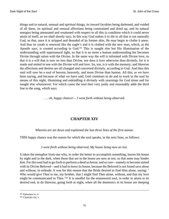things and to natural, sensual and spiritual things, its inward faculties being darkened, and voided of all these, its spiritual and sensual affections being constrained and dried up, and its natural energies being attenuated and weakened with respect to all this (a condition which it could never attain of itself, as we shall shortly say). In this way God makes it to die to all that is not naturally God, so that, once it is stripped and denuded of its former skin, He may begin to clothe it anew. And thus its youth is renewed like the eagle's and it is clothed with the new man, which, as the Apostle says, is created according to God.<sup>202</sup> This is naught else but His illumination of the understanding with supernatural light, so that it is no more a human understanding but becomes Divine through union with the Divine. In the same way the will is informed with Divine love, so that it is a will that is now no less than Divine, nor does it love otherwise than divinely, for it is made and united in one with the Divine will and love. So, too, is it with the memory; and likewise the affections and desires are all changed and converted divinely, according to God. And thus this soul will now be a soul of heaven, heavenly, and more Divine than human. All this, as we have been saying, and because of what we have said, God continues to do and to work in the soul by means of this night, illumining and enkindling it divinely with yearnings for God alone and for naught else whatsoever. For which cause the soul then very justly and reasonably adds the third line to the song, which says:

*. . . oh, happy chance!— I went forth without being observed.*

## **CHAPTER XIV**

*Wherein are set down and explained the last three lines of the first stanza.*

THIS happy chance was the reason for which the soul speaks, in the next lines, as follows:

*I went forth without being observed, My house being now at rest.*

It takes the metaphor from one who, in order the better to accomplish something, leaves his house by night and in the dark, when those that are in the house are now at rest, so that none may hinder him. For this soul had to go forth to perform a deed so heroic and so rare—namely to become united with its Divine Beloved—and it had to leave its house, because the Beloved is not found save alone and without, in solitude. It was for this reason that the Bride desired to find Him alone, saying: ' Who would give Thee to me, my brother, that I might find Thee alone, without, and that my love might be communicated to Thee.'203 It is needful for the enamoured soul, in order to attain to its desired end, to do likewise, going forth at night, when all the domestics in its house are sleeping

<sup>202</sup> [Ephesians iv, 4.](http://www.ccel.org/b/bible/asv/xml/asv.Eph.4.xml#Eph.4.4)

<sup>203</sup> [Canticles viii, 1.](http://www.ccel.org/b/bible/asv/xml/asv.Song.8.xml#Song.8.1)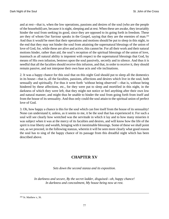and at rest—that is, when the low operations, passions and desires of the soul (who are the people of the household) are, because it is night, sleeping and at rest. When these are awake, they invariably hinder the soul from seeking its good, since they are opposed to its going forth in freedom. These are they of whom Our Saviour speaks in the Gospel, saying that they are the enemies of man.<sup>204</sup> And thus it would be meet that their operations and motions should be put to sleep in this night, to the end that they may not hinder the soul from attaining the supernatural blessings of the union of love of God, for, while these are alive and active, this cannot be. For all their work and their natural motions hinder, rather than aid, the soul's reception of the spiritual blessings of the union of love, inasmuch as all natural ability is impotent with respect to the supernatural blessings that God, by means of His own infusion, bestows upon the soul passively, secretly and in silence. And thus it is needful that all the faculties should receive this infusion, and that, in order to receive it, they should remain passive, and not interpose their own base acts and vile inclinations.

2. It was a happy chance for this soul that on this night God should put to sleep all the domestics in its house—that is, all the faculties, passions, affections and desires which live in the soul, both sensually and spiritually. For thus it went forth 'without being observed'—that is, without being hindered by these affections, etc., for they were put to sleep and mortified in this night, in the darkness of which they were left, that they might not notice or feel anything after their own low and natural manner, and might thus be unable to hinder the soul from going forth from itself and from the house of its sensuality. And thus only could the soul attain to the spiritual union of perfect love of God.

3. Oh, how happy a chance is this for the soul which can free itself from the house of its sensuality! None can understand it, unless, as it seems to me, it be the soul that has experienced it. For such a soul will see clearly how wretched was the servitude in which it lay and to how many miseries it was subject when it was at the mercy of its faculties and desires, and will know how the life of the spirit is true liberty and wealth, bringing with it inestimable blessings. Some of these we shall point out, as we proceed, in the following stanzas, wherein it will be seen more clearly what good reason the soul has to sing of the happy chance of its passage from this dreadful night which has been described above.

# **CHAPTER XV**

*Sets down the second stanza and its exposition.*

*In darkness and secure, By the secret ladder, disguised—oh, happy chance! In darkness and concealment, My house being now at rest.*

#### <sup>204</sup> [St. Matthew x, 36](http://www.ccel.org/b/bible/asv/xml/asv.Matt.10.xml#Matt.10.36).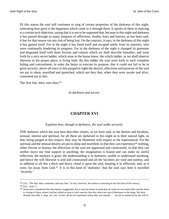IN this stanza the soul still continues to sing of certain properties of the darkness of this night, reiterating how great is the happiness which came to it through them. It speaks of them in replying to a certain tacit objection, saying that it is not to be supposed that, because in this night and darkness it has passed through so many tempests of afflictions, doubts, fears and horrors, as has been said, it has for that reason run any risk of being lost. On the contrary, it says, in the darkness of this night it has gained itself. For in the night it has freed itself and escaped subtly from its enemies, who were continually hindering its progress. For in the darkness of the night it changed its garments and disguised itself with three liveries and colours which we shall describe hereafter; and went forth by a very secret ladder, which none in the house knew, the which ladder, as we shall observe likewise in the proper place, is living faith. By this ladder the soul went forth in such complete hiding and concealment, in order the better to execute its purpose, that it could not fail to be in great security; above all since in this purgative night the desires, affections and passions of the soul are put to sleep, mortified and quenched, which are they that, when they were awake and alive, consented not to this.

The first line, then, runs thus: $205$ 

*In darkness and secure.*

# **CHAPTER XVI**

*Explains how, though in darkness, the soul walks securely.*

THE darkness which the soul here describes relates, as we have said, to the desires and faculties, sensual, interior and spiritual, for all these are darkened in this night as to their natural light, so that, being purged in this respect, they may be illumined with respect to the supernatural. For the spiritual and the sensual desires are put to sleep and mortified, so that they can experience<sup>206</sup> nothing, either Divine or human; the affections of the soul are oppressed and constrained, so that they can neither move nor find support in anything; the imagination is bound and can make no useful reflection; the memory is gone; the understanding is in darkness, unable to understand anything; and hence the will likewise is arid and constrained and all the faculties are void and useless; and in addition to all this a thick and heavy cloud is upon the soul, keeping it in affliction, and, as it were, far away from God.<sup>207</sup> It is in this kind of 'darkness' that the soul says here it travelled 'securely.'

<sup>&</sup>lt;sup>205</sup> [*Lit.*, 'The line, then, continues, and says thus.' In fact, however, the author is returning to the first line of the stanza.]

<sup>206</sup> [*Lit.*, 'taste.']

<sup>&</sup>lt;sup>207</sup> Some have considered this description exaggerated, but it must be borne in mind that all souls are not tested alike and the Saint is writing of those whom God has willed to raise to such sanctity that they drain the cup of bitterness to the dregs. We have already seen (Bk. I, chap. xiv, sect. 5) that 'all do not experience (this) after one manner . . . for (it) is meted out by the will of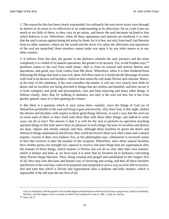2. The reason for this has been clearly expounded; for ordinarily the soul never strays save through its desires or its tastes or its reflections or its understanding or its affections; for as a rule it has too much or too little of these, or they vary or go astray, and hence the soul becomes inclined to that which behoves it not. Wherefore, when all these operations and motions are hindered, it is clear that the soul is secure against being led astray by them; for it is free, not only from itself, but likewise from its other enemies, which are the world and the devil. For when the affections and operations of the soul are quenched, these enemies cannot make war upon it by any other means or in any other manner.

3. It follows from this that, the greater is the darkness wherein the soul journeys and the more completely is it voided of its natural operations, the greater is its security. For, as the Prophet says,<sup>208</sup> perdition comes to the soul from itself alone—that is, from its sensual and interior desires and operations; and good, says God, comes from Me alone. Wherefore, when it is thus hindered from following the things that lead it into evil, there will then come to it forthwith the blessings of union with God in its desires and faculties, which in that union He will make Divine and celestial. Hence, at the time of this darkness, if the soul considers the matter, it will see very clearly how little its desire and its faculties are being diverted to things that are useless and harmful; and how secure it is from vainglory and pride and presumption, vain and false rejoicing and many other things. It follows clearly, then, that, by walking in darkness, not only is the soul not lost, but it has even greatly gained, since it is here gaining the virtues.

4. But there is a question which at once arises here—namely, since the things of God are of themselves profitable to the soul and bring it gain and security, why does God, in this night, darken the desires and faculties with respect to these good things likewise, in such a way that the soul can no more taste of them or busy itself with them than with these other things, and indeed in some ways can do so less? The answer is that it is well for the soul to perform no operation touching spiritual things at that time and to have no pleasure in such things, because its faculties and desires are base, impure and wholly natural; and thus, although these faculties be given the desire and interest in things supernatural and Divine, they could not receive them save after a base and a natural manner, exactly in their own fashion. For, as the philosopher says, whatsoever is received comes to him that receives it after the manner of the recipient. Wherefore, since these natural faculties have neither purity nor strength nor capacity to receive and taste things that are supernatural after the manner of those things, which manner is Divine, but can do so only after their own manner, which is human and base, as we have said, it is meet that its faculties be in darkness concerning these Divine things likewise. Thus, being weaned and purged and annihilated in this respect first of all, they may lose that base and human way of receiving and acting, and thus all these faculties and desires of the soul may come to be prepared and tempered in such a way as to be able to receive, feel and taste that which is Divine and supernatural after a sublime and lofty manner, which is impossible if the old man die not first of all.

God, in conformity with the greater or the smaller degree of imperfection which each soul has to purge away, (and) in conformity, likewise, with the degree of love of union to which God is pleased to raise it' (Bk. I, chap xiv, above).

<sup>208</sup> [Osee xiii, 9](http://www.ccel.org/b/bible/asv/xml/asv.Hos.13.xml#Hos.13.9).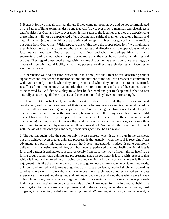5. Hence it follows that all spiritual things, if they come not from above and be not communicated by the Father of lights to human desire and free will (howsoever much a man may exercise his taste and faculties for God, and howsoever much it may seem to the faculties that they are experiencing these things), will not be experienced after a Divine and spiritual manner, but after a human and natural manner, just as other things are experienced, for spiritual blessings go not from man to God, but come from God to man. With respect to this (if this were the proper place for it) we might here explain how there are many persons whose many tastes and affections and the operations of whose faculties are fixed upon God or upon spiritual things, and who may perhaps think that this is supernatural and spiritual, when it is perhaps no more than the most human and natural desires and actions. They regard these good things with the same disposition as they have for other things, by means of a certain natural facility which they possess for directing their desires and faculties to anything whatever.

6. If perchance we find occasion elsewhere in this book, we shall treat of this, describing certain signs which indicate when the interior actions and motions of the soul, with respect to communion with God, are only natural, when they are spiritual, and when they are both natural and spiritual. It suffices for us here to know that, in order that the interior motions and acts of the soul may come to be moved by God divinely, they must first be darkened and put to sleep and hushed to rest naturally as touching all their capacity and operation, until they have no more strength.

7. Therefore, O spiritual soul, when thou seest thy desire obscured, thy affections arid and constrained, and thy faculties bereft of their capacity for any interior exercise, be not afflicted by this, but rather consider it a great happiness, since God is freeing thee from thyself and taking the matter from thy hands. For with those hands, howsoever well they may serve thee, thou wouldst never labour so effectively, so perfectly and so securely (because of their clumsiness and uncleanness) as now, when God takes thy hand and guides thee in the darkness, as though thou wert blind, to an end and by a way which thou knowest not. Nor couldst thou ever hope to travel with the aid of thine own eyes and feet, howsoever good thou be as a walker.

8. The reason, again, why the soul not only travels securely, when it travels thus in the darkness, but also achieves even greater gain and progress, is that usually, when the soul is receiving fresh advantage and profit, this comes by a way that it least understands—indeed, it quite commonly believes that it is losing ground. For, as it has never experienced that new feeling which drives it forth and dazzles it and makes it depart recklessly from its former way of life, it thinks itself to be losing ground rather than gaining and progressing, since it sees that it is losing with respect to that which it knew and enjoyed, and is going by a way which it knows not and wherein it finds no enjoyment. It is like the traveller, who, in order to go to new and unknown lands, takes new roads, unknown and untried, and journeys unguided by his past experience, but doubtingly and according to what others say. It is clear that such a man could not reach new countries, or add to his past experience, if he went not along new and unknown roads and abandoned those which were known to him. Exactly so, one who is learning fresh details concerning any office or art always proceeds in darkness, and receives no guidance from his original knowledge, for if he left not that behind he would get no farther nor make any progress; and in the same way, when the soul is making most progress, it is travelling in darkness, knowing naught. Wherefore, since God, as we have said, is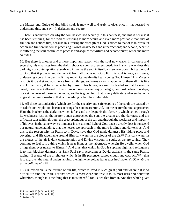the Master and Guide of this blind soul, it may well and truly rejoice, once it has learned to understand this, and say: 'In darkness and secure.'

9. There is another reason why the soul has walked securely in this darkness, and this is because it has been suffering; for the road of suffering is more secure and even more profitable than that of fruition and action: first, because in suffering the strength of God is added to that of man, while in action and fruition the soul is practising its own weaknesses and imperfections; and second, because in suffering the soul continues to practise and acquire the virtues and become purer, wiser and more cautious.

10. But there is another and a more important reason why the soul now walks in darkness and securely; this emanates from the dark light or wisdom aforementioned. For in such a way does this dark night of contemplation absorb and immerse the soul in itself, and so near does it bring the soul to God, that it protects and delivers it from all that is not God. For this soul is now, as it were, undergoing a cure, in order that it may regain its health—its health being God Himself. His Majesty restricts it to a diet and abstinence from all things, and takes away its appetite for them all. It is like a sick man, who, if he is respected by those in his house, is carefully tended so that he may be cured; the air is not allowed to touch him, nor may he even enjoy the light, nor must he hear footsteps, nor yet the noise of those in the house; and he is given food that is very delicate, and even that only in great moderation—food that is nourishing rather than delectable.

11. All these particularities (which are for the security and safekeeping of the soul) are caused by this dark contemplation, because it brings the soul nearer to God. For the nearer the soul approaches Him, the blacker is the darkness which it feels and the deeper is the obscurity which comes through its weakness; just as, the nearer a man approaches the sun, the greater are the darkness and the affliction caused him through the great splendour of the sun and through the weakness and impurity of his eyes. In the same way, so immense is the spiritual light of God, and so greatly does it transcend our natural understanding, that the nearer we approach it, the more it blinds and darkens us. And this is the reason why, in Psalm xvii, David says that God made darkness His hiding-place and covering, and His tabernacle around Him dark water in the clouds of the air.209 This dark water in the clouds of the air is dark contemplation and Divine wisdom in souls, as we are saying. They continue to feel it is a thing which is near Him, as the tabernacle wherein He dwells, when God brings them ever nearer to Himself. And thus, that which in God is supreme light and refulgence is to man blackest darkness, as Saint Paul says, according as David explains in the same Psalm, saying: 'Because of the brightness which is in His presence, passed clouds and cataracts'<sup>210</sup>—that is to say, over the natural understanding, the light whereof, as Isaias says in Chapter V: *Obtenebrata est in caligine ejus*. 211

12. Oh, miserable is the fortune of our life, which is lived in such great peril and wherein it is so difficult to find the truth. For that which is most clear and true is to us most dark and doubtful; wherefore, though it is the thing that is most needful for us, we flee from it. And that which gives

<sup>209</sup> [Psalm xvii, 12](http://www.ccel.org/b/bible/asv/xml/asv.Ps.17.xml#Ps.17.12) [A.V., [xviii, 11](http://www.ccel.org/b/bible/asv/xml/asv.Ps.18.xml#Ps.18.11)].

<sup>210</sup> [Psalm xvii, 13](http://www.ccel.org/b/bible/asv/xml/asv.Ps.17.xml#Ps.17.13) [A.V., [xviii, 12](http://www.ccel.org/b/bible/asv/xml/asv.Ps.18.xml#Ps.18.12)].

<sup>211</sup> [Isaias v, 30.](http://www.ccel.org/b/bible/asv/xml/asv.Isa.5.xml#Isa.5.30)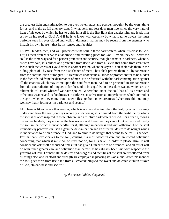the greatest light and satisfaction to our eyes we embrace and pursue, though it be the worst thing for us, and make us fall at every step. In what peril and fear does man live, since the very natural light of his eyes by which he has to guide himself is the first light that dazzles him and leads him astray on his road to God! And if he is to know with certainty by what road he travels, he must perforce keep his eyes closed and walk in darkness, that he may be secure from the enemies who inhabit his own house—that is, his senses and faculties.

13. Well hidden, then, and well protected is the soul in these dark waters, when it is close to God. For, as these waters serve as a tabernacle and dwelling-place for God Himself, they will serve the soul in the same way and for a perfect protection and security, though it remain in darkness, wherein, as we have said, it is hidden and protected from itself, and from all evils that come from creatures; for to such the words of David refer in another Psalm, where he says: 'Thou shalt hide them in the hiding-place of Thy face from the disturbance of men; Thou shalt protect them in Thy tabernacle from the contradiction of tongues.'212 Herein we understand all kinds of protection; for to be hidden in the face of God from the disturbance of men is to be fortified with this dark contemplation against all the chances which may come upon the soul from men. And to be protected in His tabernacle from the contradiction of tongues is for the soul to be engulfed in these dark waters, which are the tabernacle of David whereof we have spoken. Wherefore, since the soul has all its desires and affections weaned and its faculties set in darkness, it is free from all imperfections which contradict the spirit, whether they come from its own flesh or from other creatures. Wherefore this soul may well say that it journeys 'in darkness and secure.'

14. There is likewise another reason, which is no less effectual than the last, by which we may understand how the soul journeys securely in darkness; it is derived from the fortitude by which the soul is at once inspired in these obscure and afflictive dark waters of God. For after all, though the waters be dark, they are none the less waters, and therefore they cannot but refresh and fortify the soul in that which is most needful for it, although in darkness and with affliction. For the soul immediately perceives in itself a genuine determination and an effectual desire to do naught which it understands to be an offence to God, and to omit to do naught that seems to be for His service. For that dark love cleaves to the soul, causing it a most watchful care and an inward solicitude concerning that which it must do, or must not do, for His sake, in order to please Him. It will consider and ask itself a thousand times if it has given Him cause to be offended; and all this it will do with much greater care and solicitude than before, as has already been said with respect to the yearnings of love. For here all the desires and energies and faculties of the soul are recollected from all things else, and its effort and strength are employed in pleasing its God alone. After this manner the soul goes forth from itself and from all created things to the sweet and delectable union of love of God, 'In darkness and secure.'

### *By the secret ladder, disguised.*

<sup>212</sup> [Psalm xxx, 21](http://www.ccel.org/b/bible/asv/xml/asv.Ps.30.xml#Ps.30.21) [A.V., [xxxi, 20](http://www.ccel.org/b/bible/asv/xml/asv.Ps.31.xml#Ps.31.20)].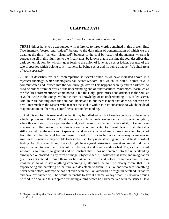### **CHAPTER XVII**

#### *Explains how this dark contemplation is secret.*

THREE things have to be expounded with reference to three words contained in this present line. Two (namely, 'secret' and 'ladder') belong to the dark night of contemplation of which we are treating; the third (namely, 'disguised') belongs to the soul by reason of the manner wherein it conducts itself in this night. As to the first, it must be known that in this line the soul describes this dark contemplation, by which it goes forth to the union of love, as a secret ladder, because of the two properties which belong to it—namely, its being secret and its being a ladder. We shall treat of each separately.

2. First, it describes this dark contemplation as 'secret,' since, as we have indicated above, it is mystical theology, which theologians call secret wisdom, and which, as Saint Thomas says is communicated and infused into the soul through love.213 This happens secretly and in darkness, so as to be hidden from the work of the understanding and of other faculties. Wherefore, inasmuch as the faculties aforementioned attain not to it, but the Holy Spirit infuses and orders it in the soul, as says the Bride in the Songs, without either its knowledge or its understanding, it is called secret. And, in truth, not only does the soul not understand it, but there is none that does so, not even the devil; inasmuch as the Master Who teaches the soul is within it in its substance, to which the devil may not attain, neither may natural sense nor understanding.

3. And it is not for this reason alone that it may be called secret, but likewise because of the effects which it produces in the soul. For it is secret not only in the darknesses and afflictions of purgation, when this wisdom of love purges the soul, and the soul is unable to speak of it, but equally so afterwards in illumination, when this wisdom is communicated to it most clearly. Even then it is still so secret that the soul cannot speak of it and give it a name whereby it may be called; for, apart from the fact that the soul has no desire to speak of it, it can find no suitable way or manner or similitude by which it may be able to describe such lofty understanding and such delicate spiritual feeling. And thus, even though the soul might have a great desire to express it and might find many ways in which to describe it, it would still be secret and remain undescribed. For, as that inward wisdom is so simple, so general and so spiritual that it has not entered into the understanding enwrapped or cloaked in any form or image subject to sense, it follows that sense and imagination (as it has not entered through them nor has taken their form and colour) cannot account for it or imagine it, so as to say anything concerning it, although the soul be clearly aware that it is experiencing and partaking of that rare and delectable wisdom. It is like one who sees something never seen before, whereof he has not even seen the like; although he might understand its nature and have experience of it, he would be unable to give it a name, or say what it is, however much he tried to do so, and this in spite of its being a thing which he had perceived with the senses. How

<sup>213</sup> 'Propter hoc Gregorius (Hom. 14 in Ezech.) constituit vitam contemplativam in charitate Dei.' Cf. *Summa Theologica*, 2a, 2ae, q. 45, a. 2.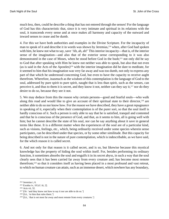much less, then, could he describe a thing that has not entered through the senses! For the language of God has this characteristic that, since it is very intimate and spiritual in its relations with the soul, it transcends every sense and at once makes all harmony and capacity of the outward and inward senses to cease and be dumb.

4. For this we have both authorities and examples in the Divine Scripture. For the incapacity of man to speak of it and describe it in words was shown by Jeremias,<sup>214</sup> when, after God had spoken with him, he knew not what to say, save 'Ah, ah, ah!' This interior incapacity—that is, of the interior sense of the imagination—and also that of the exterior sense corresponding to it was also demonstrated in the case of Moses, when he stood before God in the bush;<sup>215</sup> not only did he say to God that after speaking with Him he knew not neither was able to speak, but also that not even (as is said in the Acts of the Apostles)216 with the interior imagination did he dare to meditate, for it seemed to him that his imagination was very far away and was too dumb, not only to express any part of that which he understood concerning God, but even to have the capacity to receive aught therefrom. Wherefore, inasmuch as the wisdom of this contemplation is the language of God to the soul, addressed by pure spirit to pure spirit, naught that is less than spirit, such as the senses, can perceive it, and thus to them it is secret, and they know it not, neither can they say it,<sup>217</sup> nor do they desire to do so, because they see it not.

5. We may deduce from this the reason why certain persons—good and fearful souls—who walk along this road and would like to give an account of their spiritual state to their director,<sup>218</sup> are neither able to do so nor know how. For the reason we have described, they have a great repugnance in speaking of it, especially when their contemplation is of the purer sort, so that the soul itself is hardly conscious of it. Such a person is only able to say that he is satisfied, tranquil and contented and that he is conscious of the presence of God, and that, as it seems to him, all is going well with him; but he cannot describe the state of his soul, nor can he say anything about it save in general terms like these. It is a different matter when the experiences of the soul are of a particular kind, such as visions, feelings, etc., which, being ordinarily received under some species wherein sense participates, can be described under that species, or by some other similitude. But this capacity for being described is not in the nature of pure contemplation, which is indescribable, as we have said, for the which reason it is called secret.

6. And not only for that reason is it called secret, and is so, but likewise because this mystical knowledge has the property of hiding the soul within itself. For, besides performing its ordinary function, it sometimes absorbs the soul and engulfs it in its secret abyss, in such a way that the soul clearly sees that it has been carried far away from every creature and; has become most remote therefrom;219 so that it considers itself as having been placed in a most profound and vast retreat, to which no human creature can attain, such as an immense desert, which nowhere has any boundary,

<sup>214</sup> [Jeremias i, 6](http://www.ccel.org/b/bible/asv/xml/asv.Jer.1.xml#Jer.1.6).

<sup>215</sup> [Exodus iv, 10](http://www.ccel.org/b/bible/asv/xml/asv.Exod.4.xml#Exod.4.10) [cf. [iii, 2\]](http://www.ccel.org/b/bible/asv/xml/asv.Exod.3.xml#Exod.3.2).

<sup>216</sup> [Acts vii, 32.](http://www.ccel.org/b/bible/asv/xml/asv.Acts.7.xml#Acts.7.32)

<sup>217</sup> [Or: 'and they know not how to say it nor are able to do so.']

<sup>218</sup> [*Lit.*, 'to him that rules them.']

<sup>219</sup> [*Lit.*, 'that is set most far away and most remote from every creatures.']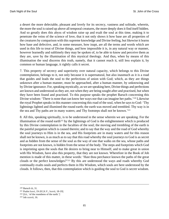a desert the more delectable, pleasant and lovely for its secrecy, vastness and solitude, wherein, the more the soul is raised up above all temporal creatures, the more deeply does it find itself hidden. And so greatly does this abyss of wisdom raise up and exalt the soul at this time, making it to penetrate the veins of the science of love, that it not only shows it how base are all properties of the creatures by comparison with this supreme knowledge and Divine feeling, but likewise it learns how base and defective, and, in some measure, how inapt, are all the terms and words which are used in this life to treat of Divine things, and how impossible it is, in any natural way or manner, however learnedly and sublimely they may be spoken of, to be able to know and perceive them as they are, save by the illumination of this mystical theology. And thus, when by means of this illumination the soul discerns this truth, namely, that it cannot reach it, still less explain it, by common or human language, it rightly calls it secret.

7. This property of secrecy and superiority over natural capacity, which belongs to this Divine contemplation, belongs to it, not only because it is supernatural, but also inasmuch as it is a road that guides and leads the soul to the perfections of union with God; which, as they are things unknown after a human manner, must be approached, after a human manner, by unknowing and by Divine ignorance. For, speaking mystically, as we are speaking here, Divine things and perfections are known and understood as they are, not when they are being sought after and practised, but when they have been found and practised. To this purpose speaks the prophet Baruch concerning this Divine wisdom: 'There is none that can know her ways nor that can imagine her paths.'<sup>220</sup> Likewise the royal Prophet speaks in this manner concerning this road of the soul, when he says to God: 'Thy lightnings lighted and illumined the round earth; the earth was moved and trembled. Thy way is in the sea and Thy paths are in many waters; and Thy footsteps shall not be known.'<sup>221</sup>

8. All this, speaking spiritually, is to be understood in the sense wherein we are speaking. For the illumination of the round earth<sup>222</sup> by the lightnings of God is the enlightenment which is produced by this Divine contemplation in the faculties of the soul; the moving and trembling of the earth is the painful purgation which is caused therein; and to say that the way and the road of God whereby the soul journeys to Him is in the sea, and His footprints are in many waters and for this reason shall not be known, is as much as to say that this road whereby the soul journeys to God is as secret and as hidden from the sense of the soul as the way of one that walks on the sea, whose paths and footprints are not known, is hidden from the sense of the body. The steps and footprints which God is imprinting upon the souls that He desires to bring near to Himself, and to make great in union with His Wisdom, have also this property, that they are not known. Wherefore in the Book of Job mention is made of this matter, in these words: 'Hast thou perchance known the paths of the great clouds or the perfect knowledges?'223 By this are understood the ways and roads whereby God continually exalts souls and perfects them in His Wisdom, which souls are here understood by the clouds. It follows, then, that this contemplation which is guiding the soul to God is secret wisdom.

<sup>220</sup> [Baruch iii, 31](http://www.ccel.org/b/bible/asv/xml/asv.Bar.3.xml#Bar.3.31).

<sup>221</sup> [Psalm lxxvi, 19-20](http://www.ccel.org/b/bible/asv/xml/asv.Ps.76.xml#Ps.76.19) [A.V., [lxxvii, 18-19](http://www.ccel.org/b/bible/asv/xml/asv.Ps.77.xml#Ps.77.18)].

<sup>222</sup> [*Lit.*, 'of the roundness of the earth.']

<sup>223</sup> [Job xxxvii, 16](http://www.ccel.org/b/bible/asv/xml/asv.Job.37.xml#Job.37.16).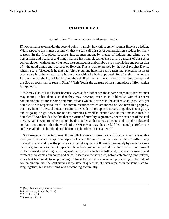### **CHAPTER XVIII**

#### *Explains how this secret wisdom is likewise a ladder.*

IT now remains to consider the second point—namely, how this secret wisdom is likewise a ladder. With respect to this it must be known that we can call this secret contemplation a ladder for many reasons. In the first place, because, just as men mount by means of ladders and climb up to possessions and treasures and things that are in strong places, even so also, by means of this secret contemplation, without knowing how, the soul ascends and climbs up to a knowledge and possession of<sup>224</sup> the good things and treasures of Heaven. This is well expressed by the royal prophet David, when he says: 'Blessed is he that hath Thy favour and help, for such a man hath placed in his heart ascensions into the vale of tears in the place which he hath appointed; for after this manner the Lord of the law shall give blessing, and they shall go from virtue to virtue as from step to step, and the God of gods shall be seen in Sion.'225 This God is the treasure of the strong place of Sion, which is happiness.

2. We may also call it a ladder because, even as the ladder has those same steps in order that men may mount, it has them also that they may descend; even so is it likewise with this secret contemplation, for those same communications which it causes in the soul raise it up to God, yet humble it with respect to itself. For communications which are indeed of God have this property, that they humble the soul and at the same time exalt it. For, upon this road, to go down is to go up, and to go up, to go down, for he that humbles himself is exalted and he that exalts himself is humbled.<sup>226</sup> And besides the fact that the virtue of humility is greatness, for the exercise of the soul therein, God is wont to make it mount by this ladder so that it may descend, and to make it descend so that it may mount, that the words of the Wise Man may thus be fulfilled, namely: 'Before the soul is exalted, it is humbled; and before it is humbled, it is exalted.<sup>'227</sup>

3. Speaking now in a natural way, the soul that desires to consider it will be able to see how on this road (we leave apart the spiritual aspect, of which the soul is not conscious) it has to suffer many ups and downs, and how the prosperity which it enjoys is followed immediately by certain storms and trials; so much so, that it appears to have been given that period of calm in order that it might be forewarned and strengthened against the poverty which has followed; just as after misery and torment there come abundance and calm. It seems to the soul as if, before celebrating that festival, it has first been made to keep that vigil. This is the ordinary course and proceeding of the state of contemplation until the soul arrives at the state of quietness; it never remains in the same state for long together, but is ascending and descending continually.

<sup>224</sup> [*Lit.*, 'rises to scale, know and possess.']

<sup>225</sup> [Psalm lxxxiii, 6](http://www.ccel.org/b/bible/asv/xml/asv.Ps.83.xml#Ps.83.6) [A.V., [lxxxiv, 7](http://www.ccel.org/b/bible/asv/xml/asv.Ps.84.xml#Ps.84.7)].

<sup>226</sup> [St. Luke xiv, 11.](http://www.ccel.org/b/bible/asv/xml/asv.Luke.14.xml#Luke.14.11)

<sup>227</sup> [Proverbs xviii, 12](http://www.ccel.org/b/bible/asv/xml/asv.Prov.18.xml#Prov.18.12).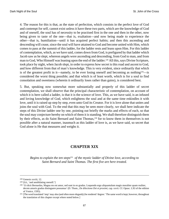4. The reason for this is that, as the state of perfection, which consists in the perfect love of God and contempt for self, cannot exist unless it have these two parts, which are the knowledge of God and of oneself, the soul has of necessity to be practised first in the one and then in the other, now being given to taste of the one—that is, exaltation—and now being made to experience the other—that is, humiliation—until it has acquired perfect habits; and then this ascending and descending will cease, since the soul will have attained to God and become united with Him, which comes to pass at the summit of this ladder, for the ladder rests and leans upon Him. For this ladder of contemplation, which, as we have said, comes down from God, is prefigured by that ladder which Jacob saw as he slept, whereon angels were ascending and descending, from God to man, and from man to God, Who Himself was leaning upon the end of the ladder.<sup>228</sup> All this, says Divine Scripture, took place by night, when Jacob slept, in order to express how secret is this road and ascent to God, and how different from that of man's knowledge. This is very evident, since ordinarily that which is of the greatest profit in it—namely, to be ever losing oneself and becoming as nothing<sup>229</sup>—is considered the worst thing possible; and that which is of least worth, which is for a soul to find consolation and sweetness (wherein it ordinarily loses rather than gains), is considered best.

5. But, speaking now somewhat more substantially and properly of this ladder of secret contemplation, we shall observe that the principal characteristic of contemplation, on account of which it is here called a ladder, is that it is the science of love. This, as we have said, is an infused and loving knowledge of God, which enlightens the soul and at the same time enkindles it with love, until it is raised up step by step, even unto God its Creator. For it is love alone that unites and joins the soul with God. To the end that this may be seen more clearly, we shall here indicate the steps of this Divine ladder one by one, pointing out briefly the marks and effects of each, so that the soul may conjecture hereby on which of them it is standing. We shall therefore distinguish them by their effects, as do Saint Bernard and Saint Thomas,<sup>230</sup> for to know them in themselves is not possible after a natural manner, inasmuch as this ladder of love is, as we have said, so secret that God alone is He that measures and weighs it.

## **CHAPTER XIX**

*Begins to explain the ten steps*231 *of the mystic ladder of Divine love, according to Saint Bernard and Saint Thomas. The first five are here treated.*

<sup>228</sup> [Genesis xxviii, 12](http://www.ccel.org/b/bible/asv/xml/asv.Gen.28.xml#Gen.28.12).

<sup>229</sup> [*Lit.*, 'and annihilating oneself.']

<sup>230</sup> 'Ut dicit Bernardus, Magna res est amor, sed sunt in eo gradus. Loquendo ergo aliquantulum magis moraliter quam realiter, decem amoris gradus distinguere possumus' (D. Thom., *De dilectione Dei et proximi*, cap. xxvii. Cf. Opusc. LXI of the edition of Venice, 1595).

<sup>&</sup>lt;sup>231</sup> [The word translated 'step' may also (and often more elegantly) be rendered 'degree.' The same word is kept, however, throughout the translation of this chapter except where noted below.]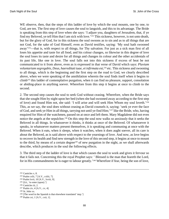WE observe, then, that the steps of this ladder of love by which the soul mounts, one by one, to God, are ten. The first step of love causes the soul to languish, and this to its advantage. The Bride is speaking from this step of love when she says: 'I adjure you, daughters of Jerusalem, that, if ye find my Beloved, ye tell Him that I am sick with love.'232 This sickness, however, is not unto death, but for the glory of God, for in this sickness the soul swoons as to sin and as to all things that are not God, for the sake of God Himself, even as David testifies, saying: 'My soul hath swooned away'233—that is, with respect to all things, for Thy salvation. For just as a sick man first of all loses his appetite and taste for all food, and his colour changes, so likewise in this degree of love the soul loses its taste and desire for all things and changes its colour and the other accidentals of its past life, like one in love. The soul falls not into this sickness if excess of heat be not communicated to it from above, even as is expressed in that verse of David which says: *Pluviam voluntariam segregabis, Deus, haereditati tuae, et infirmata est*, <sup>234</sup> etc. This sickness and swooning to all things, which is the beginning and the first step on the road to God, we clearly described above, when we were speaking of the annihilation wherein the soul finds itself when it begins to climb235 this ladder of contemplative purgation, when it can find no pleasure, support, consolation or abiding-place in anything soever. Wherefore from this step it begins at once to climb to the second.

2. The second step causes the soul to seek God without ceasing. Wherefore, when the Bride says that she sought Him by night upon her bed (when she had swooned away according to the first step of love) and found Him not, she said: 'I will arise and will seek Him Whom my soul loveth.'<sup>236</sup> This, as we say, the soul does without ceasing as David counsels it, saying: 'seek ye ever the face of God, and seek ye Him in all things, tarrying not until ye find Him;'237 like the Bride, who, having enquired for Him of the watchmen, passed on at once and left them. Mary Magdalene did not even notice the angels at the sepulchre.238 On this step the soul now walks so anxiously that it seeks the Beloved in all things. In whatsoever it thinks, it thinks at once of the Beloved. Of whatsoever it speaks, in whatsoever matters present themselves, it is speaking and communing at once with the Beloved. When it eats, when it sleeps, when it watches, when it does aught soever, all its care is about the Beloved, as is said above with respect to the yearnings of love. And now, as love begins to recover its health and find new strength in the love of this second step, it begins at once to mount to the third, by means of a certain degree<sup>239</sup> of new purgation in the night, as we shall afterwards describe, which produces in the soul the following effects.

3. The third step of the ladder of love is that which causes the soul to work and gives it fervour so that it fails not. Concerning this the royal Prophet says: ' Blessed is the man that feareth the Lord, for in His commandments he is eager to labour greatly.'240 Wherefore if fear, being the son of love,

<sup>232</sup> [Canticles v, 8](http://www.ccel.org/b/bible/asv/xml/asv.Song.5.xml#Song.5.8).

<sup>233</sup> [Psalm cxlii, 7](http://www.ccel.org/b/bible/asv/xml/asv.Ps.142.xml#Ps.142.7) [A.V., [cxliii, 7](http://www.ccel.org/b/bible/asv/xml/asv.Ps.143.xml#Ps.143.7)].

<sup>234</sup> [Psalm lxvii, 10](http://www.ccel.org/b/bible/asv/xml/asv.Ps.67.xml#Ps.67.10) [A.V., [lxviii, 9\]](http://www.ccel.org/b/bible/asv/xml/asv.Ps.68.xml#Ps.68.9).

<sup>235</sup> [*Lit.*, 'to enter (upon).']

<sup>236</sup> [Canticles iii, 2](http://www.ccel.org/b/bible/asv/xml/asv.Song.3.xml#Song.3.2).

<sup>237</sup> [Psalm civ, 4](http://www.ccel.org/b/bible/asv/xml/asv.Ps.104.xml#Ps.104.4) [A.V., [cv, 4\]](http://www.ccel.org/b/bible/asv/xml/asv.Ps.105.xml#Ps.105.4).

<sup>238</sup> [St. John xx.](http://www.ccel.org/b/bible/asv/xml/asv.John..xml#John..)

<sup>239</sup> [The word in the Spanish is that elsewhere translated 'step.']

<sup>240</sup> [Psalm cxi, 1](http://www.ccel.org/b/bible/asv/xml/asv.Ps.111.xml#Ps.111.1) [A.V., [cxii, 1\]](http://www.ccel.org/b/bible/asv/xml/asv.Ps.112.xml#Ps.112.1).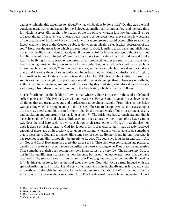causes within him this eagerness to labour,<sup>241</sup> what will be done by love itself? On this step the soul considers great works undertaken for the Beloved as small; many things as few; and the long time for which it serves Him as short, by reason of the fire of love wherein it is now burning. Even so to Jacob, though after seven years he had been made to serve seven more, they seemed few because of the greatness of his love.242 Now if the love of a mere creature could accomplish so much in Jacob, what will love of the Creator be able to do when on this third step it takes possession of the soul? Here, for the great love which the soul bears to God, it suffers great pains and afflictions because of the little that it does for God; and if it were lawful for it to be destroyed a thousand times for Him it would be comforted. Wherefore it considers itself useless in all that it does and thinks itself to be living in vain. Another wondrous effect produced here in the soul is that it considers itself as being, most certainly, worse than all other souls: first, because love is continually teaching it how much is due to  $God;^{243}$  and second, because, as the works which it here does for God are many and it knows them all to be faulty and imperfect, they all bring it confusion and affliction, for it realizes in how lowly a manner it is working for God, Who is so high. On this third step, the soul is very far from vainglory or presumption, and from condemning others. These anxious effects, with many others like them, are produced in the soul by this third step; wherefore it gains courage and strength from them in order to mount to the fourth step, which is that that follows.

4. The fourth step of this ladder of love is that whereby there is caused in the soul an habitual suffering because of the Beloved, yet without weariness. For, as Saint Augustine says, love makes all things that are great, grievous and burdensome to be almost naught. From this step the Bride was speaking when, desiring to attain to the last step, she said to the Spouse: 'set me as a seal upon thy heart, as a seal upon thine arm; for love—that is, the act and work of love—is strong as death, and emulation and importunity last as long as hell.<sup>'244</sup> The spirit here has so much strength that it has subjected the flesh and takes as little account of it as does the tree of one of its leaves. In no way does the soul here seek its own consolation or pleasure, either in God, or in aught else, nor does it desire or seek to pray to God for favours, for it sees clearly that it has already received enough of these, and all its anxiety is set upon the manner wherein it will be able to do something that is pleasing to God and to render Him some service such as He merits and in return for what it has received from Him, although it be greatly to its cost. The soul says in its heart and spirit: Ah, my God and Lord! How many are there that go to seek in Thee their own consolation and pleasure, and desire Thee to grant them favours and gifts; but those who long to do Thee pleasure and to give Thee something at their cost, setting their own interests last, are very few. The failure, my God, is not in Thy unwillingness to grant us new favours, but in our neglect to use those that we have received in Thy service alone, in order to constrain Thee to grant them to us continually. Exceeding lofty is this step of love; for, as the soul goes ever after God with love so true, imbued with the spirit of suffering for His sake, His Majesty oftentimes and quite habitually grants it joy, and visits it sweetly and delectably in the spirit; for the boundless love of Christ, the Word, cannot suffer the afflictions of His lover without succouring him. This He affirmed through Jeremias, saying: 'I have

<sup>241</sup> [*Lit.*, 'makes in him this labour of eagerness.']

<sup>242</sup> [Genesis xxix, 20](http://www.ccel.org/b/bible/asv/xml/asv.Gen.29.xml#Gen.29.20).

<sup>243</sup> [*Lit.*, 'how much God merits.']

<sup>244</sup> [Canticles viii, 5.](http://www.ccel.org/b/bible/asv/xml/asv.Song.8.xml#Song.8.5)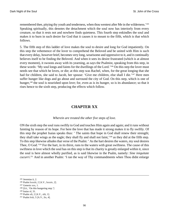remembered thee, pitying thy youth and tenderness, when thou wentest after Me in the wilderness.'<sup>245</sup> Speaking spiritually, this denotes the detachment which the soul now has interiorly from every creature, so that it rests not and nowhere finds quietness. This fourth step enkindles the soul and makes it to burn in such desire for God that it causes it to mount to the fifth, which is that which follows.

5. The fifth step of this ladder of love makes the soul to desire and long for God impatiently. On this step the vehemence of the lover to comprehend the Beloved and be united with Him is such that every delay, however brief, becomes very long, wearisome and oppressive to it, and it continually believes itself to be finding the Beloved. And when it sees its desire frustrated (which is at almost every moment), it swoons away with its yearning, as says the Psalmist, speaking from this step, in these words: 'My soul longs and faints for the dwellings of the Lord.'246 On this step the lover must needs see that which he loves, or die; at this step was Rachel, when, for the great longing that she had for children, she said to Jacob, her spouse: 'Give me children, else shall I die.'247 Here men suffer hunger like dogs and go about and surround the city of God. On this step, which is one of hunger,<sup>248</sup> the soul is nourished upon love; for, even as is its hunger, so is its abundance; so that it rises hence to the sixth step, producing the effects which follow.

### **CHAPTER XX**

#### *Wherein are treated the other five steps of love.*

ON the sixth step the soul runs swiftly to God and touches Him again and again; and it runs without fainting by reason of its hope. For here the love that has made it strong makes it to fly swiftly. Of this step the prophet Isaias speaks thus: ' The saints that hope in God shall renew their strength; they shall take wings as the eagle; they shall fly and shall not faint,'249 as they did at the fifth step. To this step likewise alludes that verse of the Psalm: ' As the hart desires the waters, my soul desires Thee, O God.<sup>'250</sup> For the hart, in its thirst, runs to the waters with great swiftness. The cause of this swiftness in love which the soul has on this step is that its charity is greatly enlarged within it, since the soul is here almost wholly purified, as is said likewise in the Psalm, namely: *Sine iniquitate cucurri*. <sup>251</sup> And in another Psalm: 'I ran the way of Thy commandments when Thou didst enlarge

<sup>245</sup> [Jeremias ii, 2.](http://www.ccel.org/b/bible/asv/xml/asv.Jer.2.xml#Jer.2.2)

<sup>246</sup> [Psalm lxxxiii, 2](http://www.ccel.org/b/bible/asv/xml/asv.Ps.83.xml#Ps.83.2) [A.V., [lxxxiv, 2](http://www.ccel.org/b/bible/asv/xml/asv.Ps.84.xml#Ps.84.2)].

<sup>247</sup> [Genesis xxx, 1](http://www.ccel.org/b/bible/asv/xml/asv.Gen.30.xml#Gen.30.1).

<sup>248</sup> [*Lit.*, 'On this hungering step.']

<sup>249</sup> [Isaias xl, 31](http://www.ccel.org/b/bible/asv/xml/asv.Isa.40.xml#Isa.40.31).

<sup>250</sup> [Psalm xli, 2](http://www.ccel.org/b/bible/asv/xml/asv.Ps.41.xml#Ps.41.2) [A.V., [xlii, 1](http://www.ccel.org/b/bible/asv/xml/asv.Ps.42.xml#Ps.42.1)].

<sup>251</sup> [Psalm lviii, 5](http://www.ccel.org/b/bible/asv/xml/asv.Ps.58.xml#Ps.58.5) [A.V., [lix, 4\]](http://www.ccel.org/b/bible/asv/xml/asv.Ps.59.xml#Ps.59.4).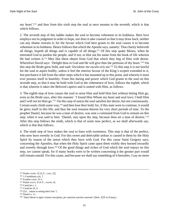my heart';252 and thus from this sixth step the soul at once mounts to the seventh, which is that which follows.

2. The seventh step of this ladder makes the soul to become vehement in its boldness. Here love employs not its judgment in order to hope, nor does it take counsel so that it may draw back, neither can any shame restrain it; for the favour which God here grants to the soul causes it to become vehement in its boldness. Hence follows that which the Apostle says, namely: That charity believeth all things, hopeth all things and is capable of all things.253 Of this step spake Moses, when he entreated God to pardon the people, and if not, to blot out his name from the book of life wherein He had written it.254 Men like these obtain from God that which they beg of Him with desire. Wherefore David says: 'Delight thou in God and He will give thee the petitions of thy heart.'<sup>255</sup> On this step the Bride grew bold, and said: *Osculetur me osculo oris sui*. <sup>256</sup> To this step it is not lawful for the soul to aspire boldly, unless it feel the interior favour of the King's sceptre extended to it, lest perchance it fall from the other steps which it has mounted up to this point, and wherein it must ever possess itself in humility. From this daring and power which God grants to the soul on this seventh step, so that it may be bold with God in the vehemence of love, follows the eighth, which is that wherein it takes the Beloved captive and is united with Him, as follows.

3. The eighth step of love causes the soul to seize Him and hold Him fast without letting Him go, even as the Bride says, after this manner: 'I found Him Whom my heart and soul love; I held Him and I will not let Him go.'257 On this step of union the soul satisfies her desire, but not continuously. Certain souls climb some way,<sup>258</sup> and then lose their hold; for, if this state were to continue, it would be glory itself in this life; and thus the soul remains therein for very short periods of time. To the prophet Daniel, because he was a man of desires, was sent a command from God to remain on this step, when it was said to him: 'Daniel, stay upon thy step, because thou art a man of desires.'<sup>259</sup> After this step follows the ninth, which is that of souls now perfect, as we shall afterwards say, which is that that follows.

4. The ninth step of love makes the soul to burn with sweetness. This step is that of the perfect, who now burn sweetly in God. For this sweet and delectable ardour is caused in them by the Holy Spirit by reason of the union which they have with God. For this cause Saint Gregory says, concerning the Apostles, that when the Holy Spirit came upon them visibly they burned inwardly and sweetly through love.260 Of the good things and riches of God which the soul enjoys on this step, we cannot speak; for if many books were to be written concerning it the greater part would still remain untold. For this cause, and because we shall say something of it hereafter, I say no more

<sup>252</sup> [Psalm cxviii, 32](http://www.ccel.org/b/bible/asv/xml/asv.Ps.118.xml#Ps.118.32) [A.V., [cxix, 32](http://www.ccel.org/b/bible/asv/xml/asv.Ps.119.xml#Ps.119.32)].

<sup>253</sup> [1 Corinthians xiii, 7](http://www.ccel.org/b/bible/asv/xml/asv.iCor.13.xml#iCor.13.7).

<sup>254</sup> [Exodus xxxii, 31-2.](http://www.ccel.org/b/bible/asv/xml/asv.Exod.32.xml#Exod.32.31)

<sup>255</sup> [Psalm xxxvi, 4](http://www.ccel.org/b/bible/asv/xml/asv.Ps.36.xml#Ps.36.4) [A.V., [xxxvii, 4](http://www.ccel.org/b/bible/asv/xml/asv.Ps.37.xml#Ps.37.4)].

<sup>256</sup> [Canticles i, 1](http://www.ccel.org/b/bible/asv/xml/asv.Song.1.xml#Song.1.1).

<sup>257</sup> [Canticles iii, 4](http://www.ccel.org/b/bible/asv/xml/asv.Song.3.xml#Song.3.4).

<sup>258</sup> [*Lit.*, 'attain to setting their foot.']

<sup>259</sup> [Daniel x, 11](http://www.ccel.org/b/bible/asv/xml/asv.Dan.10.xml#Dan.10.11).

<sup>260</sup> 'Dum Deum in ignis visione suscipiunt, per amorem suaviter arserunt' (*Hom. XXX in Evang*.).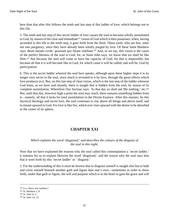here than that after this follows the tenth and last step of this ladder of love, which belongs not to this life.

5. The tenth and last step of this secret ladder of love causes the soul to become wholly assimilated to God, by reason of the clear and immediate<sup>261</sup> vision of God which it then possesses; when, having ascended in this life to the ninth step, it goes forth from the flesh. These souls, who are few, enter not into purgatory, since they have already been wholly purged by love. Of these Saint Matthew says: *Beati mundo corde: quoniam ipsi Deum videbunt.*262 And, as we say, this vision is the cause of the perfect likeness of the soul to God, for, as Saint John says, we know that we shall be like Him.263 Not because the soul will come to have the capacity of God, for that is impossible; but because all that it is will become like to God, for which cause it will be called, and will be, God by participation.

6. This is the secret ladder whereof the soul here speaks, although upon these higher steps it is no longer very secret to the soul, since much is revealed to it by love, through the great effects which love produces in it. But, on this last step of clear vision, which is the last step of the ladder whereon God leans, as we have said already, there is naught that is hidden from the soul, by reason of its complete assimilation. Wherefore Our Saviour says: 'In that day ye shall ask Me nothing,' etc.<sup>264</sup> But, until that day, however high a point the soul may reach, there remains something hidden from it—namely, all that it lacks for total assimilation in the Divine Essence. After this manner, by this mystical theology and secret love, the soul continues to rise above all things and above itself, and to mount upward to God. For love is like fire, which ever rises upward with the desire to be absorbed in the centre of its sphere.

# **CHAPTER XXI**

### *Which explains the word 'disguised,' and describes the colours of the disguise of the soul in this night.*

Now that we have explained the reasons why the soul called this contemplation a 'secret ladder,' it remains for us to explain likewise the word 'disguised,' and the reason why the soul says also that it went forth by this 'secret ladder' in ' disguise.'

2. For the understanding of this it must be known that to disguise oneself is naught else but to hide and cover oneself beneath another garb and figure than one's own—sometimes in order to show forth, under that garb or figure, the will and purpose which is in the heart to gain the grace and will

<sup>261</sup> [i.e., direct, not mediate.]

<sup>262</sup> [St. Matthew v, 8.](http://www.ccel.org/b/bible/asv/xml/asv.Matt.5.xml#Matt.5.8)

<sup>263</sup> [St. John iii, 2.](http://www.ccel.org/b/bible/asv/xml/asv.John.3.xml#John.3.2)

<sup>264</sup> [St. John xvi, 23](http://www.ccel.org/b/bible/asv/xml/asv.John.16.xml#John.16.23).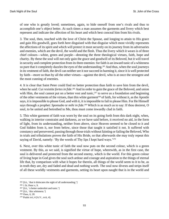of one who is greatly loved; sometimes, again, to hide oneself from one's rivals and thus to accomplish one's object better. At such times a man assumes the garments and livery which best represent and indicate the affection of his heart and which best conceal him from his rivals.

3. The soul, then, touched with the love of Christ the Spouse, and longing to attain to His grace and gain His goodwill, goes forth here disguised with that disguise which most vividly represents the affections of its spirit and which will protect it most securely on its journey from its adversaries and enemies, which are the devil, the world and the flesh. Thus the livery which it wears is of three chief colours—white, green and purple—denoting the three theological virtues, faith, hope and charity. By these the soul will not only gain the grace and goodwill of its Beloved, but it will travel in security and complete protection from its three enemies: for faith is an inward tunic of a whiteness so pure that it completely dazzles the eyes of the understanding.<sup>265</sup> And thus, when the soul journeys in its vestment of faith, the devil can neither see it nor succeed in harming it, since it is well protected by faith—more so than by all the other virtues—against the devil, who is at once the strongest and the most cunning of enemies.

4. It is clear that Saint Peter could find no better protection than faith to save him from the devil, when he said: *Cui resistite fortes in fide*. <sup>266</sup> And in order to gain the grace of the Beloved, and union with Him, the soul cannot put on a better vest and tunic,<sup>267</sup> to serve as a foundation and beginning of the other vestments of the virtues, than this white garment<sup>268</sup> of faith, for without it, as the Apostle says, it is impossible to please God, and with it, it is impossible to fail to please Him. For He Himself says through a prophet: *Sponsabo te mihi in fide*. <sup>269</sup> Which is as much as to say: If thou desirest, O soul, to be united and betrothed to Me, thou must come inwardly clad in faith.

5. This white garment of faith was worn by the soul on its going forth from this dark night, when, walking in interior constraint and darkness, as we have said before, it received no aid, in the form of light, from its understanding, neither from above, since Heaven seemed to be closed to it and God hidden from it, nor from below, since those that taught it satisfied it not. It suffered with constancy and persevered, passing through those trials without fainting or failing the Beloved, Who in trials and tribulations proves the faith of His Bride, so that afterwards she may truly repeat this saying of David, namely: 'By the words of Thy lips I kept hard ways.'270

6. Next, over this white tunic of faith the soul now puts on the second colour, which is a green vestment. By this, as we said, is signified the virtue of hope, wherewith, as in the first case, the soul is delivered and protected from the second enemy, which is the world. For this green colour of living hope in God gives the soul such ardour and courage and aspiration to the things of eternal life that, by comparison with what it hopes for therein, all things of the world seem to it to be, as in truth they are, dry and faded and dead and nothing worth. The soul now divests and strips itself of all these worldly vestments and garments, setting its heart upon naught that is in the world and

<sup>265</sup> [*Lit.*, 'that it dislocates the sight of all understanding.']

<sup>266</sup> [1 St. Peter v, 9](http://www.ccel.org/b/bible/asv/xml/asv.iPet.5.xml#iPet.5.9).

<sup>267</sup> [*Lit.*, 'a better undershirt and tunic.']

<sup>268</sup> [*Lit.*, 'this whiteness.']

<sup>269</sup> [Osee, ii, 20.](http://www.ccel.org/b/bible/asv/xml/asv.Hos.2.xml#Hos.2.20)

<sup>270</sup> [Psalm xvi, 4](http://www.ccel.org/b/bible/asv/xml/asv.Ps.16.xml#Ps.16.4) [A.V., [xvii, 4](http://www.ccel.org/b/bible/asv/xml/asv.Ps.17.xml#Ps.17.4)].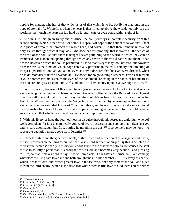hoping for naught, whether of that which is or of that which is to be, but living clad only in the hope of eternal life. Wherefore, when the heart is thus lifted up above the world, not only can the world neither touch the heart nor lay hold on it, but it cannot even come within sight of it.

7. And thus, in this green livery and disguise, the soul journeys in complete security from this second enemy, which is the world. For Saint Paul speaks of hope as the helmet of salvation $271$ —that is, a piece of armour that protects the whole head, and covers it so that there remains uncovered only a visor through which it may look. And hope has this property, that it covers all the senses of the head of the soul, so that there is naught soever pertaining to the world in which they can be immersed, nor is there an opening through which any arrow of the world can wound them. It has a visor, however, which the soul is permitted to use so that its eyes may look upward, but nowhere else; for this is the function which hope habitually performs in the soul, namely, the directing of its eyes upwards to look at God alone, even as David declared that his eyes were directed, when he said: *Oculi mei semper ad Dominum*. <sup>272</sup> He hoped for no good thing elsewhere, save as he himself says in another Psalm: 'Even as the eyes of the handmaid are set upon the hands of her mistress, even so are our eyes set upon our Lord God, until He have mercy upon us as we hope in Him.'<sup>273</sup>

8. For this reason, because of this green livery (since the soul is ever looking to God and sets its eyes on naught else, neither is pleased with aught save with Him alone), the Beloved has such great pleasure with the soul that it is true to say that the soul obtains from Him as much as it hopes for from Him. Wherefore the Spouse in the Songs tells the Bride that, by looking upon Him with one eye alone, she has wounded His heart.<sup>274</sup> Without this green livery of hope in God alone it would be impossible for the soul to go forth to encompass this loving achievement, for it would have no success, since that which moves and conquers is the importunity of hope.

9. With this livery of hope the soul journeys in disguise through this secret and dark night whereof we have spoken; for it is so completely voided of every possession and support that it fixes its eyes and its care upon naught but God, putting its mouth in the dust, $275$  if so be there may be hope—to repeat the quotation made above from Jeremias.<sup>276</sup>

10. Over the white and the green vestments, as the crown and perfection of this disguise and livery, the soul now puts on the third colour, which is a splendid garment of purple. By this is denoted the third virtue, which is charity. This not only adds grace to the other two colours, but causes the soul to rise to so lofty a point that it is brought near to God, and becomes very beautiful and pleasing to Him, so that it makes bold to say: 'Albeit I am black, O daughters of Jerusalem, I am comely; wherefore the King hath loved me and hath brought me into His chambers.<sup>277</sup> This livery of charity, which is that of love, and causes greater love in the Beloved, not only protects the soul and hides it from the third enemy, which is the flesh (for where there is true love of God there enters neither

<sup>271</sup> [1 Thessalonians v, 8.](http://www.ccel.org/b/bible/asv/xml/asv.iThess.5.xml#iThess.5.8)

<sup>272</sup> [Psalm xxiv, 15](http://www.ccel.org/b/bible/asv/xml/asv.Ps.24.xml#Ps.24.15) [A.V., [xxv, 15](http://www.ccel.org/b/bible/asv/xml/asv.Ps.25.xml#Ps.25.15)].

<sup>273</sup> [Psalm cxxii, 2](http://www.ccel.org/b/bible/asv/xml/asv.Ps.122.xml#Ps.122.2) [A.V., [cxxiii, 2](http://www.ccel.org/b/bible/asv/xml/asv.Ps.123.xml#Ps.123.2)].

<sup>274</sup> [Canticles iv, 9.](http://www.ccel.org/b/bible/asv/xml/asv.Song.4.xml#Song.4.9)

<sup>275</sup> [Lamentations iii, 29](http://www.ccel.org/b/bible/asv/xml/asv.Lam.3.xml#Lam.3.29).

<sup>276</sup> *Ibid*. [For the quotation, see Bk. II, chap. viii, sect. 1, above.]

<sup>277</sup> [Canticles i, 3](http://www.ccel.org/b/bible/asv/xml/asv.Song.1.xml#Song.1.3). [A.V., [i, 4](http://www.ccel.org/b/bible/asv/xml/asv.Song.1.xml#Song.1.4).] [For 'chambers' the Spanish has 'bed.']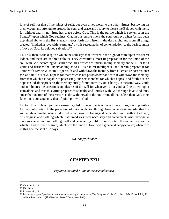love of self nor that of the things of self), but even gives worth to the other virtues, bestowing on them vigour and strength to protect the soul, and grace and beauty to please the Beloved with them, for without charity no virtue has grace before God. This is the purple which is spoken of in the Songs,<sup>278</sup> upon which God reclines. Clad in this purple livery the soul journeys when (as has been explained above in the first stanza) it goes forth from itself in the dark night, and from all things created, 'kindled in love with yearnings,' by this secret ladder of contemplation, to the perfect union of love of God, its beloved salvation.<sup>279</sup>

11. This, then, is the disguise which the soul says that it wears in the night of faith, upon this secret ladder, and these are its three colours. They constitute a most fit preparation for the union of the soul with God, according to its three faculties, which are understanding, memory and will. For faith voids and darkens the understanding as to all its natural intelligence, and herein prepares it for union with Divine Wisdom. Hope voids and withdraws the memory from all creature possessions; for, as Saint Paul says, hope is for that which is not possessed;280 and thus it withdraws the memory from that which it is capable of possessing, and sets it on that for which it hopes. And for this cause hope in God alone prepares the memory purely for union with God. Charity, in the same way, voids and annihilates the affections and desires of the will for whatever is not God, and sets them upon Him alone; and thus this virtue prepares this faculty and unites it with God through love. And thus, since the function of these virtues is the withdrawal of the soul from all that is less than God, their function is consequently that of joining it with God.

12. And thus, unless it journeys earnestly, clad in the garments of these three virtues, it is impossible for the soul to attain to the perfection of union with God through love. Wherefore, in order that the soul might attain that which it desired, which was this loving and delectable union with its Beloved, this disguise and clothing which it assumed was most necessary and convenient. And likewise to have succeeded in thus clothing itself and persevering until it should obtain the end and aspiration which it had so much desired, which was the union of love, was a great and happy chance, wherefore in this line the soul also says:

*Oh, happy chance!*

# **CHAPTER XXII**

*Explains the third*281 *line of the second stanza.*

<sup>278</sup> [Canticles iii, 10.](http://www.ccel.org/b/bible/asv/xml/asv.Song.3.xml#Song.3.10)

<sup>279</sup> [Or 'health.']

<sup>280</sup> [Romans viii, 24](http://www.ccel.org/b/bible/asv/xml/asv.Rom.8.xml#Rom.8.24).

<sup>281</sup> i.e., in the original Spanish and in our verse rendering of the poem in *The Complete Works of St. John of the Cross*, Ed. by E. Allison Peers, Vol. II (The Newman Press, Westminster, Md.).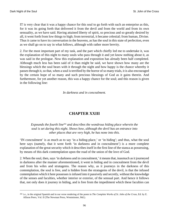IT is very clear that it was a happy chance for this soul to go forth with such an enterprise as this, for it was its going forth that delivered it from the devil and from the world and from its own sensuality, as we have said. Having attained liberty of spirit, so precious and so greatly desired by all, it went forth from low things to high; from terrestrial, it became celestial; from human, Divine. Thus it came to have its conversation in the heavens, as has the soul in this state of perfection, even as we shall go on to say in what follows, although with rather more brevity.

2. For the most important part of my task, and the part which chiefly led me to undertake it, was the explanation of this night to many souls who pass through it and yet know nothing about it, as was said in the prologue. Now this explanation and exposition has already been half completed. Although much less has been said of it than might be said, we have shown how many are the blessings which the soul bears with it through the night and how happy is the chance whereby it passes through it, so that, when a soul is terrified by the horror of so many trials, it is also encouraged by the certain hope of so many and such precious blessings of God as it gains therein. And furthermore, for yet another reason, this was a happy chance for the soul; and this reason is given in the following line:

*In darkness and in concealment.*

# **CHAPTER XXIII**

*Expounds the fourth line*282 *and describes the wondrous hiding place wherein the soul is set during this night. Shows how, although the devil has an entrance into other places that are very high, he has none into this.*

'IN concealment' is as much as to say 'in a hiding-place,' or 'in hiding'; and thus, what the soul here says (namely, that it went forth 'in darkness and in concealment') is a more complete explanation of the great security which it describes itself in the first line of the stanza as possessing, by means of this dark contemplation upon the road of the union of the love of God.

2. When the soul, then, says 'in darkness and in concealment,' it means that, inasmuch as it journeyed in darkness after the manner aforementioned, it went in hiding and in concealment from the devil and from his wiles and stratagems. The reason why, as it journeys in the darkness of this contemplation, the soul is free, and is hidden from the stratagems of the devil, is that the infused contemplation which it here possesses is infused into it passively and secretly, without the knowledge of the senses and faculties, whether interior or exterior, of the sensual part. And hence it follows that, not only does it journey in hiding, and is free from the impediment which these faculties can

<sup>282</sup> i.e., in the original Spanish and in our verse rendering of the poem in *The Complete Works of St. John of the Cross*, Ed. by E. Allison Peers, Vol. II (The Newman Press, Westminster, Md.).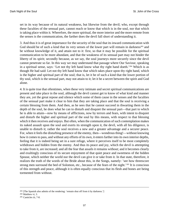set in its way because of its natural weakness, but likewise from the devil; who, except through these faculties of the sensual part, cannot reach or know that which is in the soul, nor that which is taking place within it. Wherefore, the more spiritual, the more interior and the more remote from the senses is the communication, the farther does the devil fall short of understanding it.

3. And thus it is of great importance for the security of the soul that its inward communication with God should be of such a kind that its very senses of the lower part will remain in darkness<sup>283</sup> and be without knowledge of it, and attain not to it: first, so that it may be possible for the spiritual communication to be more abundant, and that the weakness of its sensual part may not hinder the liberty of its spirit; secondly because, as we say, the soul journeys more securely since the devil cannot penetrate so far. In this way we may understand that passage where Our Saviour, speaking in a spiritual sense, says: 'Let not thy left hand know what thy right hand doeth.'284 Which is as though He had said: Let not thy left hand know that which takes place upon thy right hand, which is the higher and spiritual part of the soul; that is, let it be of such a kind that the lower portion of thy soul, which is the sensual part, may not attain to it; let it be a secret between the spirit and God alone.

4. It is quite true that oftentimes, when these very intimate and secret spiritual communications are present and take place in the soul, although the devil cannot get to know of what kind and manner they are, yet the great repose and silence which some of them cause in the senses and the faculties of the sensual part make it clear to him that they are taking place and that the soul is receiving a certain blessing from them. And then, as he sees that he cannot succeed in thwarting them in the depth of the soul, he does what he can to disturb and disquiet the sensual part—that part to which he is able to attain—now by means of afflictions, now by terrors and fears, with intent to disquiet and disturb the higher and spiritual part of the soul by this means, with respect to that blessing which it then receives and enjoys. But often, when the communication of such contemplation makes its naked assault upon the soul and exerts its strength upon it, the devil, with all his diligence, is unable to disturb it; rather the soul receives a new and a greater advantage and a securer peace. For, when it feels the disturbing presence of the enemy, then—wondrous thing!—without knowing how it comes to pass, and without any efforts of its own, it enters farther into its own interior depths, feeling that it is indeed being set in a sure refuge, where it perceives itself to be most completely withdrawn and hidden from the enemy. And thus its peace and joy, which the devil is attempting to take from it, are increased; and all the fear that assails it remains without; and it becomes clearly and exultingly conscious of its secure enjoyment of that quiet peace and sweetness of the hidden Spouse, which neither the world nor the devil can give it or take from it. In that state, therefore, it realizes the truth of the words of the Bride about this, in the Songs, namely: 'see how threescore strong men surround the bed of Solomon, etc., because of the fears of the night.'285 It is conscious of this strength and peace, although it is often equally conscious that its flesh and bones are being tormented from without.

<sup>&</sup>lt;sup>283</sup> [The Spanish also admits of the rendering: 'remain shut off from it by darkness.']

<sup>284</sup> [Matthew vi, 3](http://www.ccel.org/b/bible/asv/xml/asv.Matt.6.xml#Matt.6.3).

<sup>285</sup> [Canticles iii, 7-8.](http://www.ccel.org/b/bible/asv/xml/asv.Song.3.xml#Song.3.7)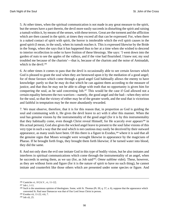5. At other times, when the spiritual communication is not made in any great measure to the spirit, but the senses have a part therein, the devil more easily succeeds in disturbing the spirit and raising a tumult within it, by means of the senses, with these terrors. Great are the torment and the affliction which are then caused in the spirit; at times they exceed all that can be expressed. For, when there is a naked contact of spirit with spirit, the horror is intolerable which the evil spirit causes in the good spirit (I mean, in the soul), when its tumult reaches it. This is expressed likewise by the Bride in the Songs, when she says that it has happened thus to her at a time when she wished to descend to interior recollection in order to have fruition of these blessings. She says: 'I went down into the garden of nuts to see the apples of the valleys, and if the vine had flourished. I knew not; my soul troubled me because of the chariots'—that is, because of the chariots and the noise of Aminadab, which is the devil.<sup>286</sup>

6. At other times it comes to pass that the devil is occasionally able to see certain favours which God is pleased to grant the soul when they are bestowed upon it by the mediation of a good angel; for of those favours which come through a good angel God habitually allows the enemy to have knowledge: partly so that he may do that which he can against them according to the measure of justice, and that thus he may not be able to allege with truth that no opportunity is given him for conquering the soul, as he said concerning Job.<sup>287</sup> This would be the case if God allowed not a certain equality between the two warriors—namely, the good angel and the bad—when they strive for the soul, so that the victory of either may be of the greater worth, and the soul that is victorious and faithful in temptation may be the more abundantly rewarded.

7. We must observe, therefore, that it is for this reason that, in proportion as God is guiding the soul and communing with it, He gives the devil leave to act with it after this manner. When the soul has genuine visions by the instrumentality of the good angel (for it is by this instrumentality that they habitually come, even though Christ reveal Himself, for He scarcely ever appears<sup>288</sup> in His actual person), God also gives the wicked angel leave to present to the soul false visions of this very type in such a way that the soul which is not cautious may easily be deceived by their outward appearance, as many souls have been. Of this there is a figure in Exodus,289 where it is said that all the genuine signs that Moses wrought were wrought likewise in appearance by the magicians of Pharao. If he brought forth frogs, they brought them forth likewise; if he turned water into blood, they did the same.

8. And not only does the evil one imitate God in this type of bodily vision, but he also imitates and interferes in spiritual communications which come through the instrumentality of an angel, when he succeeds in seeing them, as we say (for, as Job said290: *Omne sublime videt*). These, however, as they are without form and figure (for it is the nature of spirit to have no such thing), he cannot imitate and counterfeit like those others which are presented under some species or figure. And

<sup>289</sup> [Exodus vii, 11-22](http://www.ccel.org/b/bible/asv/xml/asv.Exod.7.xml#Exod.7.11); [viii, 7](http://www.ccel.org/b/bible/asv/xml/asv.Exod.8.xml#Exod.8.7).

<sup>286</sup> [Canticles vi, 10](http://www.ccel.org/b/bible/asv/xml/asv.Song.6.xml#Song.6.10) [A.V., [vi, 11-12\]](http://www.ccel.org/b/bible/asv/xml/asv.Ps.6.xml#Ps.6.11).

<sup>287</sup> [Job i, 1-11](http://www.ccel.org/b/bible/asv/xml/asv.Job.1.xml#Job.1.1).

<sup>&</sup>lt;sup>288</sup> Such is the unanimous opinion of theologians. Some, with St. Thomas (Pt. III, q. 57, a. 6), suppose that the appearance which converted St. Paul near Damascus was that of Our Lord Jesus Christ in person.

<sup>290</sup> [Job xli, 25.](http://www.ccel.org/b/bible/asv/xml/asv.Job.41.xml#Job.41.25)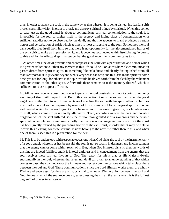thus, in order to attack the soul, in the same way as that wherein it is being visited, his fearful spirit presents a similar vision in order to attack and destroy spiritual things by spiritual. When this comes to pass just as the good angel is about to communicate spiritual contemplation to the soul, it is impossible for the soul to shelter itself in the secrecy and hiding-place of contemplation with sufficient rapidity not to be observed by the devil; and thus he appears to it and produces a certain horror and perturbation of spirit which at times is most distressing to the soul. Sometimes the soul can speedily free itself from him, so that there is no opportunity for the aforementioned horror of the evil spirit to make an impression on it; and it becomes recollected within itself, being favoured, to this end, by the effectual spiritual grace that the good angel then communicates to it.

9. At other times the devil prevails and encompasses the soul with a perturbation and horror which is a greater affliction to it than any torment in this life could be. For, as this horrible communication passes direct from spirit to spirit, in something like nakedness and clearly distinguished from all that is corporeal, it is grievous beyond what every sense can feel; and this lasts in the spirit for some time, yet not for long, for otherwise the spirit would be driven forth from the flesh by the vehement communication of the other spirit. Afterwards there remains to it the memory thereof, which is sufficient to cause it great affliction.

10. All that we have here described comes to pass in the soul passively, without its doing or undoing anything of itself with respect to it. But in this connection it must be known that, when the good angel permits the devil to gain this advantage of assailing the soul with this spiritual horror, he does it to purify the soul and to prepare it by means of this spiritual vigil for some great spiritual favour and festival which he desires to grant it, for he never mortifies save to give life, nor humbles save to exalt, which comes to pass shortly afterwards. Then, according as was the dark and horrible purgation which the soul suffered, so is the fruition now granted it of a wondrous and delectable spiritual contemplation, sometimes so lofty that there is no language to describe it. But the spirit has been greatly refined by the preceding horror of the evil spirit, in order that it may be able to receive this blessing; for these spiritual visions belong to the next life rather than to this, and when one of them is seen this is a preparation for the next.

11. This is to be understood with respect to occasions when God visits the soul by the instrumentality of a good angel, wherein, as has been said, the soul is not so totally in darkness and in concealment that the enemy cannot come within reach of it. But, when God Himself visits it, then the words of this line are indeed fulfilled, and it is in total darkness and in concealment from the enemy that the soul receives these spiritual favours of God. The reason for this is that, as His Majesty dwells substantially in the soul, where neither angel nor devil can attain to an understanding of that which comes to pass, they cannot know the intimate and secret communications which take place there between the soul and God. These communications, since the Lord Himself works them, are wholly Divine and sovereign, for they are all substantial touches of Divine union between the soul and God; in one of which the soul receives a greater blessing than in all the rest, since this is the loftiest degree291 of prayer in existence.

<sup>291</sup> [*Lit.*, 'step.' Cf. Bk. II, chap. xix, first note, above.]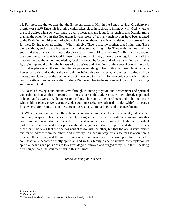12. For these are the touches that the Bride entreated of Him in the Songs, saying: *Osculetur me osculo oris sui*. <sup>292</sup> Since this is a thing which takes place in such close intimacy with God, whereto the soul desires with such yearnings to attain, it esteems and longs for a touch of this Divinity more than all the other favours that God grants it. Wherefore, after many such favours have been granted to the Bride in the said Songs, of which she has sung therein, she is not satisfied, but entreats Him for these Divine touches, saying: ' Who shall give Thee to me, my brother, that I might find Thee alone without, sucking the breasts of my mother, so that I might kiss Thee with the mouth of my soul, and that thus no man should despise me or make bold to attack me.'293 By this she denotes the communication which God Himself alone makes to her, as we are saying, far from all the creatures and without their knowledge, for this is meant by 'alone and without, sucking, etc.'—that is, drying up and draining the breasts of the desires and affections of the sensual part of the soul. This takes place when the soul, in intimate peace and delight, has fruition of these blessings, with liberty of spirit, and without the sensual part being able to hinder it, or the devil to thwart it by means thereof. And then the devil would not make bold to attack it, for he would not reach it, neither could he attain to an understanding of these Divine touches in the substance of the soul in the loving substance of God.

13. To this blessing none attains save through intimate purgation and detachment and spiritual concealment from all that is creature; it comes to pass in the darkness, as we have already explained at length and as we say with respect to this line. The soul is in concealment and in hiding, in the which hiding-place, as we have now said, it continues to be strengthened in union with God through love, wherefore it sings this in the same phrase, saying: 'In darkness and in concealment.'

14. When it comes to pass that those favours are granted to the soul in concealment (that is, as we have said, in spirit only), the soul is wont, during some of them, and without knowing how this comes to pass, to see itself so far with drawn and separated according to the higher and spiritual part, from the sensual and lower portion, that it recognizes in itself two parts so distinct from each other that it believes that the one has naught to do with the other, but that the one is very remote and far withdrawn from the other. And in reality, in a certain way, this is so; for the operation is now wholly spiritual, and the soul receives no communication in its sensual part. In this way the soul gradually becomes wholly spiritual; and in this hiding-place of unitive contemplation its spiritual desires and passions are to a great degree removed and purged away. And thus, speaking of its higher part, the soul then says in this last line:

*My house being now at rest.*<sup>294</sup>

<sup>292</sup> [Canticles i, 1](http://www.ccel.org/b/bible/asv/xml/asv.Song.1.xml#Song.1.1).

<sup>293</sup> [Canticles viii, 1.](http://www.ccel.org/b/bible/asv/xml/asv.Song.8.xml#Song.8.1)

<sup>294</sup> The word translated 'at rest' is a past participle: more literally, 'stilled.'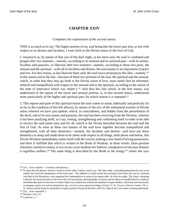### **CHAPTER XXIV**

#### *Completes the explanation of the second stanza.*

THIS is as much as to say: The higher portion of my soul being like the lower part also, at rest with respect to its desires and faculties, I went forth to the Divine union of the love of God.

2. Inasmuch as, by means of that war of the dark night, as has been said, the soul is combated and purged after two manners—namely, according to its sensual and its spiritual part—with its senses, faculties and passions, so likewise after two manners—namely, according to these two parts, the sensual and the spiritual—with all its faculties and desires, the soul attains to an enjoyment of peace and rest. For this reason, as has likewise been said, the soul twice pronounces this line—namely,<sup>295</sup> in this stanza and in the last—because of these two portions of the soul, the spiritual and the sensual, which, in order that they may go forth to the Divine union of love, must needs first be reformed, ordered and tranquillized with respect to the sensual and to the spiritual, according to the nature of the state of innocence which was Adam's.296 And thus this line which, in the first stanza, was understood of the repose of the lower and sensual portion, is, in this second stanza, understood more particularly of the higher and spiritual part; for which reason it is repeated.<sup>297</sup>

3. This repose and quiet of this spiritual house the soul comes to attain, habitually and perfectly (in so far as the condition of this life allows), by means of the acts of the substantial touches of Divine union whereof we have just spoken; which, in concealment, and hidden from the perturbation of the devil, and of its own senses and passions, the soul has been receiving from the Divinity, wherein it has been purifying itself, as I say, resting, strengthening and confirming itself in order to be able to receive the said union once and for all, which is the Divine betrothal between the soul and the Son of God. As soon as these two houses of the soul have together become tranquillized and strengthened, with all their domestics—namely, the faculties and desires—and have put these domestics to sleep and made them to be silent with respect to all things, both above and below, this Divine Wisdom immediately unites itself with the soul by making a new bond of loving possession, and there is fulfilled that which is written in the Book of Wisdom, in these words: *Dum quietum silentium contineret omnia, et nox in suo cursu medium iter haberet, omnipotens sermo tuus Domine* a regalibus sedibus.<sup>298</sup> The same thing is described by the Bride in the Songs,<sup>299</sup> where she says

<sup>295</sup> [*Lit.*, 'twice repeats'—a loosely used phrase.]

<sup>&</sup>lt;sup>296</sup> H omits this last phrase, which is found in all the other Codices, and in e.p. The latter adds: 'notwithstanding that the soul is not wholly free from the temptations of the lower part.' The addition is made so that the teaching of the Saint may not be confused with that of the Illuminists, who supposed the contemplative in union to be impeccable, do what he might. The Saint's meaning is that for the mystical union of the soul with God such purity and tranquillity of senses and faculties are needful that his condition resembles that state of innocence in which Adam was created, but without the attribute of impeccability, which does not necessarily accompany union, nor can be attained by any, save by a most special privilege of God. Cf. St. Teresa's *Interior Castle*, VII, ii. St. Teresa will be found occasionally to explain points of mystical doctrine which St. John of the Cross takes as being understood.

<sup>297</sup> [*Lit.*, 'twice repeated.']

<sup>298</sup> [Wisdom xviii, 14.](http://www.ccel.org/b/bible/asv/xml/asv.Wis.18.xml#Wis.18.14)

<sup>299</sup> [Canticles v, 7](http://www.ccel.org/b/bible/asv/xml/asv.Song.5.xml#Song.5.7).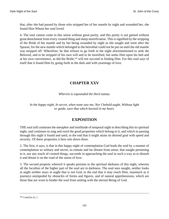that, after she had passed by those who stripped her of her mantle by night and wounded her, she found Him Whom her soul loved.

4. The soul cannot come to this union without great purity, and this purity is not gained without great detachment from every created thing and sharp mortification. This is signified by the stripping of the Bride of her mantle and by her being wounded by night as she sought and went after the Spouse; for the new mantle which belonged to the betrothal could not be put on until the old mantle was stripped off. Wherefore, he that refuses to go forth in the night aforementioned to seek the Beloved, and to be stripped of his own will and to be mortified, but seeks Him upon his bed and at his own convenience, as did the Bride,<sup>300</sup> will not succeed in finding Him. For this soul says of itself that it found Him by going forth in the dark and with yearnings of love.

## **CHAPTER XXV**

*Wherein is expounded the third stanza.*

*In the happy night, In secret, when none saw me, Nor I beheld aught, Without light or guide, save that which burned in my heart.*

## **EXPOSITION**

THE soul still continues the metaphor and similitude of temporal night in describing this its spiritual night, and continues to sing and extol the good properties which belong to it, and which in passing through this night it found and used, to the end that it might attain its desired goal with speed and security. Of these properties it here sets down three.

2. The first, it says, is that in this happy night of contemplation God leads the soul by a manner of contemplation so solitary and secret, so remote and far distant from sense, that naught pertaining to it, nor any touch of created things, succeeds in approaching the soul in such a way as to disturb it and detain it on the road of the union of love.

3. The second property whereof it speaks pertains to the spiritual darkness of this night, wherein all the faculties of the higher part of the soul are in darkness. The soul sees naught, neither looks at aught neither stays in aught that is not God, to the end that it may reach Him, inasmuch as it journeys unimpeded by obstacles of forms and figures, and of natural apprehensions, which are those that are wont to hinder the soul from uniting with the eternal Being of God.

<sup>300</sup> [Canticles iii, 1](http://www.ccel.org/b/bible/asv/xml/asv.Song.3.xml#Song.3.1).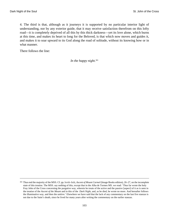4. The third is that, although as it journeys it is supported by no particular interior light of understanding, nor by any exterior guide, that it may receive satisfaction therefrom on this lofty road—it is completely deprived of all this by this thick darkness—yet its love alone, which burns at this time, and makes its heart to long for the Beloved, is that which now moves and guides it, and makes it to soar upward to its God along the road of solitude, without its knowing how or in what manner.

There follows the line:

*In the happy night.*<sup>301</sup>

<sup>301</sup> Thus end the majority of the MSS. Cf. pp. lxviii–lxiii, *Ascent of Mount Carmel* (Image Books edition), 26–27, on the incomplete state of this treatise. The MSS. say nothing of this, except that in the Alba de Tormes MS. we read: 'Thus far wrote the holy Fray John of the Cross concerning the purgative way, wherein he treats of the active and the passive [aspect] of it as is seen in the treatise of the *Ascent of the Mount* and in this of the *Dark Night*, and, as he died, he wrote no more. And hereafter follows the illuminative way, and then the unitive.' Elsewhere we have said that the lack of any commentary on the last five stanzas is not due to the Saint's death, since he lived for many years after writing the commentary on the earlier stanzas.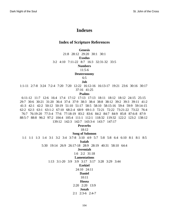# **Indexes**

# **Index of Scripture References**

**Genesis**

[21:8](#page-41-0)  [28:12](#page-91-0) [29:20](#page-93-0)  [30:1](#page-79-0) [30:1](#page-94-0)

#### **Exodus**

[3:2](#page-88-0)  [4:10](#page-88-0) [7:11-22](#page-102-0) [8:7](#page-102-0)  [16:3](#page-66-0) [32:31-32](#page-95-0) [33:5](#page-41-1)

**Numbers**

[11:5-6](#page-35-0)

**Deuteronomy**

[6:5](#page-73-0)

**Job**

[1:1-11](#page-102-1) [2:7-8](#page-42-0)  [3:24](#page-68-0) [7:2-4](#page-73-1)  [7:20](#page-56-0)  [7:20](#page-57-0) [12:22](#page-60-0)  [16:12-16](#page-60-1) [16:13-17](#page-60-1)  [19:21](#page-57-1) [23:6](#page-56-1)  [30:16](#page-69-0) [30:17](#page-68-1) [37:16](#page-89-0)  [41:25](#page-102-2)

**Psalms**

[6:11-12](#page-102-3)  [11:7](#page-75-0)  [12:6](#page-75-0) [16:4](#page-97-0)  [17:4](#page-97-0)  [17:12](#page-85-0) [17:13](#page-56-2)  [17:13](#page-85-1) [18:11](#page-85-0) [18:12](#page-56-2)  [18:12](#page-85-1) [24:15](#page-98-0) [25:15](#page-98-0)  [29:7](#page-61-0) [30:6](#page-61-0) [30:21](#page-86-0)  [31:20](#page-86-0)  [36:4](#page-95-1) [37:4](#page-95-1) [37:9](#page-68-2)  [38:3](#page-44-0)  [38:4](#page-76-0) [38:8](#page-68-2) [38:12](#page-56-3)  [39:2](#page-44-0)  [39:3](#page-76-0) [39:11](#page-56-3) [41:2](#page-94-1) [41:3](#page-39-0)  [42:1](#page-94-1)  [42:2](#page-39-0) [50:12](#page-74-0)  [50:19](#page-47-0) [51:10](#page-74-0) [51:17](#page-47-0)  [58:5](#page-94-2) [58:10](#page-73-2) [58:15-16](#page-73-3)  [59:4](#page-94-2) [59:9](#page-73-2) [59:14-15](#page-73-3)  [62:2](#page-73-4)  [62:3](#page-43-0)  [63:1](#page-73-4) [63:1-2](#page-43-0)  [67:10](#page-92-0) [68:2-4](#page-59-0) [68:9](#page-92-0)  [69:1-3](#page-59-0) [72:21](#page-39-1) [72:22](#page-64-0)  [73:21-22](#page-39-1) [73:22](#page-64-0) [76:4](#page-46-0)  [76:7](#page-46-1)  [76:19-20](#page-89-1)  [77:3-4](#page-46-0) [77:6](#page-46-1)  [77:18-19](#page-89-1)  [83:2](#page-94-3) [83:6](#page-90-0)  [84:2](#page-94-3) [84:7](#page-90-0) [84:9](#page-36-0)  [85:8](#page-36-0) [87:6-8](#page-57-2) [87:9](#page-58-0)  [88:5-7](#page-57-2) [88:8](#page-58-0) [96:2](#page-55-0) [97:2](#page-55-0)  [104:4](#page-92-1)  [105:4](#page-92-1)  [111:1](#page-92-2)  [112:1](#page-92-2)  [118:32](#page-95-2) [119:32](#page-95-2) [122:2](#page-98-1) [123:2](#page-98-1) [138:12](#page-60-2) [139:12](#page-60-2)  [142:3](#page-61-1) [142:7](#page-92-3) [143:3-4](#page-61-1)  [143:7](#page-92-3) [147:17](#page-50-0)

**Proverbs**

[18:12](#page-90-1)

**Song of Solomon**

[1:1](#page-95-3)  [1:1](#page-104-0) [1:3](#page-98-2) [1:4](#page-98-2)  [3:1](#page-106-0) [3:2](#page-92-4)  [3:4](#page-95-4)  [3:7-8](#page-101-0) [3:10](#page-99-0) [4:9](#page-98-3)  [5:7](#page-105-0) [5:8](#page-79-1)  [5:8](#page-92-5)  [6:4](#page-36-1) [6:10](#page-102-3) [8:1](#page-80-0)  [8:1](#page-104-1) [8:5](#page-93-1) **Isaiah**

[5:30](#page-85-2) [19:14](#page-48-0)  [26:9](#page-74-1)  [26:17-18](#page-67-0) [28:9](#page-43-1)  [28:19](#page-43-2) [40:31](#page-94-4) [58:10](#page-42-1)  [64:4](#page-67-1)

**Jeremiah**

[1:6](#page-88-1) [2:2](#page-94-5)  [31:18](#page-48-1)

### **Lamentations**

[1:13](#page-75-1) [3:1-20](#page-60-3)  [3:9](#page-63-0)  [3:9](#page-63-1) [3:17](#page-68-3)  [3:17](#page-69-1) [3:28](#page-63-2) [3:29](#page-98-4)  [3:44](#page-63-3)

#### **Ezekiel**

 $24:10$   $24:11$ 

### **Daniel**

[10:11](#page-95-5)

**Hosea**

[2:20](#page-52-0) [2:20](#page-97-1)  [13:9](#page-83-0)

#### **Jonah**

[2:1](#page-57-3) [2:3-6](#page-58-2)  [2:4-7](#page-58-2)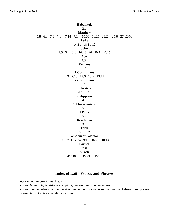**Habakkuk**  $2:1$ **Matthew** [5:8](#page-96-0)  [6:3](#page-101-1) [7:3](#page-21-0)  [7:14](#page-18-0)  [7:14](#page-32-0) [7:14](#page-40-0)  [10:36](#page-81-0) [16:25](#page-31-0) [23:24](#page-21-1)  [25:8](#page-22-0) [27:62-66](#page-78-0) **Luke** [14:11](#page-90-2)  [18:11-12](#page-21-2) **John** [1:5](#page-77-0) [3:2](#page-96-1)  [3:6](#page-27-0) [16:23](#page-96-2) [20](#page-92-6) [20:1](#page-78-0)  [20:15](#page-78-1) **Acts** [7:32](#page-88-2) **Romans** [8:24](#page-99-1) **1 Corinthians** [2:9](#page-67-1)  [2:10](#page-65-0) [13:6](#page-31-1)  [13:7](#page-95-6) [13:11](#page-53-0) **2 Corinthians** [6:10](#page-65-1) **Ephesians** [4:4](#page-80-1) [4:24](#page-53-1) **Philippians** [4:7](#page-68-4) **1 Thessalonians** [5:8](#page-98-5) **1 Peter** [5:9](#page-97-2) **Revelation** [3:8](#page-33-0) **Tobit** [8:2](#page-66-1)  [8:2](#page-67-2) **Wisdom of Solomon** [3:6](#page-59-2)  [7:11](#page-70-0) [7:24](#page-65-2) [9:15](#page-51-0)  [16:21](#page-66-2) [18:14](#page-105-1) **Baruch** [3:31](#page-89-2) **Sirach** [34:9-10](#page-48-2) [51:19-21](#page-70-1)  [51:28-9](#page-70-1)

## **Index of Latin Words and Phrases**

- •[Cor mundum crea in me, Deus](#page-74-2)
- •[Dum Deum in ignis visione suscipiunt, per amorem suaviter arserunt](#page-95-7)
- •[Dum quietum silentium contineret omnia, et nox in suo cursu medium iter haberet, omnipotens](#page-105-2) [sermo tuus Domine a regalibus sedibus](#page-105-2)